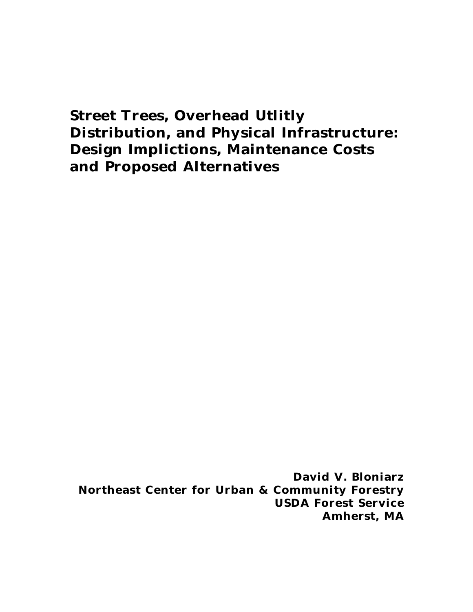# **Street Trees, Overhead Utlitly Distribution, and Physical Infrastructure: Design Implictions, Maintenance Costs and Proposed Alternatives**

*David V. Bloniarz Northeast Center for Urban & Community Forestry USDA Forest Service Amherst, MA*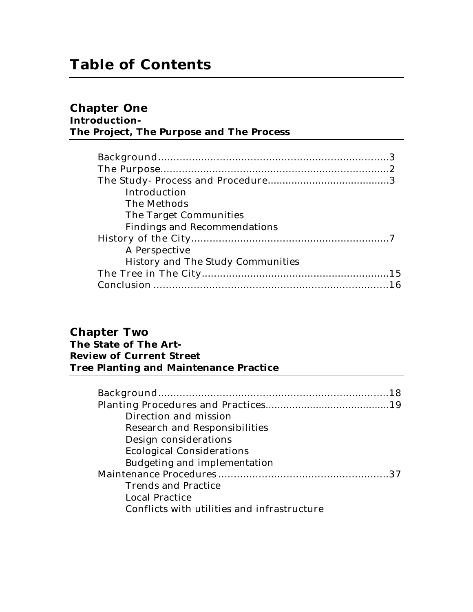# **Chapter One**

## **Introduction-The Project, The Purpose and The Process**

| Introduction                             |  |
|------------------------------------------|--|
| The Methods                              |  |
| The Target Communities                   |  |
| <b>Findings and Recommendations</b>      |  |
|                                          |  |
| A Perspective                            |  |
| <b>History and The Study Communities</b> |  |
|                                          |  |
|                                          |  |

## **Chapter Two The State of The Art-Review of Current Street Tree Planting and Maintenance Practice**

| Direction and mission                       |
|---------------------------------------------|
| <b>Research and Responsibilities</b>        |
| Design considerations                       |
| <b>Ecological Considerations</b>            |
| Budgeting and implementation                |
|                                             |
| <b>Trends and Practice</b>                  |
| <b>Local Practice</b>                       |
| Conflicts with utilities and infrastructure |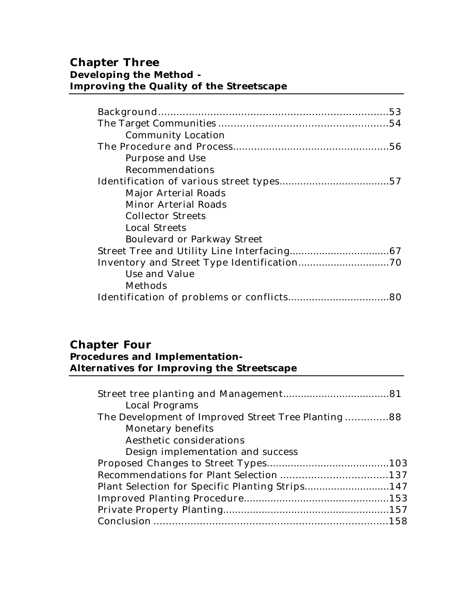# **Chapter Three Developing the Method - Improving the Quality of the Streetscape**

| <b>Community Location</b>          |
|------------------------------------|
|                                    |
| Purpose and Use                    |
| Recommendations                    |
|                                    |
| Major Arterial Roads               |
| <b>Minor Arterial Roads</b>        |
| <b>Collector Streets</b>           |
| <b>Local Streets</b>               |
| <b>Boulevard or Parkway Street</b> |
|                                    |
|                                    |
| Use and Value                      |
| Methods                            |
|                                    |

# **Chapter Four Procedures and Implementation-Alternatives for Improving the Streetscape**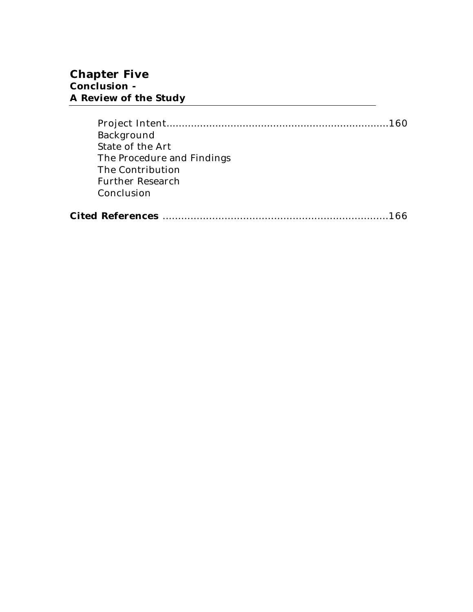| Background                 |  |
|----------------------------|--|
| State of the Art           |  |
| The Procedure and Findings |  |
| The Contribution           |  |
| <b>Further Research</b>    |  |
| Conclusion                 |  |
|                            |  |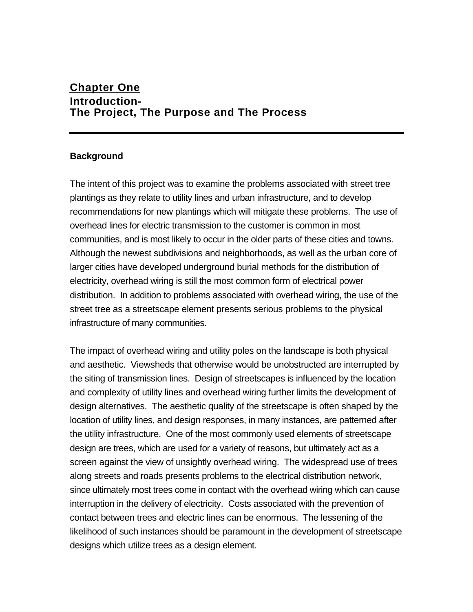# **Chapter One Introduction-The Project, The Purpose and The Process**

### **Background**

The intent of this project was to examine the problems associated with street tree plantings as they relate to utility lines and urban infrastructure, and to develop recommendations for new plantings which will mitigate these problems. The use of overhead lines for electric transmission to the customer is common in most communities, and is most likely to occur in the older parts of these cities and towns. Although the newest subdivisions and neighborhoods, as well as the urban core of larger cities have developed underground burial methods for the distribution of electricity, overhead wiring is still the most common form of electrical power distribution. In addition to problems associated with overhead wiring, the use of the street tree as a streetscape element presents serious problems to the physical infrastructure of many communities.

The impact of overhead wiring and utility poles on the landscape is both physical and aesthetic. Viewsheds that otherwise would be unobstructed are interrupted by the siting of transmission lines. Design of streetscapes is influenced by the location and complexity of utility lines and overhead wiring further limits the development of design alternatives. The aesthetic quality of the streetscape is often shaped by the location of utility lines, and design responses, in many instances, are patterned after the utility infrastructure. One of the most commonly used elements of streetscape design are trees, which are used for a variety of reasons, but ultimately act as a screen against the view of unsightly overhead wiring. The widespread use of trees along streets and roads presents problems to the electrical distribution network, since ultimately most trees come in contact with the overhead wiring which can cause interruption in the delivery of electricity. Costs associated with the prevention of contact between trees and electric lines can be enormous. The lessening of the likelihood of such instances should be paramount in the development of streetscape designs which utilize trees as a design element.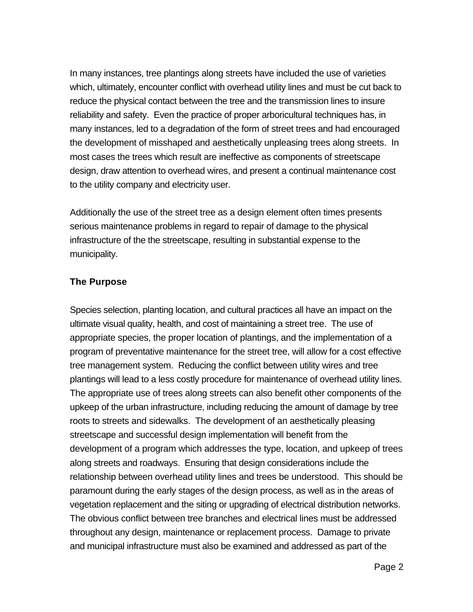In many instances, tree plantings along streets have included the use of varieties which, ultimately, encounter conflict with overhead utility lines and must be cut back to reduce the physical contact between the tree and the transmission lines to insure reliability and safety. Even the practice of proper arboricultural techniques has, in many instances, led to a degradation of the form of street trees and had encouraged the development of misshaped and aesthetically unpleasing trees along streets. In most cases the trees which result are ineffective as components of streetscape design, draw attention to overhead wires, and present a continual maintenance cost to the utility company and electricity user.

Additionally the use of the street tree as a design element often times presents serious maintenance problems in regard to repair of damage to the physical infrastructure of the the streetscape, resulting in substantial expense to the municipality.

#### **The Purpose**

Species selection, planting location, and cultural practices all have an impact on the ultimate visual quality, health, and cost of maintaining a street tree. The use of appropriate species, the proper location of plantings, and the implementation of a program of preventative maintenance for the street tree, will allow for a cost effective tree management system. Reducing the conflict between utility wires and tree plantings will lead to a less costly procedure for maintenance of overhead utility lines. The appropriate use of trees along streets can also benefit other components of the upkeep of the urban infrastructure, including reducing the amount of damage by tree roots to streets and sidewalks. The development of an aesthetically pleasing streetscape and successful design implementation will benefit from the development of a program which addresses the type, location, and upkeep of trees along streets and roadways. Ensuring that design considerations include the relationship between overhead utility lines and trees be understood. This should be paramount during the early stages of the design process, as well as in the areas of vegetation replacement and the siting or upgrading of electrical distribution networks. The obvious conflict between tree branches and electrical lines must be addressed throughout any design, maintenance or replacement process. Damage to private and municipal infrastructure must also be examined and addressed as part of the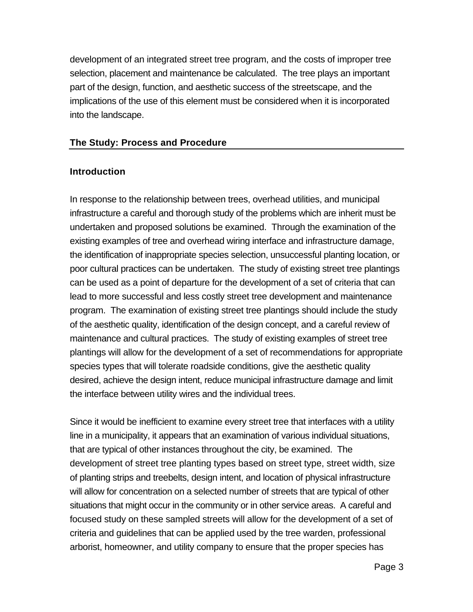development of an integrated street tree program, and the costs of improper tree selection, placement and maintenance be calculated. The tree plays an important part of the design, function, and aesthetic success of the streetscape, and the implications of the use of this element must be considered when it is incorporated into the landscape.

### **The Study: Process and Procedure**

#### **Introduction**

In response to the relationship between trees, overhead utilities, and municipal infrastructure a careful and thorough study of the problems which are inherit must be undertaken and proposed solutions be examined. Through the examination of the existing examples of tree and overhead wiring interface and infrastructure damage, the identification of inappropriate species selection, unsuccessful planting location, or poor cultural practices can be undertaken. The study of existing street tree plantings can be used as a point of departure for the development of a set of criteria that can lead to more successful and less costly street tree development and maintenance program. The examination of existing street tree plantings should include the study of the aesthetic quality, identification of the design concept, and a careful review of maintenance and cultural practices. The study of existing examples of street tree plantings will allow for the development of a set of recommendations for appropriate species types that will tolerate roadside conditions, give the aesthetic quality desired, achieve the design intent, reduce municipal infrastructure damage and limit the interface between utility wires and the individual trees.

Since it would be inefficient to examine every street tree that interfaces with a utility line in a municipality, it appears that an examination of various individual situations, that are typical of other instances throughout the city, be examined. The development of street tree planting types based on street type, street width, size of planting strips and treebelts, design intent, and location of physical infrastructure will allow for concentration on a selected number of streets that are typical of other situations that might occur in the community or in other service areas. A careful and focused study on these sampled streets will allow for the development of a set of criteria and guidelines that can be applied used by the tree warden, professional arborist, homeowner, and utility company to ensure that the proper species has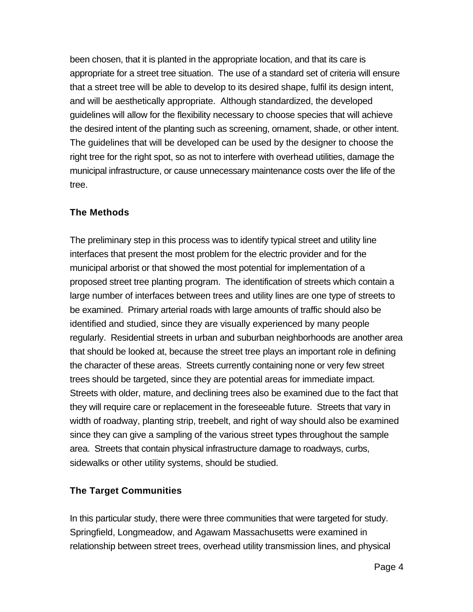been chosen, that it is planted in the appropriate location, and that its care is appropriate for a street tree situation. The use of a standard set of criteria will ensure that a street tree will be able to develop to its desired shape, fulfil its design intent, and will be aesthetically appropriate. Although standardized, the developed guidelines will allow for the flexibility necessary to choose species that will achieve the desired intent of the planting such as screening, ornament, shade, or other intent. The guidelines that will be developed can be used by the designer to choose the right tree for the right spot, so as not to interfere with overhead utilities, damage the municipal infrastructure, or cause unnecessary maintenance costs over the life of the tree.

#### **The Methods**

The preliminary step in this process was to identify typical street and utility line interfaces that present the most problem for the electric provider and for the municipal arborist or that showed the most potential for implementation of a proposed street tree planting program. The identification of streets which contain a large number of interfaces between trees and utility lines are one type of streets to be examined. Primary arterial roads with large amounts of traffic should also be identified and studied, since they are visually experienced by many people regularly. Residential streets in urban and suburban neighborhoods are another area that should be looked at, because the street tree plays an important role in defining the character of these areas. Streets currently containing none or very few street trees should be targeted, since they are potential areas for immediate impact. Streets with older, mature, and declining trees also be examined due to the fact that they will require care or replacement in the foreseeable future. Streets that vary in width of roadway, planting strip, treebelt, and right of way should also be examined since they can give a sampling of the various street types throughout the sample area. Streets that contain physical infrastructure damage to roadways, curbs, sidewalks or other utility systems, should be studied.

#### **The Target Communities**

In this particular study, there were three communities that were targeted for study. Springfield, Longmeadow, and Agawam Massachusetts were examined in relationship between street trees, overhead utility transmission lines, and physical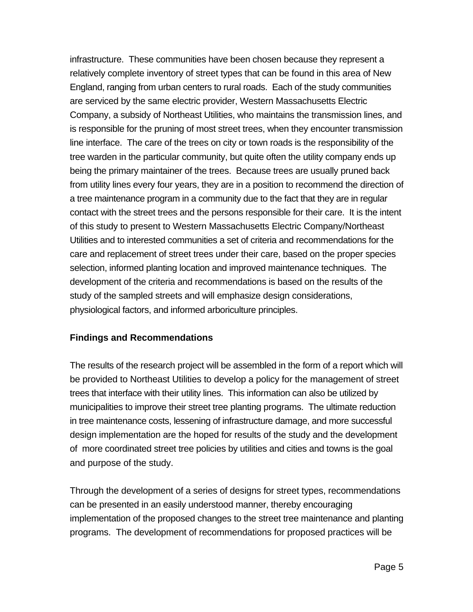infrastructure. These communities have been chosen because they represent a relatively complete inventory of street types that can be found in this area of New England, ranging from urban centers to rural roads. Each of the study communities are serviced by the same electric provider, Western Massachusetts Electric Company, a subsidy of Northeast Utilities, who maintains the transmission lines, and is responsible for the pruning of most street trees, when they encounter transmission line interface. The care of the trees on city or town roads is the responsibility of the tree warden in the particular community, but quite often the utility company ends up being the primary maintainer of the trees. Because trees are usually pruned back from utility lines every four years, they are in a position to recommend the direction of a tree maintenance program in a community due to the fact that they are in regular contact with the street trees and the persons responsible for their care. It is the intent of this study to present to Western Massachusetts Electric Company/Northeast Utilities and to interested communities a set of criteria and recommendations for the care and replacement of street trees under their care, based on the proper species selection, informed planting location and improved maintenance techniques. The development of the criteria and recommendations is based on the results of the study of the sampled streets and will emphasize design considerations, physiological factors, and informed arboriculture principles.

## **Findings and Recommendations**

The results of the research project will be assembled in the form of a report which will be provided to Northeast Utilities to develop a policy for the management of street trees that interface with their utility lines. This information can also be utilized by municipalities to improve their street tree planting programs. The ultimate reduction in tree maintenance costs, lessening of infrastructure damage, and more successful design implementation are the hoped for results of the study and the development of more coordinated street tree policies by utilities and cities and towns is the goal and purpose of the study.

Through the development of a series of designs for street types, recommendations can be presented in an easily understood manner, thereby encouraging implementation of the proposed changes to the street tree maintenance and planting programs. The development of recommendations for proposed practices will be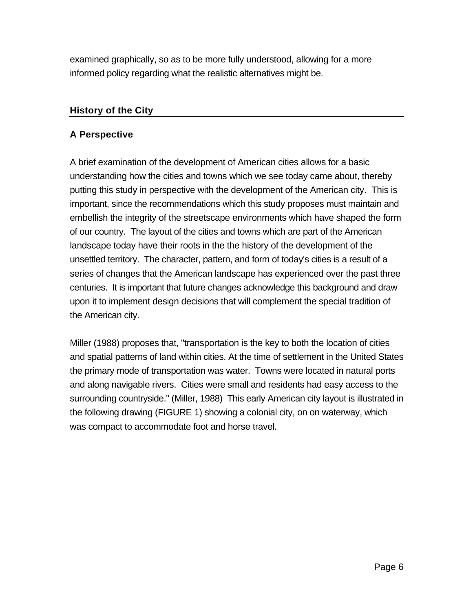examined graphically, so as to be more fully understood, allowing for a more informed policy regarding what the realistic alternatives might be.

### **History of the City**

### **A Perspective**

A brief examination of the development of American cities allows for a basic understanding how the cities and towns which we see today came about, thereby putting this study in perspective with the development of the American city. This is important, since the recommendations which this study proposes must maintain and embellish the integrity of the streetscape environments which have shaped the form of our country. The layout of the cities and towns which are part of the American landscape today have their roots in the the history of the development of the unsettled territory. The character, pattern, and form of today's cities is a result of a series of changes that the American landscape has experienced over the past three centuries. It is important that future changes acknowledge this background and draw upon it to implement design decisions that will complement the special tradition of the American city.

Miller (1988) proposes that, "transportation is the key to both the location of cities and spatial patterns of land within cities. At the time of settlement in the United States the primary mode of transportation was water. Towns were located in natural ports and along navigable rivers. Cities were small and residents had easy access to the surrounding countryside." (Miller, 1988) This early American city layout is illustrated in the following drawing (FIGURE 1) showing a colonial city, on on waterway, which was compact to accommodate foot and horse travel.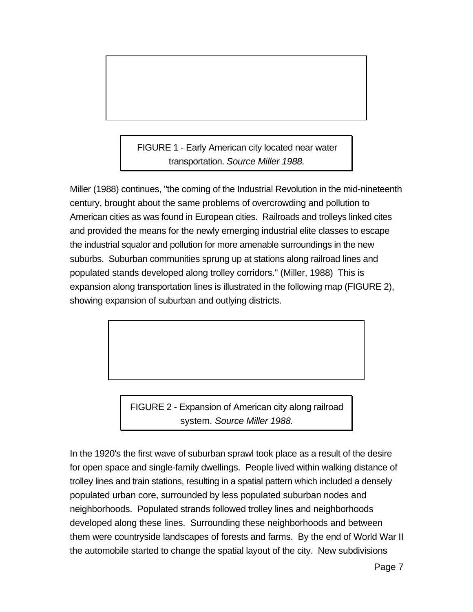FIGURE 1 - Early American city located near water transportation. *Source Miller 1988.*

Miller (1988) continues, "the coming of the Industrial Revolution in the mid-nineteenth century, brought about the same problems of overcrowding and pollution to American cities as was found in European cities. Railroads and trolleys linked cites and provided the means for the newly emerging industrial elite classes to escape the industrial squalor and pollution for more amenable surroundings in the new suburbs. Suburban communities sprung up at stations along railroad lines and populated stands developed along trolley corridors." (Miller, 1988) This is expansion along transportation lines is illustrated in the following map (FIGURE 2), showing expansion of suburban and outlying districts.

> FIGURE 2 - Expansion of American city along railroad system. *Source Miller 1988.*

In the 1920's the first wave of suburban sprawl took place as a result of the desire for open space and single-family dwellings. People lived within walking distance of trolley lines and train stations, resulting in a spatial pattern which included a densely populated urban core, surrounded by less populated suburban nodes and neighborhoods. Populated strands followed trolley lines and neighborhoods developed along these lines. Surrounding these neighborhoods and between them were countryside landscapes of forests and farms. By the end of World War II the automobile started to change the spatial layout of the city. New subdivisions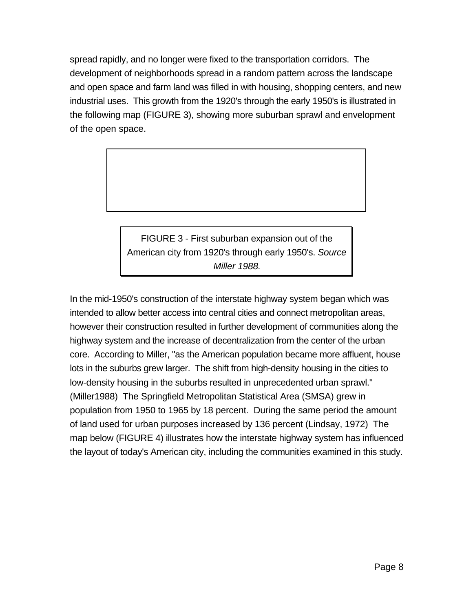spread rapidly, and no longer were fixed to the transportation corridors. The development of neighborhoods spread in a random pattern across the landscape and open space and farm land was filled in with housing, shopping centers, and new industrial uses. This growth from the 1920's through the early 1950's is illustrated in the following map (FIGURE 3), showing more suburban sprawl and envelopment of the open space.

> FIGURE 3 - First suburban expansion out of the American city from 1920's through early 1950's. *Source Miller 1988.*

In the mid-1950's construction of the interstate highway system began which was intended to allow better access into central cities and connect metropolitan areas, however their construction resulted in further development of communities along the highway system and the increase of decentralization from the center of the urban core. According to Miller, "as the American population became more affluent, house lots in the suburbs grew larger. The shift from high-density housing in the cities to low-density housing in the suburbs resulted in unprecedented urban sprawl." (Miller1988) The Springfield Metropolitan Statistical Area (SMSA) grew in population from 1950 to 1965 by 18 percent. During the same period the amount of land used for urban purposes increased by 136 percent (Lindsay, 1972) The map below (FIGURE 4) illustrates how the interstate highway system has influenced the layout of today's American city, including the communities examined in this study.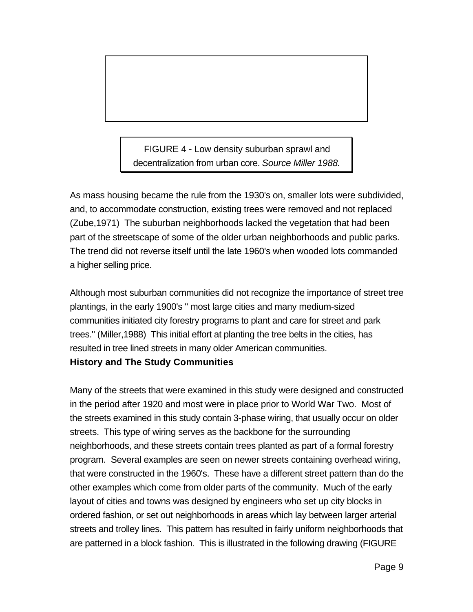FIGURE 4 - Low density suburban sprawl and decentralization from urban core. *Source Miller 1988.*

As mass housing became the rule from the 1930's on, smaller lots were subdivided, and, to accommodate construction, existing trees were removed and not replaced (Zube,1971) The suburban neighborhoods lacked the vegetation that had been part of the streetscape of some of the older urban neighborhoods and public parks. The trend did not reverse itself until the late 1960's when wooded lots commanded a higher selling price.

Although most suburban communities did not recognize the importance of street tree plantings, in the early 1900's " most large cities and many medium-sized communities initiated city forestry programs to plant and care for street and park trees." (Miller,1988) This initial effort at planting the tree belts in the cities, has resulted in tree lined streets in many older American communities.

## **History and The Study Communities**

Many of the streets that were examined in this study were designed and constructed in the period after 1920 and most were in place prior to World War Two. Most of the streets examined in this study contain 3-phase wiring, that usually occur on older streets. This type of wiring serves as the backbone for the surrounding neighborhoods, and these streets contain trees planted as part of a formal forestry program. Several examples are seen on newer streets containing overhead wiring, that were constructed in the 1960's. These have a different street pattern than do the other examples which come from older parts of the community. Much of the early layout of cities and towns was designed by engineers who set up city blocks in ordered fashion, or set out neighborhoods in areas which lay between larger arterial streets and trolley lines. This pattern has resulted in fairly uniform neighborhoods that are patterned in a block fashion. This is illustrated in the following drawing (FIGURE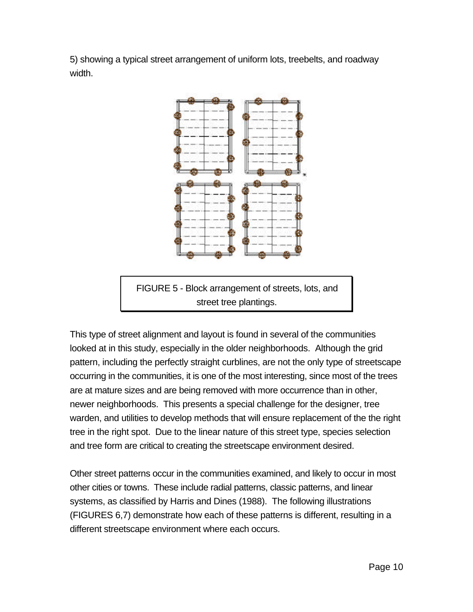5) showing a typical street arrangement of uniform lots, treebelts, and roadway width.



FIGURE 5 - Block arrangement of streets, lots, and street tree plantings.

This type of street alignment and layout is found in several of the communities looked at in this study, especially in the older neighborhoods. Although the grid pattern, including the perfectly straight curblines, are not the only type of streetscape occurring in the communities, it is one of the most interesting, since most of the trees are at mature sizes and are being removed with more occurrence than in other, newer neighborhoods. This presents a special challenge for the designer, tree warden, and utilities to develop methods that will ensure replacement of the the right tree in the right spot. Due to the linear nature of this street type, species selection and tree form are critical to creating the streetscape environment desired.

Other street patterns occur in the communities examined, and likely to occur in most other cities or towns. These include radial patterns, classic patterns, and linear systems, as classified by Harris and Dines (1988). The following illustrations (FIGURES 6,7) demonstrate how each of these patterns is different, resulting in a different streetscape environment where each occurs.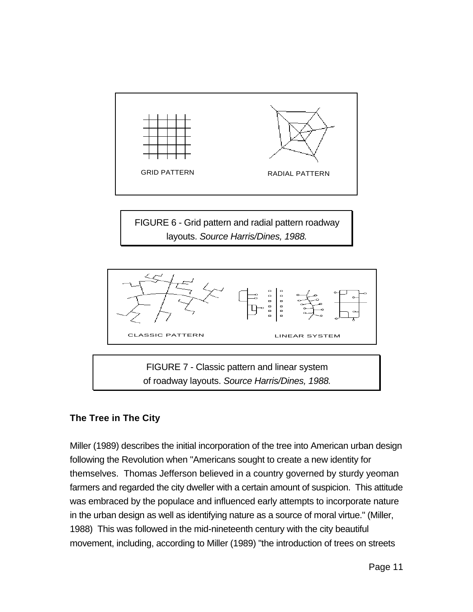

FIGURE 6 - Grid pattern and radial pattern roadway layouts. *Source Harris/Dines, 1988.*



FIGURE 7 - Classic pattern and linear system of roadway layouts. *Source Harris/Dines, 1988.*

# **The Tree in The City**

Miller (1989) describes the initial incorporation of the tree into American urban design following the Revolution when "Americans sought to create a new identity for themselves. Thomas Jefferson believed in a country governed by sturdy yeoman farmers and regarded the city dweller with a certain amount of suspicion. This attitude was embraced by the populace and influenced early attempts to incorporate nature in the urban design as well as identifying nature as a source of moral virtue." (Miller, 1988) This was followed in the mid-nineteenth century with the city beautiful movement, including, according to Miller (1989) "the introduction of trees on streets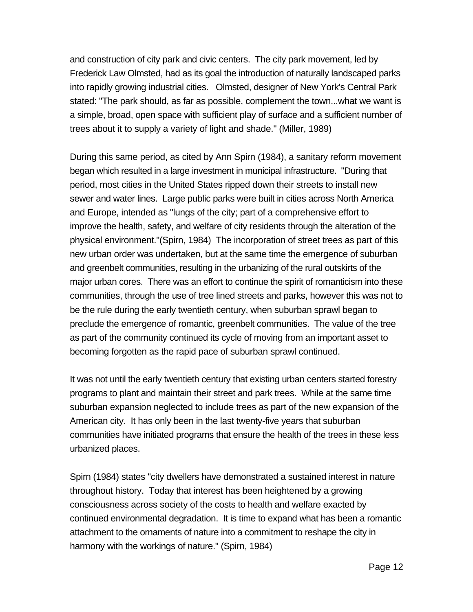and construction of city park and civic centers. The city park movement, led by Frederick Law Olmsted, had as its goal the introduction of naturally landscaped parks into rapidly growing industrial cities. Olmsted, designer of New York's Central Park stated: "The park should, as far as possible, complement the town...what we want is a simple, broad, open space with sufficient play of surface and a sufficient number of trees about it to supply a variety of light and shade." (Miller, 1989)

During this same period, as cited by Ann Spirn (1984), a sanitary reform movement began which resulted in a large investment in municipal infrastructure. "During that period, most cities in the United States ripped down their streets to install new sewer and water lines. Large public parks were built in cities across North America and Europe, intended as "lungs of the city; part of a comprehensive effort to improve the health, safety, and welfare of city residents through the alteration of the physical environment."(Spirn, 1984) The incorporation of street trees as part of this new urban order was undertaken, but at the same time the emergence of suburban and greenbelt communities, resulting in the urbanizing of the rural outskirts of the major urban cores. There was an effort to continue the spirit of romanticism into these communities, through the use of tree lined streets and parks, however this was not to be the rule during the early twentieth century, when suburban sprawl began to preclude the emergence of romantic, greenbelt communities. The value of the tree as part of the community continued its cycle of moving from an important asset to becoming forgotten as the rapid pace of suburban sprawl continued.

It was not until the early twentieth century that existing urban centers started forestry programs to plant and maintain their street and park trees. While at the same time suburban expansion neglected to include trees as part of the new expansion of the American city. It has only been in the last twenty-five years that suburban communities have initiated programs that ensure the health of the trees in these less urbanized places.

Spirn (1984) states "city dwellers have demonstrated a sustained interest in nature throughout history. Today that interest has been heightened by a growing consciousness across society of the costs to health and welfare exacted by continued environmental degradation. It is time to expand what has been a romantic attachment to the ornaments of nature into a commitment to reshape the city in harmony with the workings of nature." (Spirn, 1984)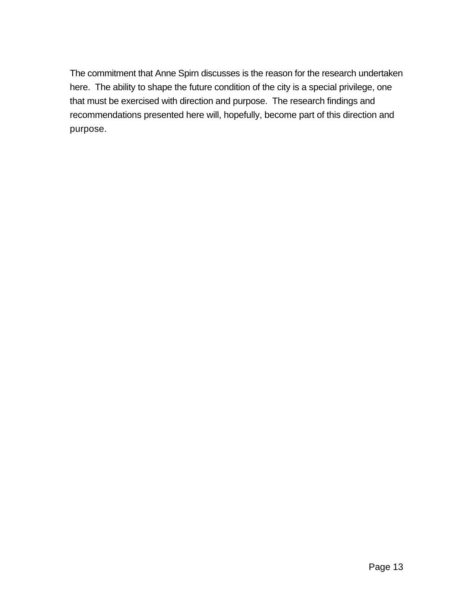The commitment that Anne Spirn discusses is the reason for the research undertaken here. The ability to shape the future condition of the city is a special privilege, one that must be exercised with direction and purpose. The research findings and recommendations presented here will, hopefully, become part of this direction and purpose.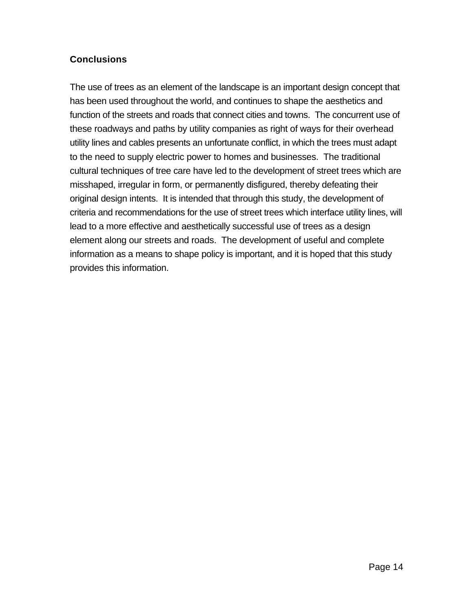# **Conclusions**

The use of trees as an element of the landscape is an important design concept that has been used throughout the world, and continues to shape the aesthetics and function of the streets and roads that connect cities and towns. The concurrent use of these roadways and paths by utility companies as right of ways for their overhead utility lines and cables presents an unfortunate conflict, in which the trees must adapt to the need to supply electric power to homes and businesses. The traditional cultural techniques of tree care have led to the development of street trees which are misshaped, irregular in form, or permanently disfigured, thereby defeating their original design intents. It is intended that through this study, the development of criteria and recommendations for the use of street trees which interface utility lines, will lead to a more effective and aesthetically successful use of trees as a design element along our streets and roads. The development of useful and complete information as a means to shape policy is important, and it is hoped that this study provides this information.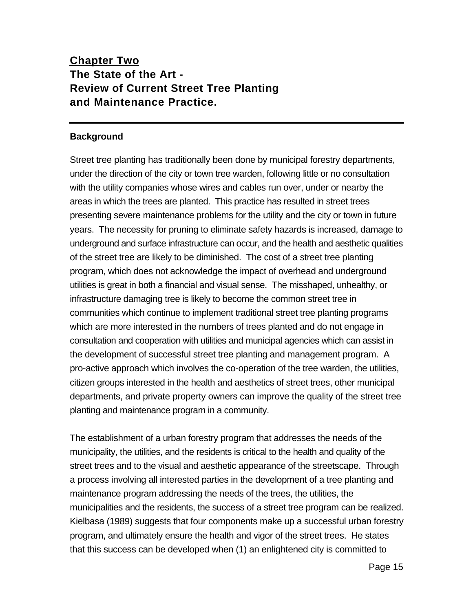# **Chapter Two The State of the Art - Review of Current Street Tree Planting and Maintenance Practice.**

#### **Background**

Street tree planting has traditionally been done by municipal forestry departments, under the direction of the city or town tree warden, following little or no consultation with the utility companies whose wires and cables run over, under or nearby the areas in which the trees are planted. This practice has resulted in street trees presenting severe maintenance problems for the utility and the city or town in future years. The necessity for pruning to eliminate safety hazards is increased, damage to underground and surface infrastructure can occur, and the health and aesthetic qualities of the street tree are likely to be diminished. The cost of a street tree planting program, which does not acknowledge the impact of overhead and underground utilities is great in both a financial and visual sense. The misshaped, unhealthy, or infrastructure damaging tree is likely to become the common street tree in communities which continue to implement traditional street tree planting programs which are more interested in the numbers of trees planted and do not engage in consultation and cooperation with utilities and municipal agencies which can assist in the development of successful street tree planting and management program. A pro-active approach which involves the co-operation of the tree warden, the utilities, citizen groups interested in the health and aesthetics of street trees, other municipal departments, and private property owners can improve the quality of the street tree planting and maintenance program in a community.

The establishment of a urban forestry program that addresses the needs of the municipality, the utilities, and the residents is critical to the health and quality of the street trees and to the visual and aesthetic appearance of the streetscape. Through a process involving all interested parties in the development of a tree planting and maintenance program addressing the needs of the trees, the utilities, the municipalities and the residents, the success of a street tree program can be realized. Kielbasa (1989) suggests that four components make up a successful urban forestry program, and ultimately ensure the health and vigor of the street trees. He states that this success can be developed when (1) an enlightened city is committed to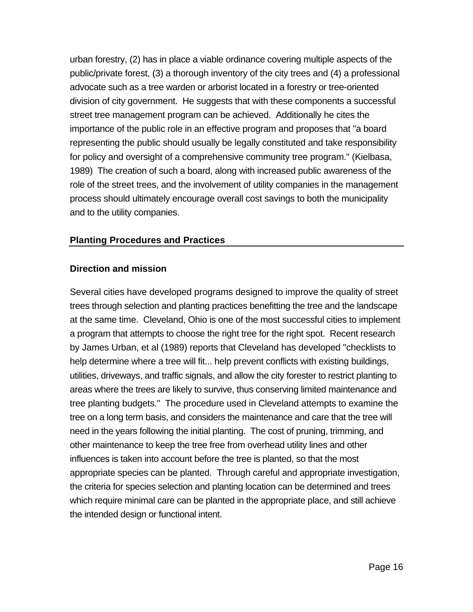urban forestry, (2) has in place a viable ordinance covering multiple aspects of the public/private forest, (3) a thorough inventory of the city trees and (4) a professional advocate such as a tree warden or arborist located in a forestry or tree-oriented division of city government. He suggests that with these components a successful street tree management program can be achieved. Additionally he cites the importance of the public role in an effective program and proposes that "a board representing the public should usually be legally constituted and take responsibility for policy and oversight of a comprehensive community tree program." (Kielbasa, 1989) The creation of such a board, along with increased public awareness of the role of the street trees, and the involvement of utility companies in the management process should ultimately encourage overall cost savings to both the municipality and to the utility companies.

#### **Planting Procedures and Practices**

#### **Direction and mission**

Several cities have developed programs designed to improve the quality of street trees through selection and planting practices benefitting the tree and the landscape at the same time. Cleveland, Ohio is one of the most successful cities to implement a program that attempts to choose the right tree for the right spot. Recent research by James Urban, et al (1989) reports that Cleveland has developed "checklists to help determine where a tree will fit... help prevent conflicts with existing buildings, utilities, driveways, and traffic signals, and allow the city forester to restrict planting to areas where the trees are likely to survive, thus conserving limited maintenance and tree planting budgets." The procedure used in Cleveland attempts to examine the tree on a long term basis, and considers the maintenance and care that the tree will need in the years following the initial planting. The cost of pruning, trimming, and other maintenance to keep the tree free from overhead utility lines and other influences is taken into account before the tree is planted, so that the most appropriate species can be planted. Through careful and appropriate investigation, the criteria for species selection and planting location can be determined and trees which require minimal care can be planted in the appropriate place, and still achieve the intended design or functional intent.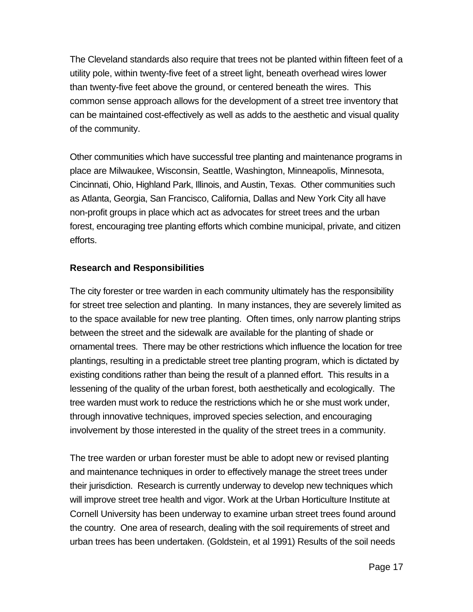The Cleveland standards also require that trees not be planted within fifteen feet of a utility pole, within twenty-five feet of a street light, beneath overhead wires lower than twenty-five feet above the ground, or centered beneath the wires. This common sense approach allows for the development of a street tree inventory that can be maintained cost-effectively as well as adds to the aesthetic and visual quality of the community.

Other communities which have successful tree planting and maintenance programs in place are Milwaukee, Wisconsin, Seattle, Washington, Minneapolis, Minnesota, Cincinnati, Ohio, Highland Park, Illinois, and Austin, Texas. Other communities such as Atlanta, Georgia, San Francisco, California, Dallas and New York City all have non-profit groups in place which act as advocates for street trees and the urban forest, encouraging tree planting efforts which combine municipal, private, and citizen efforts.

## **Research and Responsibilities**

The city forester or tree warden in each community ultimately has the responsibility for street tree selection and planting. In many instances, they are severely limited as to the space available for new tree planting. Often times, only narrow planting strips between the street and the sidewalk are available for the planting of shade or ornamental trees. There may be other restrictions which influence the location for tree plantings, resulting in a predictable street tree planting program, which is dictated by existing conditions rather than being the result of a planned effort. This results in a lessening of the quality of the urban forest, both aesthetically and ecologically. The tree warden must work to reduce the restrictions which he or she must work under, through innovative techniques, improved species selection, and encouraging involvement by those interested in the quality of the street trees in a community.

The tree warden or urban forester must be able to adopt new or revised planting and maintenance techniques in order to effectively manage the street trees under their jurisdiction. Research is currently underway to develop new techniques which will improve street tree health and vigor. Work at the Urban Horticulture Institute at Cornell University has been underway to examine urban street trees found around the country. One area of research, dealing with the soil requirements of street and urban trees has been undertaken. (Goldstein, et al 1991) Results of the soil needs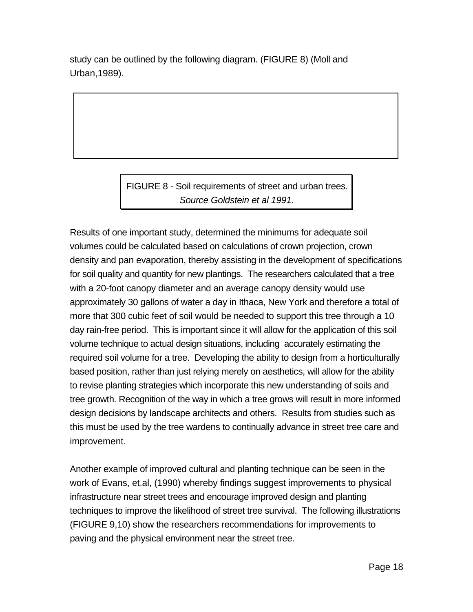study can be outlined by the following diagram. (FIGURE 8) (Moll and Urban,1989).

> FIGURE 8 - Soil requirements of street and urban trees. *Source Goldstein et al 1991.*

Results of one important study, determined the minimums for adequate soil volumes could be calculated based on calculations of crown projection, crown density and pan evaporation, thereby assisting in the development of specifications for soil quality and quantity for new plantings. The researchers calculated that a tree with a 20-foot canopy diameter and an average canopy density would use approximately 30 gallons of water a day in Ithaca, New York and therefore a total of more that 300 cubic feet of soil would be needed to support this tree through a 10 day rain-free period. This is important since it will allow for the application of this soil volume technique to actual design situations, including accurately estimating the required soil volume for a tree. Developing the ability to design from a horticulturally based position, rather than just relying merely on aesthetics, will allow for the ability to revise planting strategies which incorporate this new understanding of soils and tree growth. Recognition of the way in which a tree grows will result in more informed design decisions by landscape architects and others. Results from studies such as this must be used by the tree wardens to continually advance in street tree care and improvement.

Another example of improved cultural and planting technique can be seen in the work of Evans, et.al, (1990) whereby findings suggest improvements to physical infrastructure near street trees and encourage improved design and planting techniques to improve the likelihood of street tree survival. The following illustrations (FIGURE 9,10) show the researchers recommendations for improvements to paving and the physical environment near the street tree.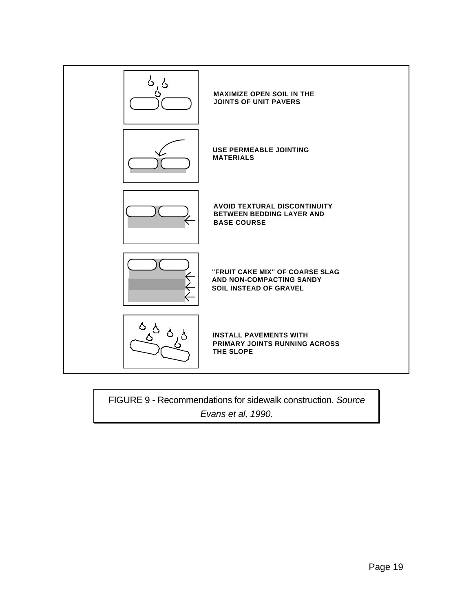

FIGURE 9 - Recommendations for sidewalk construction. *Source Evans et al, 1990.*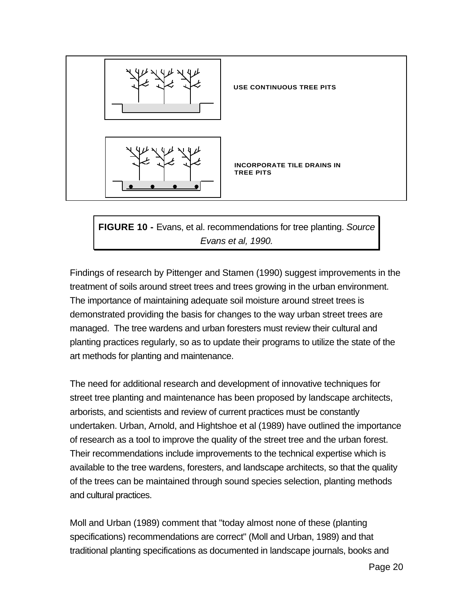

**FIGURE 10 -** Evans, et al. recommendations for tree planting. *Source Evans et al, 1990.*

Findings of research by Pittenger and Stamen (1990) suggest improvements in the treatment of soils around street trees and trees growing in the urban environment. The importance of maintaining adequate soil moisture around street trees is demonstrated providing the basis for changes to the way urban street trees are managed. The tree wardens and urban foresters must review their cultural and planting practices regularly, so as to update their programs to utilize the state of the art methods for planting and maintenance.

The need for additional research and development of innovative techniques for street tree planting and maintenance has been proposed by landscape architects, arborists, and scientists and review of current practices must be constantly undertaken. Urban, Arnold, and Hightshoe et al (1989) have outlined the importance of research as a tool to improve the quality of the street tree and the urban forest. Their recommendations include improvements to the technical expertise which is available to the tree wardens, foresters, and landscape architects, so that the quality of the trees can be maintained through sound species selection, planting methods and cultural practices.

Moll and Urban (1989) comment that "today almost none of these (planting specifications) recommendations are correct" (Moll and Urban, 1989) and that traditional planting specifications as documented in landscape journals, books and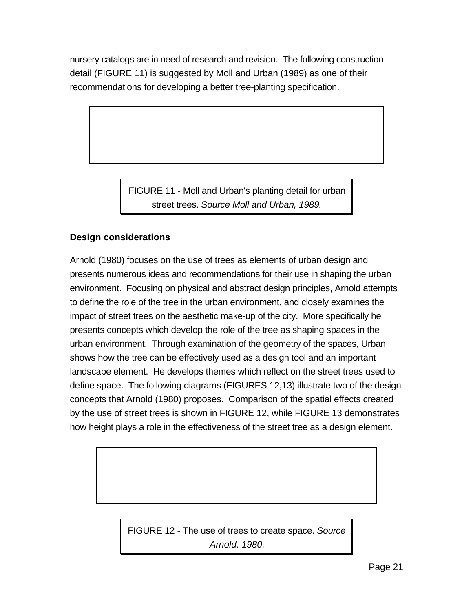nursery catalogs are in need of research and revision. The following construction detail (FIGURE 11) is suggested by Moll and Urban (1989) as one of their recommendations for developing a better tree-planting specification.

> FIGURE 11 - Moll and Urban's planting detail for urban street trees. *Source Moll and Urban, 1989.*

# **Design considerations**

Arnold (1980) focuses on the use of trees as elements of urban design and presents numerous ideas and recommendations for their use in shaping the urban environment. Focusing on physical and abstract design principles, Arnold attempts to define the role of the tree in the urban environment, and closely examines the impact of street trees on the aesthetic make-up of the city. More specifically he presents concepts which develop the role of the tree as shaping spaces in the urban environment. Through examination of the geometry of the spaces, Urban shows how the tree can be effectively used as a design tool and an important landscape element. He develops themes which reflect on the street trees used to define space. The following diagrams (FIGURES 12,13) illustrate two of the design concepts that Arnold (1980) proposes. Comparison of the spatial effects created by the use of street trees is shown in FIGURE 12, while FIGURE 13 demonstrates how height plays a role in the effectiveness of the street tree as a design element.

> FIGURE 12 - The use of trees to create space. *Source Arnold, 1980.*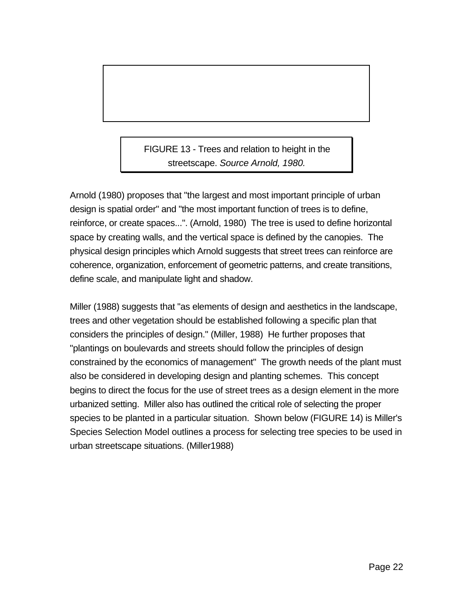FIGURE 13 - Trees and relation to height in the streetscape. *Source Arnold, 1980.*

Arnold (1980) proposes that "the largest and most important principle of urban design is spatial order" and "the most important function of trees is to define, reinforce, or create spaces...". (Arnold, 1980) The tree is used to define horizontal space by creating walls, and the vertical space is defined by the canopies. The physical design principles which Arnold suggests that street trees can reinforce are coherence, organization, enforcement of geometric patterns, and create transitions, define scale, and manipulate light and shadow.

Miller (1988) suggests that "as elements of design and aesthetics in the landscape, trees and other vegetation should be established following a specific plan that considers the principles of design." (Miller, 1988) He further proposes that "plantings on boulevards and streets should follow the principles of design constrained by the economics of management" The growth needs of the plant must also be considered in developing design and planting schemes. This concept begins to direct the focus for the use of street trees as a design element in the more urbanized setting. Miller also has outlined the critical role of selecting the proper species to be planted in a particular situation. Shown below (FIGURE 14) is Miller's Species Selection Model outlines a process for selecting tree species to be used in urban streetscape situations. (Miller1988)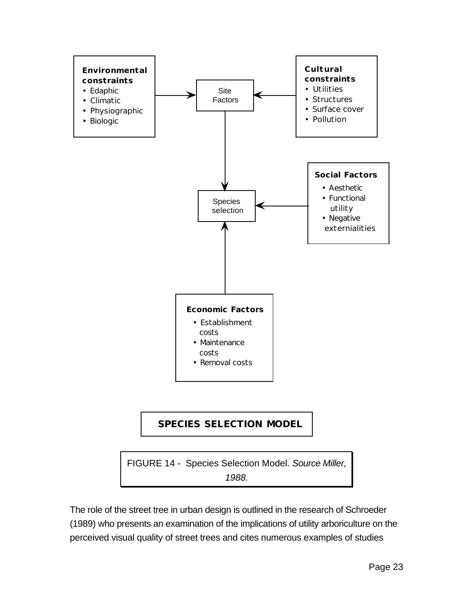

# **SPECIES SELECTION MODEL**

FIGURE 14 - Species Selection Model. *Source Miller, 1988.*

The role of the street tree in urban design is outlined in the research of Schroeder (1989) who presents an examination of the implications of utility arboriculture on the perceived visual quality of street trees and cites numerous examples of studies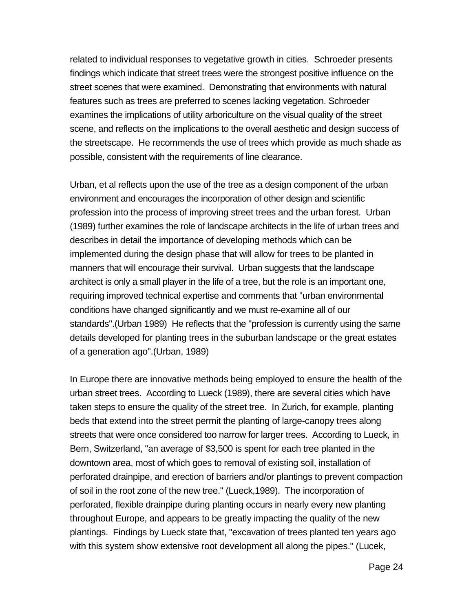related to individual responses to vegetative growth in cities. Schroeder presents findings which indicate that street trees were the strongest positive influence on the street scenes that were examined. Demonstrating that environments with natural features such as trees are preferred to scenes lacking vegetation. Schroeder examines the implications of utility arboriculture on the visual quality of the street scene, and reflects on the implications to the overall aesthetic and design success of the streetscape. He recommends the use of trees which provide as much shade as possible, consistent with the requirements of line clearance.

Urban, et al reflects upon the use of the tree as a design component of the urban environment and encourages the incorporation of other design and scientific profession into the process of improving street trees and the urban forest. Urban (1989) further examines the role of landscape architects in the life of urban trees and describes in detail the importance of developing methods which can be implemented during the design phase that will allow for trees to be planted in manners that will encourage their survival. Urban suggests that the landscape architect is only a small player in the life of a tree, but the role is an important one, requiring improved technical expertise and comments that "urban environmental conditions have changed significantly and we must re-examine all of our standards".(Urban 1989) He reflects that the "profession is currently using the same details developed for planting trees in the suburban landscape or the great estates of a generation ago".(Urban, 1989)

In Europe there are innovative methods being employed to ensure the health of the urban street trees. According to Lueck (1989), there are several cities which have taken steps to ensure the quality of the street tree. In Zurich, for example, planting beds that extend into the street permit the planting of large-canopy trees along streets that were once considered too narrow for larger trees. According to Lueck, in Bern, Switzerland, "an average of \$3,500 is spent for each tree planted in the downtown area, most of which goes to removal of existing soil, installation of perforated drainpipe, and erection of barriers and/or plantings to prevent compaction of soil in the root zone of the new tree." (Lueck,1989). The incorporation of perforated, flexible drainpipe during planting occurs in nearly every new planting throughout Europe, and appears to be greatly impacting the quality of the new plantings. Findings by Lueck state that, "excavation of trees planted ten years ago with this system show extensive root development all along the pipes." (Lucek,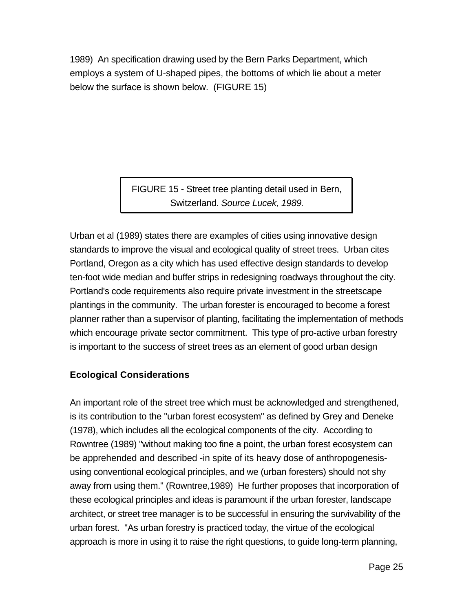1989) An specification drawing used by the Bern Parks Department, which employs a system of U-shaped pipes, the bottoms of which lie about a meter below the surface is shown below. (FIGURE 15)

> FIGURE 15 - Street tree planting detail used in Bern, Switzerland. *Source Lucek, 1989.*

Urban et al (1989) states there are examples of cities using innovative design standards to improve the visual and ecological quality of street trees. Urban cites Portland, Oregon as a city which has used effective design standards to develop ten-foot wide median and buffer strips in redesigning roadways throughout the city. Portland's code requirements also require private investment in the streetscape plantings in the community. The urban forester is encouraged to become a forest planner rather than a supervisor of planting, facilitating the implementation of methods which encourage private sector commitment. This type of pro-active urban forestry is important to the success of street trees as an element of good urban design

# **Ecological Considerations**

An important role of the street tree which must be acknowledged and strengthened, is its contribution to the "urban forest ecosystem" as defined by Grey and Deneke (1978), which includes all the ecological components of the city. According to Rowntree (1989) "without making too fine a point, the urban forest ecosystem can be apprehended and described -in spite of its heavy dose of anthropogenesisusing conventional ecological principles, and we (urban foresters) should not shy away from using them." (Rowntree,1989) He further proposes that incorporation of these ecological principles and ideas is paramount if the urban forester, landscape architect, or street tree manager is to be successful in ensuring the survivability of the urban forest. "As urban forestry is practiced today, the virtue of the ecological approach is more in using it to raise the right questions, to guide long-term planning,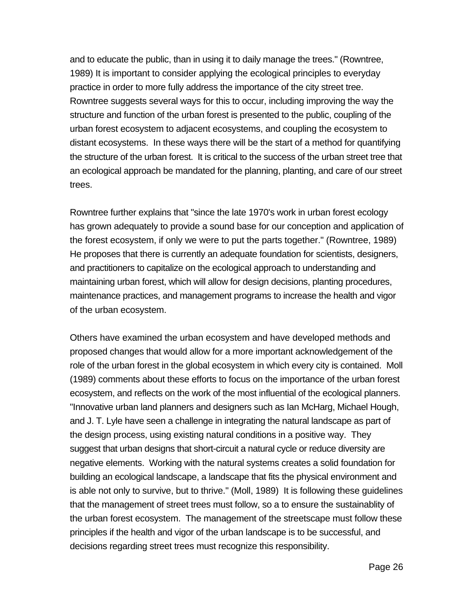and to educate the public, than in using it to daily manage the trees." (Rowntree, 1989) It is important to consider applying the ecological principles to everyday practice in order to more fully address the importance of the city street tree. Rowntree suggests several ways for this to occur, including improving the way the structure and function of the urban forest is presented to the public, coupling of the urban forest ecosystem to adjacent ecosystems, and coupling the ecosystem to distant ecosystems. In these ways there will be the start of a method for quantifying the structure of the urban forest. It is critical to the success of the urban street tree that an ecological approach be mandated for the planning, planting, and care of our street trees.

Rowntree further explains that "since the late 1970's work in urban forest ecology has grown adequately to provide a sound base for our conception and application of the forest ecosystem, if only we were to put the parts together." (Rowntree, 1989) He proposes that there is currently an adequate foundation for scientists, designers, and practitioners to capitalize on the ecological approach to understanding and maintaining urban forest, which will allow for design decisions, planting procedures, maintenance practices, and management programs to increase the health and vigor of the urban ecosystem.

Others have examined the urban ecosystem and have developed methods and proposed changes that would allow for a more important acknowledgement of the role of the urban forest in the global ecosystem in which every city is contained. Moll (1989) comments about these efforts to focus on the importance of the urban forest ecosystem, and reflects on the work of the most influential of the ecological planners. "Innovative urban land planners and designers such as Ian McHarg, Michael Hough, and J. T. Lyle have seen a challenge in integrating the natural landscape as part of the design process, using existing natural conditions in a positive way. They suggest that urban designs that short-circuit a natural cycle or reduce diversity are negative elements. Working with the natural systems creates a solid foundation for building an ecological landscape, a landscape that fits the physical environment and is able not only to survive, but to thrive." (Moll, 1989) It is following these guidelines that the management of street trees must follow, so a to ensure the sustainablity of the urban forest ecosystem. The management of the streetscape must follow these principles if the health and vigor of the urban landscape is to be successful, and decisions regarding street trees must recognize this responsibility.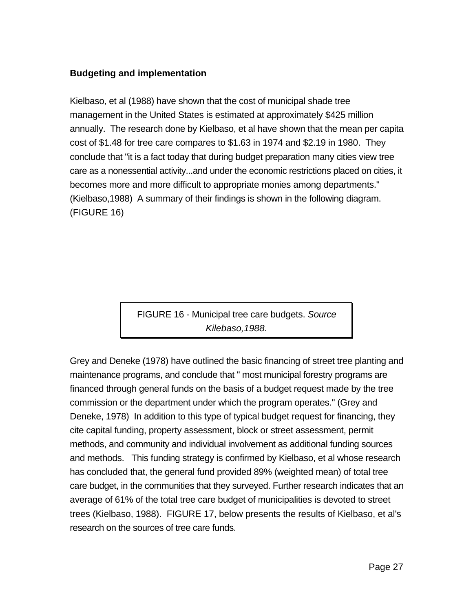# **Budgeting and implementation**

Kielbaso, et al (1988) have shown that the cost of municipal shade tree management in the United States is estimated at approximately \$425 million annually. The research done by Kielbaso, et al have shown that the mean per capita cost of \$1.48 for tree care compares to \$1.63 in 1974 and \$2.19 in 1980. They conclude that "it is a fact today that during budget preparation many cities view tree care as a nonessential activity...and under the economic restrictions placed on cities, it becomes more and more difficult to appropriate monies among departments." (Kielbaso,1988) A summary of their findings is shown in the following diagram. (FIGURE 16)

> FIGURE 16 - Municipal tree care budgets. *Source Kilebaso,1988.*

Grey and Deneke (1978) have outlined the basic financing of street tree planting and maintenance programs, and conclude that " most municipal forestry programs are financed through general funds on the basis of a budget request made by the tree commission or the department under which the program operates." (Grey and Deneke, 1978) In addition to this type of typical budget request for financing, they cite capital funding, property assessment, block or street assessment, permit methods, and community and individual involvement as additional funding sources and methods. This funding strategy is confirmed by Kielbaso, et al whose research has concluded that, the general fund provided 89% (weighted mean) of total tree care budget, in the communities that they surveyed. Further research indicates that an average of 61% of the total tree care budget of municipalities is devoted to street trees (Kielbaso, 1988). FIGURE 17, below presents the results of Kielbaso, et al's research on the sources of tree care funds.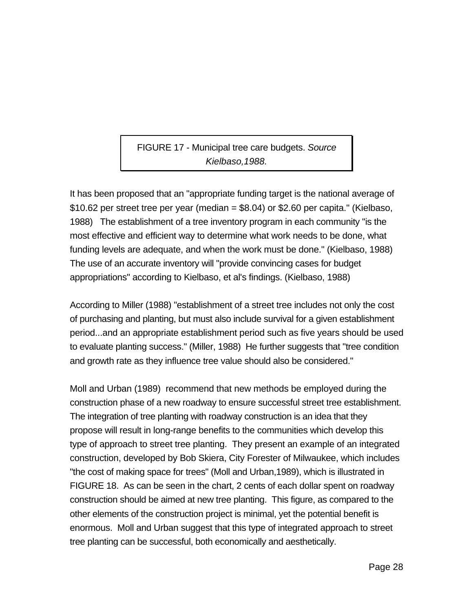FIGURE 17 - Municipal tree care budgets. *Source Kielbaso,1988.*

It has been proposed that an "appropriate funding target is the national average of  $$10.62$  per street tree per year (median =  $$8.04$ ) or  $$2.60$  per capita." (Kielbaso, 1988) The establishment of a tree inventory program in each community "is the most effective and efficient way to determine what work needs to be done, what funding levels are adequate, and when the work must be done." (Kielbaso, 1988) The use of an accurate inventory will "provide convincing cases for budget appropriations" according to Kielbaso, et al's findings. (Kielbaso, 1988)

According to Miller (1988) "establishment of a street tree includes not only the cost of purchasing and planting, but must also include survival for a given establishment period...and an appropriate establishment period such as five years should be used to evaluate planting success." (Miller, 1988) He further suggests that "tree condition and growth rate as they influence tree value should also be considered."

Moll and Urban (1989) recommend that new methods be employed during the construction phase of a new roadway to ensure successful street tree establishment. The integration of tree planting with roadway construction is an idea that they propose will result in long-range benefits to the communities which develop this type of approach to street tree planting. They present an example of an integrated construction, developed by Bob Skiera, City Forester of Milwaukee, which includes "the cost of making space for trees" (Moll and Urban,1989), which is illustrated in FIGURE 18. As can be seen in the chart, 2 cents of each dollar spent on roadway construction should be aimed at new tree planting. This figure, as compared to the other elements of the construction project is minimal, yet the potential benefit is enormous. Moll and Urban suggest that this type of integrated approach to street tree planting can be successful, both economically and aesthetically.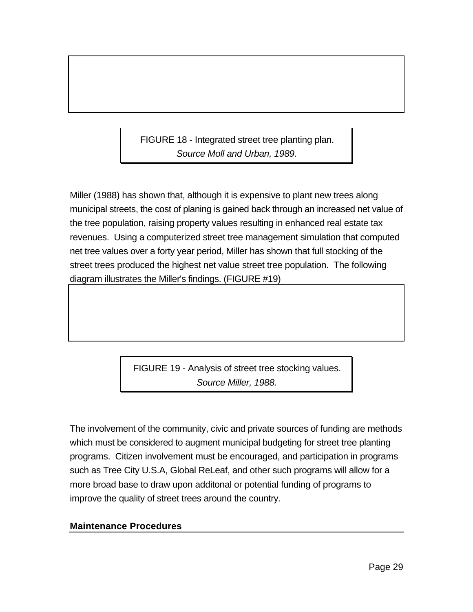FIGURE 18 - Integrated street tree planting plan. *Source Moll and Urban, 1989.*

Miller (1988) has shown that, although it is expensive to plant new trees along municipal streets, the cost of planing is gained back through an increased net value of the tree population, raising property values resulting in enhanced real estate tax revenues. Using a computerized street tree management simulation that computed net tree values over a forty year period, Miller has shown that full stocking of the street trees produced the highest net value street tree population. The following diagram illustrates the Miller's findings. (FIGURE #19)

> FIGURE 19 - Analysis of street tree stocking values. *Source Miller, 1988.*

The involvement of the community, civic and private sources of funding are methods which must be considered to augment municipal budgeting for street tree planting programs. Citizen involvement must be encouraged, and participation in programs such as Tree City U.S.A, Global ReLeaf, and other such programs will allow for a more broad base to draw upon additonal or potential funding of programs to improve the quality of street trees around the country.

## **Maintenance Procedures**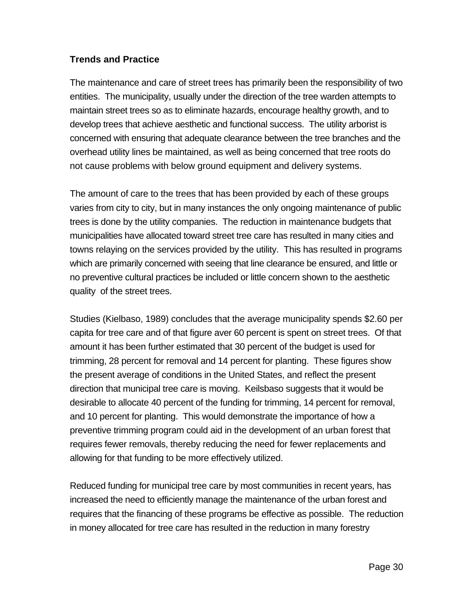## **Trends and Practice**

The maintenance and care of street trees has primarily been the responsibility of two entities. The municipality, usually under the direction of the tree warden attempts to maintain street trees so as to eliminate hazards, encourage healthy growth, and to develop trees that achieve aesthetic and functional success. The utility arborist is concerned with ensuring that adequate clearance between the tree branches and the overhead utility lines be maintained, as well as being concerned that tree roots do not cause problems with below ground equipment and delivery systems.

The amount of care to the trees that has been provided by each of these groups varies from city to city, but in many instances the only ongoing maintenance of public trees is done by the utility companies. The reduction in maintenance budgets that municipalities have allocated toward street tree care has resulted in many cities and towns relaying on the services provided by the utility. This has resulted in programs which are primarily concerned with seeing that line clearance be ensured, and little or no preventive cultural practices be included or little concern shown to the aesthetic quality of the street trees.

Studies (Kielbaso, 1989) concludes that the average municipality spends \$2.60 per capita for tree care and of that figure aver 60 percent is spent on street trees. Of that amount it has been further estimated that 30 percent of the budget is used for trimming, 28 percent for removal and 14 percent for planting. These figures show the present average of conditions in the United States, and reflect the present direction that municipal tree care is moving. Keilsbaso suggests that it would be desirable to allocate 40 percent of the funding for trimming, 14 percent for removal, and 10 percent for planting. This would demonstrate the importance of how a preventive trimming program could aid in the development of an urban forest that requires fewer removals, thereby reducing the need for fewer replacements and allowing for that funding to be more effectively utilized.

Reduced funding for municipal tree care by most communities in recent years, has increased the need to efficiently manage the maintenance of the urban forest and requires that the financing of these programs be effective as possible. The reduction in money allocated for tree care has resulted in the reduction in many forestry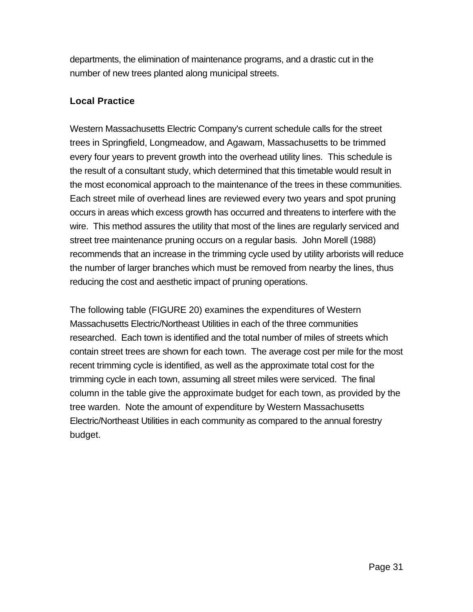departments, the elimination of maintenance programs, and a drastic cut in the number of new trees planted along municipal streets.

# **Local Practice**

Western Massachusetts Electric Company's current schedule calls for the street trees in Springfield, Longmeadow, and Agawam, Massachusetts to be trimmed every four years to prevent growth into the overhead utility lines. This schedule is the result of a consultant study, which determined that this timetable would result in the most economical approach to the maintenance of the trees in these communities. Each street mile of overhead lines are reviewed every two years and spot pruning occurs in areas which excess growth has occurred and threatens to interfere with the wire. This method assures the utility that most of the lines are regularly serviced and street tree maintenance pruning occurs on a regular basis. John Morell (1988) recommends that an increase in the trimming cycle used by utility arborists will reduce the number of larger branches which must be removed from nearby the lines, thus reducing the cost and aesthetic impact of pruning operations.

The following table (FIGURE 20) examines the expenditures of Western Massachusetts Electric/Northeast Utilities in each of the three communities researched. Each town is identified and the total number of miles of streets which contain street trees are shown for each town. The average cost per mile for the most recent trimming cycle is identified, as well as the approximate total cost for the trimming cycle in each town, assuming all street miles were serviced. The final column in the table give the approximate budget for each town, as provided by the tree warden. Note the amount of expenditure by Western Massachusetts Electric/Northeast Utilities in each community as compared to the annual forestry budget.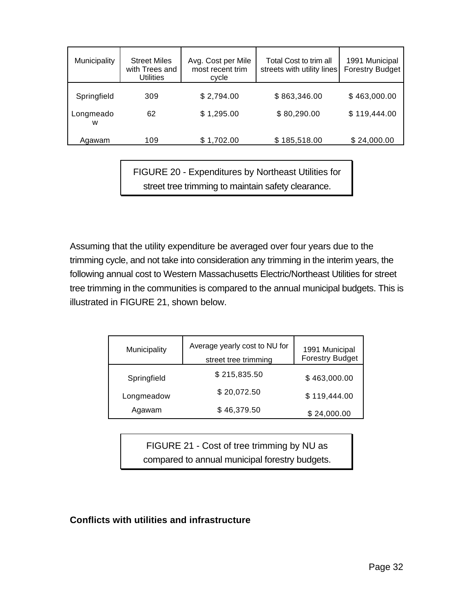| Municipality   | <b>Street Miles</b><br>with Trees and<br><b>Utilities</b> | Avg. Cost per Mile<br>most recent trim<br>cycle | Total Cost to trim all<br>streets with utility lines | 1991 Municipal<br><b>Forestry Budget</b> |
|----------------|-----------------------------------------------------------|-------------------------------------------------|------------------------------------------------------|------------------------------------------|
| Springfield    | 309                                                       | \$2,794.00                                      | \$863,346.00                                         | \$463,000.00                             |
| Longmeado<br>w | 62                                                        | \$1,295.00                                      | \$80,290.00                                          | \$119,444.00                             |
| Agawam         | 109                                                       | \$1,702.00                                      | \$185,518.00                                         | \$24,000.00                              |

FIGURE 20 - Expenditures by Northeast Utilities for street tree trimming to maintain safety clearance.

Assuming that the utility expenditure be averaged over four years due to the trimming cycle, and not take into consideration any trimming in the interim years, the following annual cost to Western Massachusetts Electric/Northeast Utilities for street tree trimming in the communities is compared to the annual municipal budgets. This is illustrated in FIGURE 21, shown below.

| Municipality | Average yearly cost to NU for<br>street tree trimming | 1991 Municipal<br><b>Forestry Budget</b> |
|--------------|-------------------------------------------------------|------------------------------------------|
| Springfield  | \$215,835.50                                          | \$463,000.00                             |
| Longmeadow   | \$20,072.50                                           | \$119,444.00                             |
| Agawam       | \$46,379.50                                           | \$24,000.00                              |

FIGURE 21 - Cost of tree trimming by NU as compared to annual municipal forestry budgets.

#### **Conflicts with utilities and infrastructure**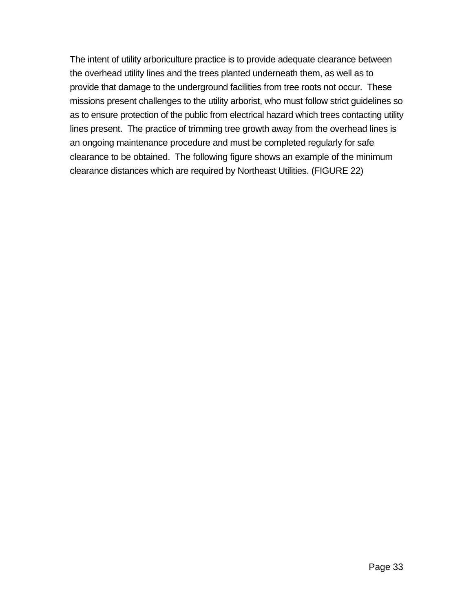The intent of utility arboriculture practice is to provide adequate clearance between the overhead utility lines and the trees planted underneath them, as well as to provide that damage to the underground facilities from tree roots not occur. These missions present challenges to the utility arborist, who must follow strict guidelines so as to ensure protection of the public from electrical hazard which trees contacting utility lines present. The practice of trimming tree growth away from the overhead lines is an ongoing maintenance procedure and must be completed regularly for safe clearance to be obtained. The following figure shows an example of the minimum clearance distances which are required by Northeast Utilities. (FIGURE 22)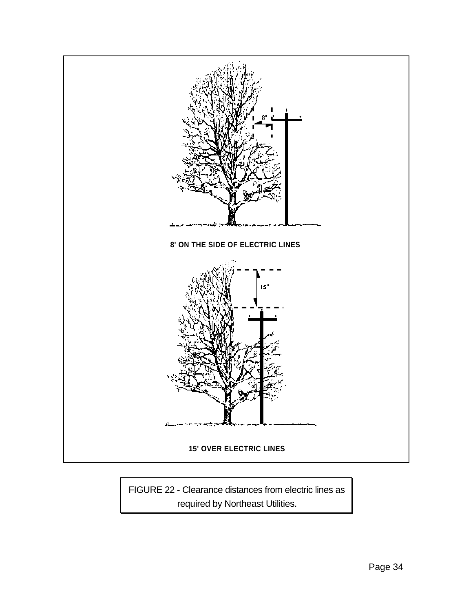

FIGURE 22 - Clearance distances from electric lines as required by Northeast Utilities.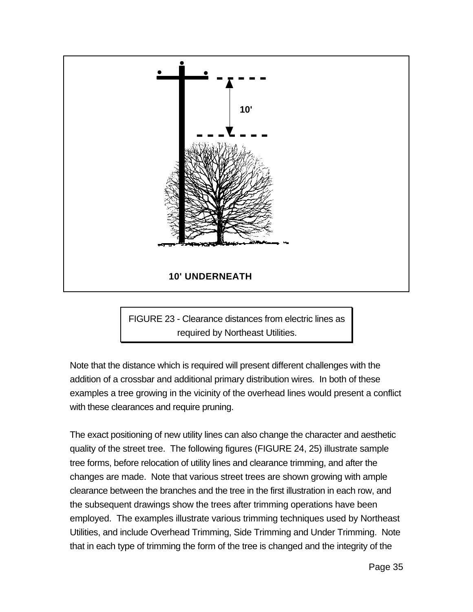

FIGURE 23 - Clearance distances from electric lines as required by Northeast Utilities.

Note that the distance which is required will present different challenges with the addition of a crossbar and additional primary distribution wires. In both of these examples a tree growing in the vicinity of the overhead lines would present a conflict with these clearances and require pruning.

The exact positioning of new utility lines can also change the character and aesthetic quality of the street tree. The following figures (FIGURE 24, 25) illustrate sample tree forms, before relocation of utility lines and clearance trimming, and after the changes are made. Note that various street trees are shown growing with ample clearance between the branches and the tree in the first illustration in each row, and the subsequent drawings show the trees after trimming operations have been employed. The examples illustrate various trimming techniques used by Northeast Utilities, and include Overhead Trimming, Side Trimming and Under Trimming. Note that in each type of trimming the form of the tree is changed and the integrity of the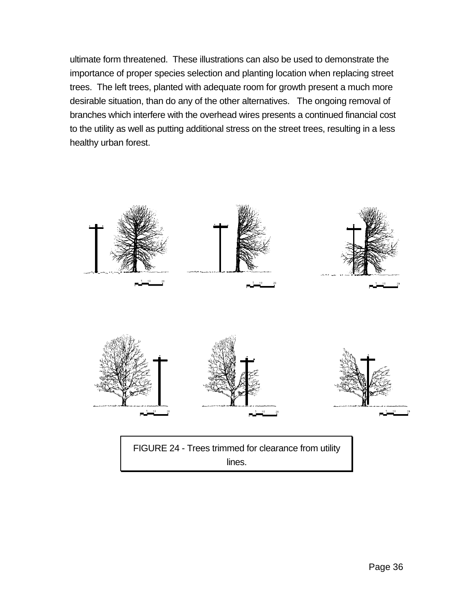ultimate form threatened. These illustrations can also be used to demonstrate the importance of proper species selection and planting location when replacing street trees. The left trees, planted with adequate room for growth present a much more desirable situation, than do any of the other alternatives. The ongoing removal of branches which interfere with the overhead wires presents a continued financial cost to the utility as well as putting additional stress on the street trees, resulting in a less healthy urban forest.

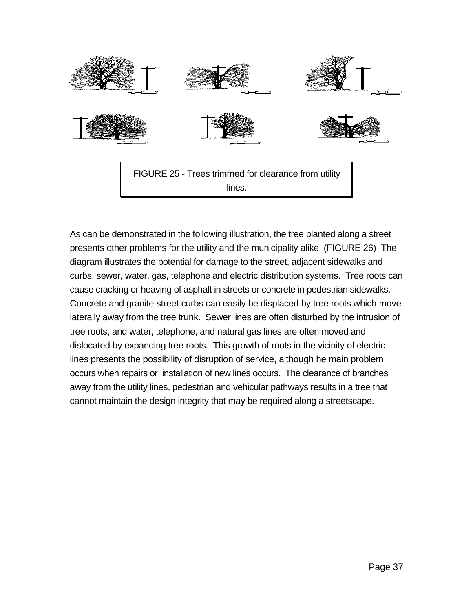

As can be demonstrated in the following illustration, the tree planted along a street presents other problems for the utility and the municipality alike. (FIGURE 26) The diagram illustrates the potential for damage to the street, adjacent sidewalks and curbs, sewer, water, gas, telephone and electric distribution systems. Tree roots can cause cracking or heaving of asphalt in streets or concrete in pedestrian sidewalks. Concrete and granite street curbs can easily be displaced by tree roots which move laterally away from the tree trunk. Sewer lines are often disturbed by the intrusion of tree roots, and water, telephone, and natural gas lines are often moved and dislocated by expanding tree roots. This growth of roots in the vicinity of electric lines presents the possibility of disruption of service, although he main problem occurs when repairs or installation of new lines occurs. The clearance of branches away from the utility lines, pedestrian and vehicular pathways results in a tree that cannot maintain the design integrity that may be required along a streetscape.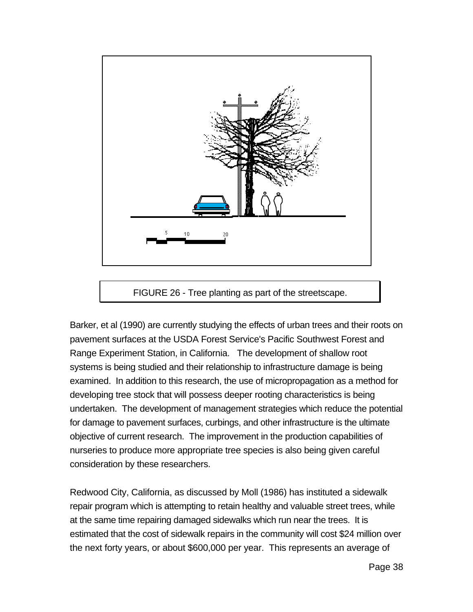

### FIGURE 26 - Tree planting as part of the streetscape.

Barker, et al (1990) are currently studying the effects of urban trees and their roots on pavement surfaces at the USDA Forest Service's Pacific Southwest Forest and Range Experiment Station, in California. The development of shallow root systems is being studied and their relationship to infrastructure damage is being examined. In addition to this research, the use of micropropagation as a method for developing tree stock that will possess deeper rooting characteristics is being undertaken. The development of management strategies which reduce the potential for damage to pavement surfaces, curbings, and other infrastructure is the ultimate objective of current research. The improvement in the production capabilities of nurseries to produce more appropriate tree species is also being given careful consideration by these researchers.

Redwood City, California, as discussed by Moll (1986) has instituted a sidewalk repair program which is attempting to retain healthy and valuable street trees, while at the same time repairing damaged sidewalks which run near the trees. It is estimated that the cost of sidewalk repairs in the community will cost \$24 million over the next forty years, or about \$600,000 per year. This represents an average of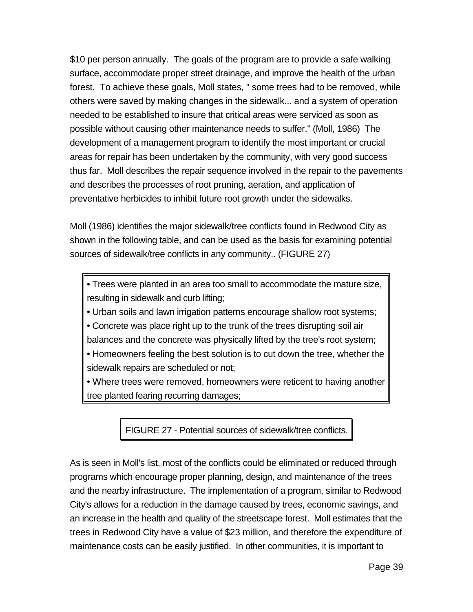\$10 per person annually. The goals of the program are to provide a safe walking surface, accommodate proper street drainage, and improve the health of the urban forest. To achieve these goals, Moll states, " some trees had to be removed, while others were saved by making changes in the sidewalk... and a system of operation needed to be established to insure that critical areas were serviced as soon as possible without causing other maintenance needs to suffer." (Moll, 1986) The development of a management program to identify the most important or crucial areas for repair has been undertaken by the community, with very good success thus far. Moll describes the repair sequence involved in the repair to the pavements and describes the processes of root pruning, aeration, and application of preventative herbicides to inhibit future root growth under the sidewalks.

Moll (1986) identifies the major sidewalk/tree conflicts found in Redwood City as shown in the following table, and can be used as the basis for examining potential sources of sidewalk/tree conflicts in any community.. (FIGURE 27)

• Trees were planted in an area too small to accommodate the mature size, resulting in sidewalk and curb lifting;

• Urban soils and lawn irrigation patterns encourage shallow root systems;

• Concrete was place right up to the trunk of the trees disrupting soil air

balances and the concrete was physically lifted by the tree's root system;

• Homeowners feeling the best solution is to cut down the tree, whether the sidewalk repairs are scheduled or not;

• Where trees were removed, homeowners were reticent to having another tree planted fearing recurring damages;

FIGURE 27 - Potential sources of sidewalk/tree conflicts.

As is seen in Moll's list, most of the conflicts could be eliminated or reduced through programs which encourage proper planning, design, and maintenance of the trees and the nearby infrastructure. The implementation of a program, similar to Redwood City's allows for a reduction in the damage caused by trees, economic savings, and an increase in the health and quality of the streetscape forest. Moll estimates that the trees in Redwood City have a value of \$23 million, and therefore the expenditure of maintenance costs can be easily justified. In other communities, it is important to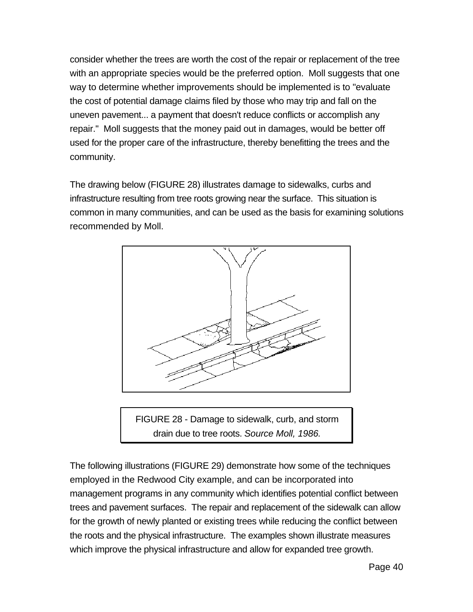consider whether the trees are worth the cost of the repair or replacement of the tree with an appropriate species would be the preferred option. Moll suggests that one way to determine whether improvements should be implemented is to "evaluate the cost of potential damage claims filed by those who may trip and fall on the uneven pavement... a payment that doesn't reduce conflicts or accomplish any repair." Moll suggests that the money paid out in damages, would be better off used for the proper care of the infrastructure, thereby benefitting the trees and the community.

The drawing below (FIGURE 28) illustrates damage to sidewalks, curbs and infrastructure resulting from tree roots growing near the surface. This situation is common in many communities, and can be used as the basis for examining solutions recommended by Moll.



FIGURE 28 - Damage to sidewalk, curb, and storm drain due to tree roots. *Source Moll, 1986.*

The following illustrations (FIGURE 29) demonstrate how some of the techniques employed in the Redwood City example, and can be incorporated into management programs in any community which identifies potential conflict between trees and pavement surfaces. The repair and replacement of the sidewalk can allow for the growth of newly planted or existing trees while reducing the conflict between the roots and the physical infrastructure. The examples shown illustrate measures which improve the physical infrastructure and allow for expanded tree growth.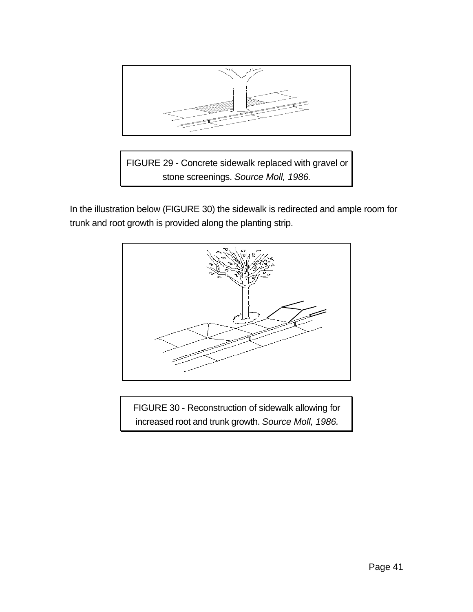

FIGURE 29 - Concrete sidewalk replaced with gravel or stone screenings. *Source Moll, 1986.*

In the illustration below (FIGURE 30) the sidewalk is redirected and ample room for trunk and root growth is provided along the planting strip.



FIGURE 30 - Reconstruction of sidewalk allowing for increased root and trunk growth. *Source Moll, 1986.*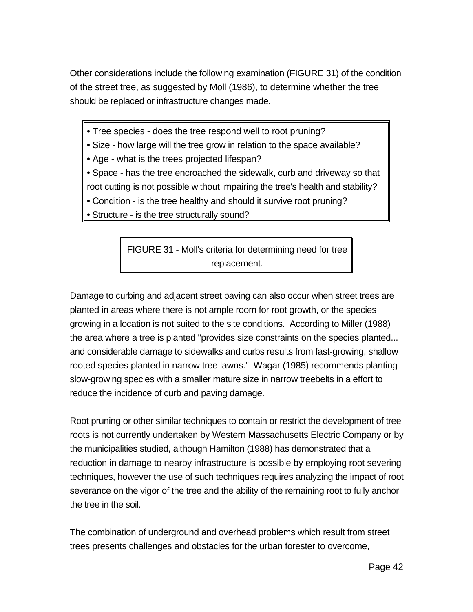Other considerations include the following examination (FIGURE 31) of the condition of the street tree, as suggested by Moll (1986), to determine whether the tree should be replaced or infrastructure changes made.

• Tree species - does the tree respond well to root pruning?

• Size - how large will the tree grow in relation to the space available?

• Age - what is the trees projected lifespan?

• Space - has the tree encroached the sidewalk, curb and driveway so that

root cutting is not possible without impairing the tree's health and stability?

- Condition is the tree healthy and should it survive root pruning?
- Structure is the tree structurally sound?

FIGURE 31 - Moll's criteria for determining need for tree replacement.

Damage to curbing and adjacent street paving can also occur when street trees are planted in areas where there is not ample room for root growth, or the species growing in a location is not suited to the site conditions. According to Miller (1988) the area where a tree is planted "provides size constraints on the species planted... and considerable damage to sidewalks and curbs results from fast-growing, shallow rooted species planted in narrow tree lawns." Wagar (1985) recommends planting slow-growing species with a smaller mature size in narrow treebelts in a effort to reduce the incidence of curb and paving damage.

Root pruning or other similar techniques to contain or restrict the development of tree roots is not currently undertaken by Western Massachusetts Electric Company or by the municipalities studied, although Hamilton (1988) has demonstrated that a reduction in damage to nearby infrastructure is possible by employing root severing techniques, however the use of such techniques requires analyzing the impact of root severance on the vigor of the tree and the ability of the remaining root to fully anchor the tree in the soil.

The combination of underground and overhead problems which result from street trees presents challenges and obstacles for the urban forester to overcome,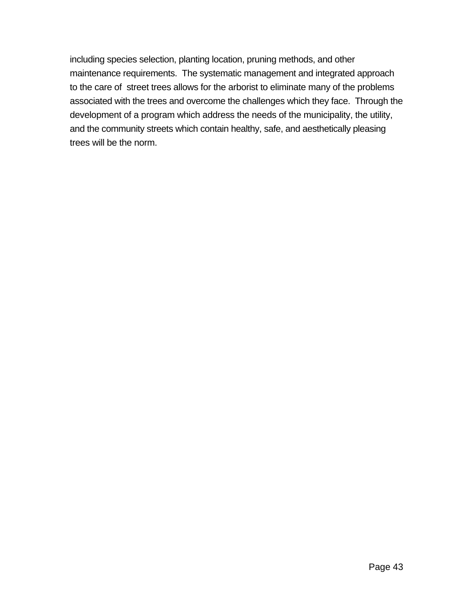including species selection, planting location, pruning methods, and other maintenance requirements. The systematic management and integrated approach to the care of street trees allows for the arborist to eliminate many of the problems associated with the trees and overcome the challenges which they face. Through the development of a program which address the needs of the municipality, the utility, and the community streets which contain healthy, safe, and aesthetically pleasing trees will be the norm.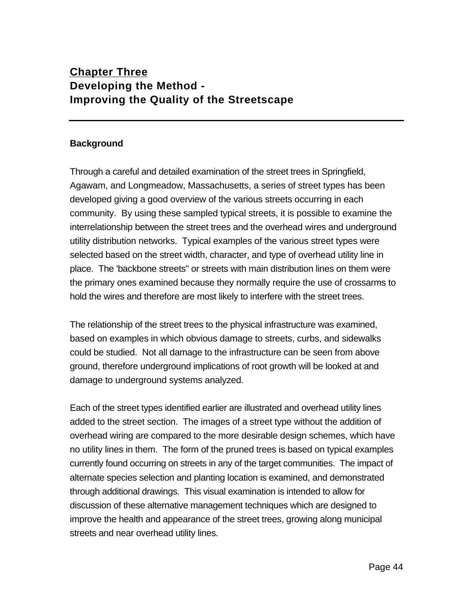# **Chapter Three Developing the Method - Improving the Quality of the Streetscape**

#### **Background**

Through a careful and detailed examination of the street trees in Springfield, Agawam, and Longmeadow, Massachusetts, a series of street types has been developed giving a good overview of the various streets occurring in each community. By using these sampled typical streets, it is possible to examine the interrelationship between the street trees and the overhead wires and underground utility distribution networks. Typical examples of the various street types were selected based on the street width, character, and type of overhead utility line in place. The 'backbone streets" or streets with main distribution lines on them were the primary ones examined because they normally require the use of crossarms to hold the wires and therefore are most likely to interfere with the street trees.

The relationship of the street trees to the physical infrastructure was examined, based on examples in which obvious damage to streets, curbs, and sidewalks could be studied. Not all damage to the infrastructure can be seen from above ground, therefore underground implications of root growth will be looked at and damage to underground systems analyzed.

Each of the street types identified earlier are illustrated and overhead utility lines added to the street section. The images of a street type without the addition of overhead wiring are compared to the more desirable design schemes, which have no utility lines in them. The form of the pruned trees is based on typical examples currently found occurring on streets in any of the target communities. The impact of alternate species selection and planting location is examined, and demonstrated through additional drawings. This visual examination is intended to allow for discussion of these alternative management techniques which are designed to improve the health and appearance of the street trees, growing along municipal streets and near overhead utility lines.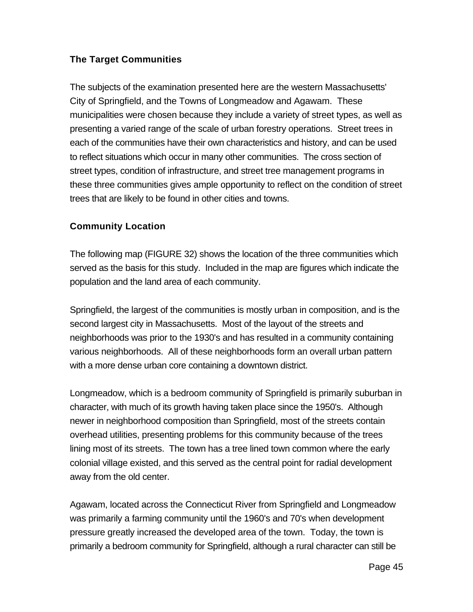# **The Target Communities**

The subjects of the examination presented here are the western Massachusetts' City of Springfield, and the Towns of Longmeadow and Agawam. These municipalities were chosen because they include a variety of street types, as well as presenting a varied range of the scale of urban forestry operations. Street trees in each of the communities have their own characteristics and history, and can be used to reflect situations which occur in many other communities. The cross section of street types, condition of infrastructure, and street tree management programs in these three communities gives ample opportunity to reflect on the condition of street trees that are likely to be found in other cities and towns.

# **Community Location**

The following map (FIGURE 32) shows the location of the three communities which served as the basis for this study. Included in the map are figures which indicate the population and the land area of each community.

Springfield, the largest of the communities is mostly urban in composition, and is the second largest city in Massachusetts. Most of the layout of the streets and neighborhoods was prior to the 1930's and has resulted in a community containing various neighborhoods. All of these neighborhoods form an overall urban pattern with a more dense urban core containing a downtown district.

Longmeadow, which is a bedroom community of Springfield is primarily suburban in character, with much of its growth having taken place since the 1950's. Although newer in neighborhood composition than Springfield, most of the streets contain overhead utilities, presenting problems for this community because of the trees lining most of its streets. The town has a tree lined town common where the early colonial village existed, and this served as the central point for radial development away from the old center.

Agawam, located across the Connecticut River from Springfield and Longmeadow was primarily a farming community until the 1960's and 70's when development pressure greatly increased the developed area of the town. Today, the town is primarily a bedroom community for Springfield, although a rural character can still be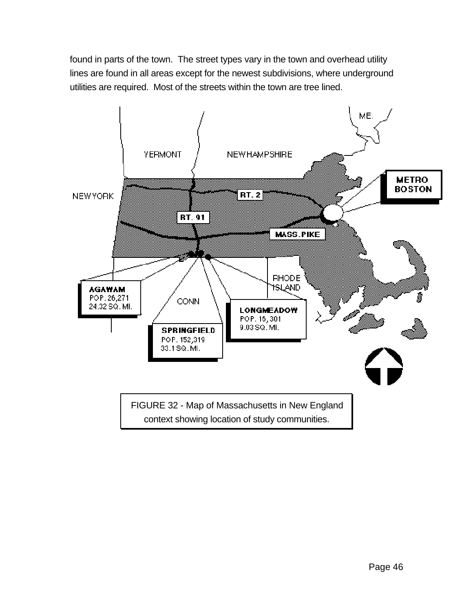found in parts of the town. The street types vary in the town and overhead utility lines are found in all areas except for the newest subdivisions, where underground utilities are required. Most of the streets within the town are tree lined.

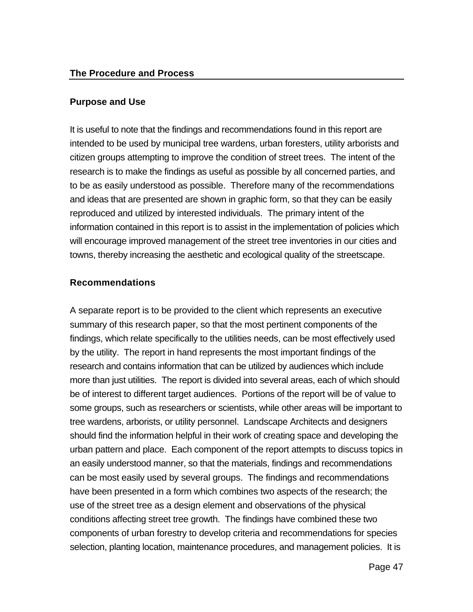## **Purpose and Use**

It is useful to note that the findings and recommendations found in this report are intended to be used by municipal tree wardens, urban foresters, utility arborists and citizen groups attempting to improve the condition of street trees. The intent of the research is to make the findings as useful as possible by all concerned parties, and to be as easily understood as possible. Therefore many of the recommendations and ideas that are presented are shown in graphic form, so that they can be easily reproduced and utilized by interested individuals. The primary intent of the information contained in this report is to assist in the implementation of policies which will encourage improved management of the street tree inventories in our cities and towns, thereby increasing the aesthetic and ecological quality of the streetscape.

# **Recommendations**

A separate report is to be provided to the client which represents an executive summary of this research paper, so that the most pertinent components of the findings, which relate specifically to the utilities needs, can be most effectively used by the utility. The report in hand represents the most important findings of the research and contains information that can be utilized by audiences which include more than just utilities. The report is divided into several areas, each of which should be of interest to different target audiences. Portions of the report will be of value to some groups, such as researchers or scientists, while other areas will be important to tree wardens, arborists, or utility personnel. Landscape Architects and designers should find the information helpful in their work of creating space and developing the urban pattern and place. Each component of the report attempts to discuss topics in an easily understood manner, so that the materials, findings and recommendations can be most easily used by several groups. The findings and recommendations have been presented in a form which combines two aspects of the research; the use of the street tree as a design element and observations of the physical conditions affecting street tree growth. The findings have combined these two components of urban forestry to develop criteria and recommendations for species selection, planting location, maintenance procedures, and management policies. It is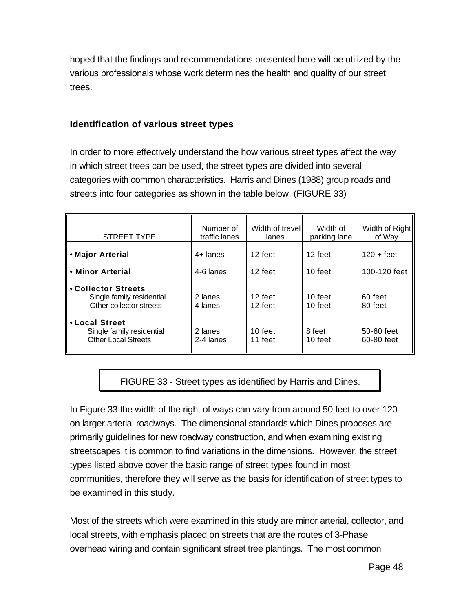hoped that the findings and recommendations presented here will be utilized by the various professionals whose work determines the health and quality of our street trees.

### **Identification of various street types**

In order to more effectively understand the how various street types affect the way in which street trees can be used, the street types are divided into several categories with common characteristics. Harris and Dines (1988) group roads and streets into four categories as shown in the table below. (FIGURE 33)

| <b>STREET TYPE</b>                                                          | Number of<br>traffic lanes | Width of travel<br>lanes | Width of<br>parking lane | Width of Right<br>of Way |
|-----------------------------------------------------------------------------|----------------------------|--------------------------|--------------------------|--------------------------|
| • Major Arterial                                                            | $4+$ lanes                 | 12 feet                  | 12 feet                  | $120 + feet$             |
| • Minor Arterial                                                            | 4-6 lanes                  | 12 feet<br>10 feet       |                          | 100-120 feet             |
| • Collector Streets<br>Single family residential<br>Other collector streets | 2 lanes<br>4 lanes         | 12 feet<br>12 feet       | 10 feet<br>10 feet       | 60 feet<br>80 feet       |
| • Local Street<br>Single family residential<br><b>Other Local Streets</b>   | 2 lanes<br>2-4 lanes       | 10 feet<br>11 feet       | 8 feet<br>10 feet        | 50-60 feet<br>60-80 feet |

FIGURE 33 - Street types as identified by Harris and Dines.

In Figure 33 the width of the right of ways can vary from around 50 feet to over 120 on larger arterial roadways. The dimensional standards which Dines proposes are primarily guidelines for new roadway construction, and when examining existing streetscapes it is common to find variations in the dimensions. However, the street types listed above cover the basic range of street types found in most communities, therefore they will serve as the basis for identification of street types to be examined in this study.

Most of the streets which were examined in this study are minor arterial, collector, and local streets, with emphasis placed on streets that are the routes of 3-Phase overhead wiring and contain significant street tree plantings. The most common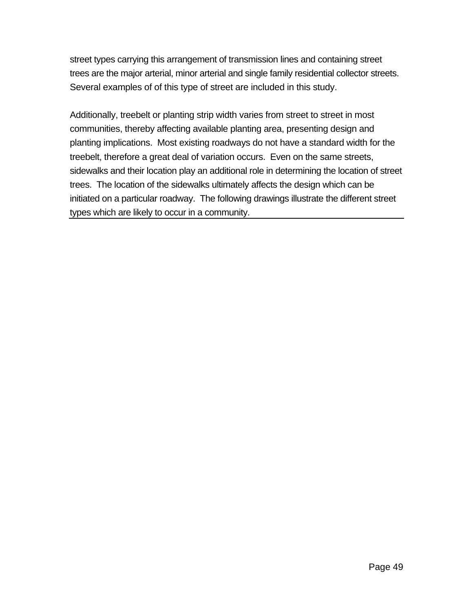street types carrying this arrangement of transmission lines and containing street trees are the major arterial, minor arterial and single family residential collector streets. Several examples of of this type of street are included in this study.

Additionally, treebelt or planting strip width varies from street to street in most communities, thereby affecting available planting area, presenting design and planting implications. Most existing roadways do not have a standard width for the treebelt, therefore a great deal of variation occurs. Even on the same streets, sidewalks and their location play an additional role in determining the location of street trees. The location of the sidewalks ultimately affects the design which can be initiated on a particular roadway. The following drawings illustrate the different street types which are likely to occur in a community.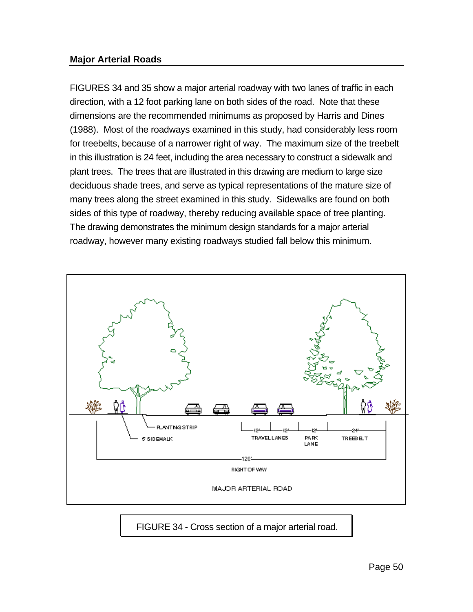#### **Major Arterial Roads**

FIGURES 34 and 35 show a major arterial roadway with two lanes of traffic in each direction, with a 12 foot parking lane on both sides of the road. Note that these dimensions are the recommended minimums as proposed by Harris and Dines (1988). Most of the roadways examined in this study, had considerably less room for treebelts, because of a narrower right of way. The maximum size of the treebelt in this illustration is 24 feet, including the area necessary to construct a sidewalk and plant trees. The trees that are illustrated in this drawing are medium to large size deciduous shade trees, and serve as typical representations of the mature size of many trees along the street examined in this study. Sidewalks are found on both sides of this type of roadway, thereby reducing available space of tree planting. The drawing demonstrates the minimum design standards for a major arterial roadway, however many existing roadways studied fall below this minimum.



FIGURE 34 - Cross section of a major arterial road.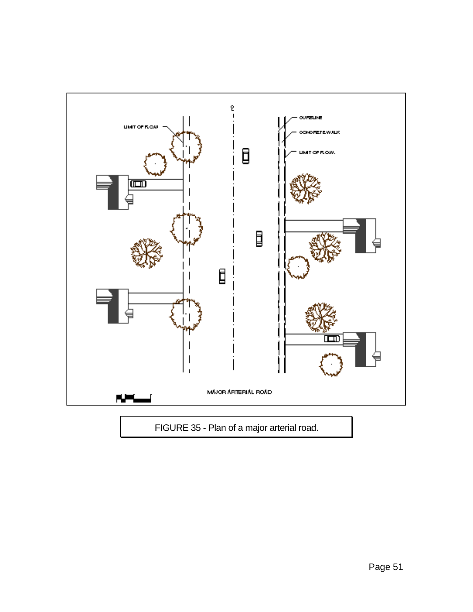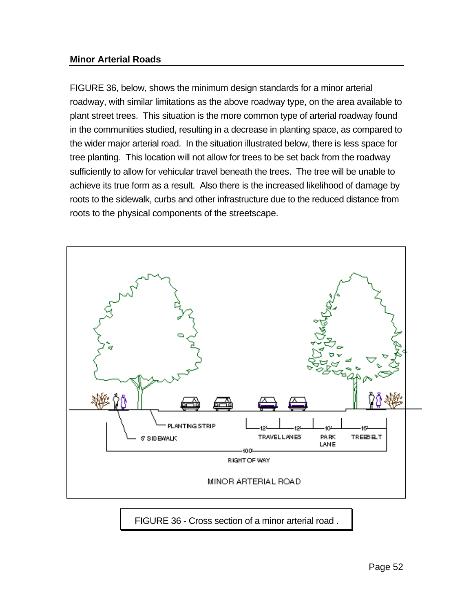#### **Minor Arterial Roads**

FIGURE 36, below, shows the minimum design standards for a minor arterial roadway, with similar limitations as the above roadway type, on the area available to plant street trees. This situation is the more common type of arterial roadway found in the communities studied, resulting in a decrease in planting space, as compared to the wider major arterial road. In the situation illustrated below, there is less space for tree planting. This location will not allow for trees to be set back from the roadway sufficiently to allow for vehicular travel beneath the trees. The tree will be unable to achieve its true form as a result. Also there is the increased likelihood of damage by roots to the sidewalk, curbs and other infrastructure due to the reduced distance from roots to the physical components of the streetscape.



FIGURE 36 - Cross section of a minor arterial road .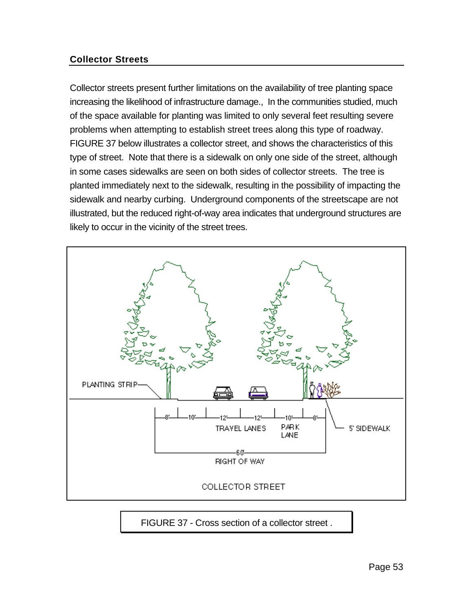# **Collector Streets**

Collector streets present further limitations on the availability of tree planting space increasing the likelihood of infrastructure damage., In the communities studied, much of the space available for planting was limited to only several feet resulting severe problems when attempting to establish street trees along this type of roadway. FIGURE 37 below illustrates a collector street, and shows the characteristics of this type of street. Note that there is a sidewalk on only one side of the street, although in some cases sidewalks are seen on both sides of collector streets. The tree is planted immediately next to the sidewalk, resulting in the possibility of impacting the sidewalk and nearby curbing. Underground components of the streetscape are not illustrated, but the reduced right-of-way area indicates that underground structures are likely to occur in the vicinity of the street trees.



FIGURE 37 - Cross section of a collector street .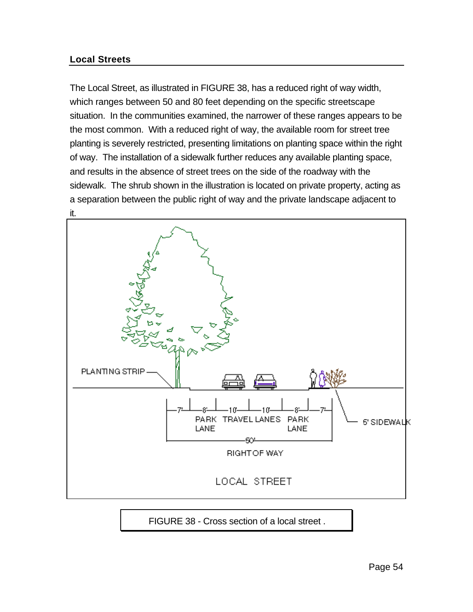# **Local Streets**

The Local Street, as illustrated in FIGURE 38, has a reduced right of way width, which ranges between 50 and 80 feet depending on the specific streetscape situation. In the communities examined, the narrower of these ranges appears to be the most common. With a reduced right of way, the available room for street tree planting is severely restricted, presenting limitations on planting space within the right of way. The installation of a sidewalk further reduces any available planting space, and results in the absence of street trees on the side of the roadway with the sidewalk. The shrub shown in the illustration is located on private property, acting as a separation between the public right of way and the private landscape adjacent to it.



FIGURE 38 - Cross section of a local street .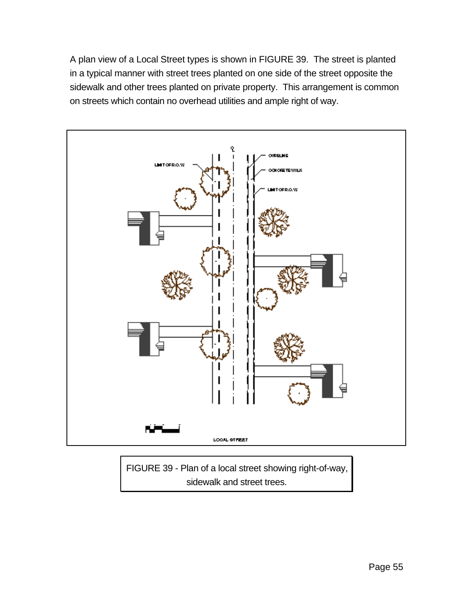A plan view of a Local Street types is shown in FIGURE 39. The street is planted in a typical manner with street trees planted on one side of the street opposite the sidewalk and other trees planted on private property. This arrangement is common on streets which contain no overhead utilities and ample right of way.



FIGURE 39 - Plan of a local street showing right-of-way, sidewalk and street trees.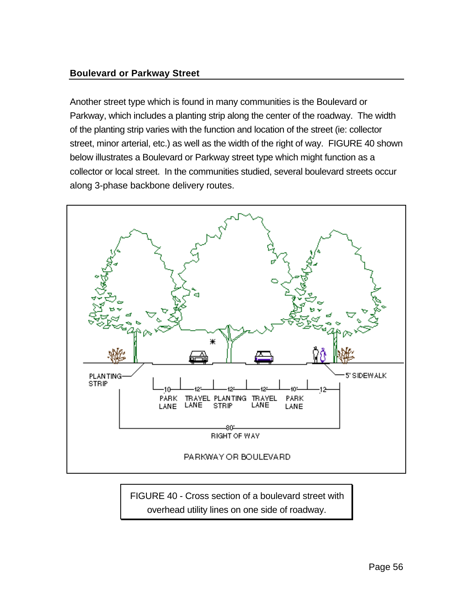# **Boulevard or Parkway Street**

Another street type which is found in many communities is the Boulevard or Parkway, which includes a planting strip along the center of the roadway. The width of the planting strip varies with the function and location of the street (ie: collector street, minor arterial, etc.) as well as the width of the right of way. FIGURE 40 shown below illustrates a Boulevard or Parkway street type which might function as a collector or local street. In the communities studied, several boulevard streets occur along 3-phase backbone delivery routes.



FIGURE 40 - Cross section of a boulevard street with overhead utility lines on one side of roadway.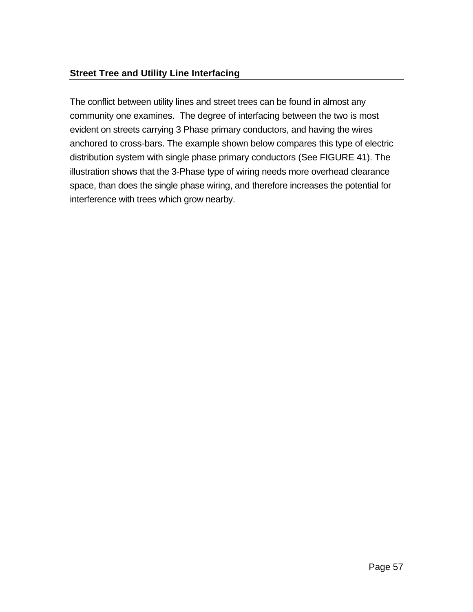# **Street Tree and Utility Line Interfacing**

The conflict between utility lines and street trees can be found in almost any community one examines. The degree of interfacing between the two is most evident on streets carrying 3 Phase primary conductors, and having the wires anchored to cross-bars. The example shown below compares this type of electric distribution system with single phase primary conductors (See FIGURE 41). The illustration shows that the 3-Phase type of wiring needs more overhead clearance space, than does the single phase wiring, and therefore increases the potential for interference with trees which grow nearby.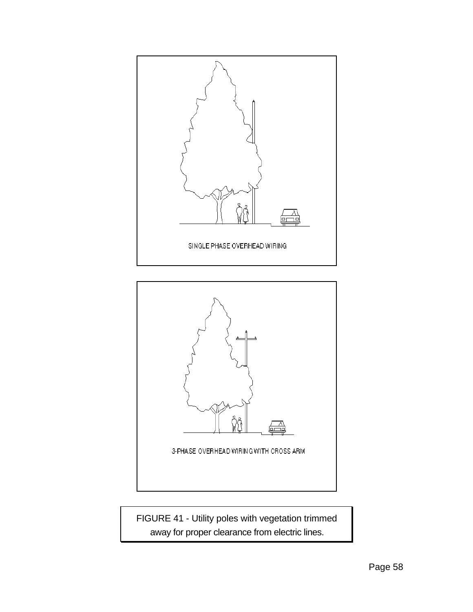



FIGURE 41 - Utility poles with vegetation trimmed away for proper clearance from electric lines.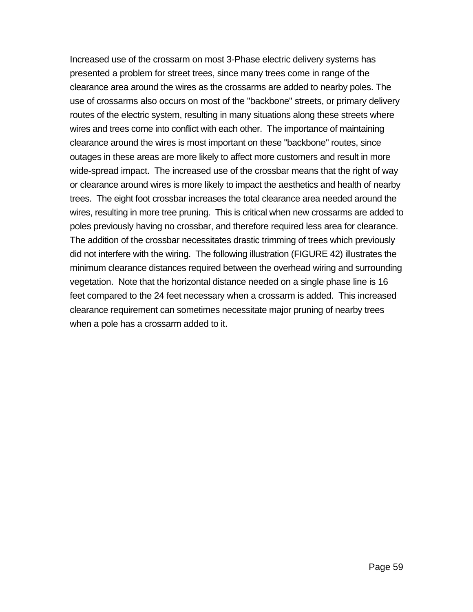Increased use of the crossarm on most 3-Phase electric delivery systems has presented a problem for street trees, since many trees come in range of the clearance area around the wires as the crossarms are added to nearby poles. The use of crossarms also occurs on most of the "backbone" streets, or primary delivery routes of the electric system, resulting in many situations along these streets where wires and trees come into conflict with each other. The importance of maintaining clearance around the wires is most important on these "backbone" routes, since outages in these areas are more likely to affect more customers and result in more wide-spread impact. The increased use of the crossbar means that the right of way or clearance around wires is more likely to impact the aesthetics and health of nearby trees. The eight foot crossbar increases the total clearance area needed around the wires, resulting in more tree pruning. This is critical when new crossarms are added to poles previously having no crossbar, and therefore required less area for clearance. The addition of the crossbar necessitates drastic trimming of trees which previously did not interfere with the wiring. The following illustration (FIGURE 42) illustrates the minimum clearance distances required between the overhead wiring and surrounding vegetation. Note that the horizontal distance needed on a single phase line is 16 feet compared to the 24 feet necessary when a crossarm is added. This increased clearance requirement can sometimes necessitate major pruning of nearby trees when a pole has a crossarm added to it.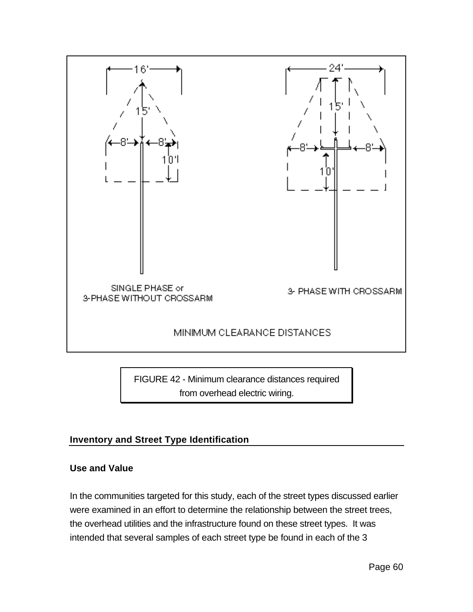

FIGURE 42 - Minimum clearance distances required from overhead electric wiring.

# **Inventory and Street Type Identification**

#### **Use and Value**

In the communities targeted for this study, each of the street types discussed earlier were examined in an effort to determine the relationship between the street trees, the overhead utilities and the infrastructure found on these street types. It was intended that several samples of each street type be found in each of the 3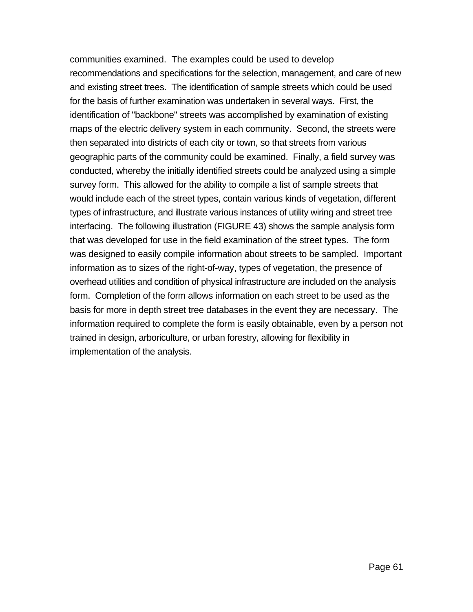communities examined. The examples could be used to develop recommendations and specifications for the selection, management, and care of new and existing street trees. The identification of sample streets which could be used for the basis of further examination was undertaken in several ways. First, the identification of "backbone" streets was accomplished by examination of existing maps of the electric delivery system in each community. Second, the streets were then separated into districts of each city or town, so that streets from various geographic parts of the community could be examined. Finally, a field survey was conducted, whereby the initially identified streets could be analyzed using a simple survey form. This allowed for the ability to compile a list of sample streets that would include each of the street types, contain various kinds of vegetation, different types of infrastructure, and illustrate various instances of utility wiring and street tree interfacing. The following illustration (FIGURE 43) shows the sample analysis form that was developed for use in the field examination of the street types. The form was designed to easily compile information about streets to be sampled. Important information as to sizes of the right-of-way, types of vegetation, the presence of overhead utilities and condition of physical infrastructure are included on the analysis form. Completion of the form allows information on each street to be used as the basis for more in depth street tree databases in the event they are necessary. The information required to complete the form is easily obtainable, even by a person not trained in design, arboriculture, or urban forestry, allowing for flexibility in implementation of the analysis.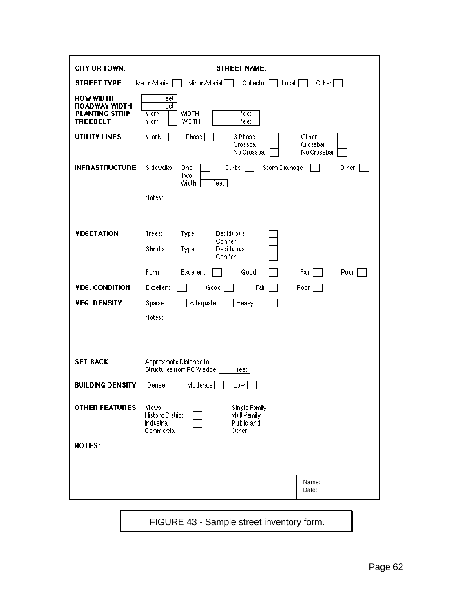| CITY OR TOWN:                                                                        | <b>STREET NAME:</b>                                                                                                    |
|--------------------------------------------------------------------------------------|------------------------------------------------------------------------------------------------------------------------|
| <b>STREET TYPE:</b>                                                                  | Minor Arterial<br>Major Arterial [<br>Collector [<br>Other $\Box$<br>$ $ Local $ $                                     |
| <b>ROW WIDTH</b><br><b>ROADWAY WIDTH</b><br><b>PLANTING STRIP</b><br><b>TREEBELT</b> | feet<br>feet<br><b>WIDTH</b><br>Y or N<br>feet<br>Y or N<br><b>WIDTH</b><br>feet                                       |
| UTILITY LINES                                                                        | 1 Phase<br>Y or N<br>3 Phase<br>Other<br>Crossbar<br>Crossbar<br>No Crossbar<br>No Crossbar                            |
| <b>INFRASTRUCTURE</b>                                                                | Sidewalks:<br>Curbs<br>Storm Drainage<br>One<br>Other<br>Two<br>Width<br>feet                                          |
|                                                                                      | Notes:                                                                                                                 |
| <b>YEGETATION</b>                                                                    | Trees:<br>Type<br>Deciduous<br>Conifer<br>Shrubs:<br>Deciduous<br>Type<br>Conifer                                      |
|                                                                                      | Form:<br>Excellent<br>Good<br>Poor [<br>Fair                                                                           |
| YEG. CONDITION                                                                       | Excellent<br>Good<br>Fair<br>Poor [                                                                                    |
| YEG. DENSITY                                                                         | Sparse<br>Adequate<br>Heavy                                                                                            |
|                                                                                      | Notes:                                                                                                                 |
|                                                                                      |                                                                                                                        |
| <b>SET BACK</b>                                                                      | Approximate Distance to<br>Structures from ROW edge<br>feet                                                            |
| <b>BUILDING DENSITY</b>                                                              | Dense<br>Moderate  <br>Low I                                                                                           |
| <b>OTHER FEATURES</b>                                                                | <b>Views</b><br>Single Family<br>Historic District<br>Multi-family<br>Public land<br>Industrial<br>Commercial<br>Other |
| NOTES:                                                                               |                                                                                                                        |
|                                                                                      |                                                                                                                        |
|                                                                                      | Name:<br>Date:                                                                                                         |
|                                                                                      |                                                                                                                        |

FIGURE 43 - Sample street inventory form.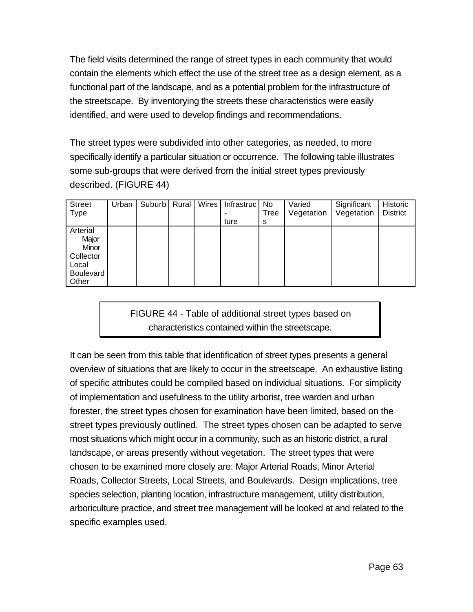The field visits determined the range of street types in each community that would contain the elements which effect the use of the street tree as a design element, as a functional part of the landscape, and as a potential problem for the infrastructure of the streetscape. By inventorying the streets these characteristics were easily identified, and were used to develop findings and recommendations.

The street types were subdivided into other categories, as needed, to more specifically identify a particular situation or occurrence. The following table illustrates some sub-groups that were derived from the initial street types previously described. (FIGURE 44)

| <b>Street</b><br><b>Type</b>                                                  | Urban | Suburb <sup>1</sup> | Rural | <b>Wires</b> | Infrastruc<br>ture | No<br>Tree<br>s | Varied<br>Vegetation | Significant<br>Vegetation | Historic<br><b>District</b> |
|-------------------------------------------------------------------------------|-------|---------------------|-------|--------------|--------------------|-----------------|----------------------|---------------------------|-----------------------------|
| Arterial<br>Major<br>Minor<br>Collector<br>Local<br><b>Boulevard</b><br>Other |       |                     |       |              |                    |                 |                      |                           |                             |

FIGURE 44 - Table of additional street types based on characteristics contained within the streetscape.

It can be seen from this table that identification of street types presents a general overview of situations that are likely to occur in the streetscape. An exhaustive listing of specific attributes could be compiled based on individual situations. For simplicity of implementation and usefulness to the utility arborist, tree warden and urban forester, the street types chosen for examination have been limited, based on the street types previously outlined. The street types chosen can be adapted to serve most situations which might occur in a community, such as an historic district, a rural landscape, or areas presently without vegetation. The street types that were chosen to be examined more closely are: Major Arterial Roads, Minor Arterial Roads, Collector Streets, Local Streets, and Boulevards. Design implications, tree species selection, planting location, infrastructure management, utility distribution, arboriculture practice, and street tree management will be looked at and related to the specific examples used.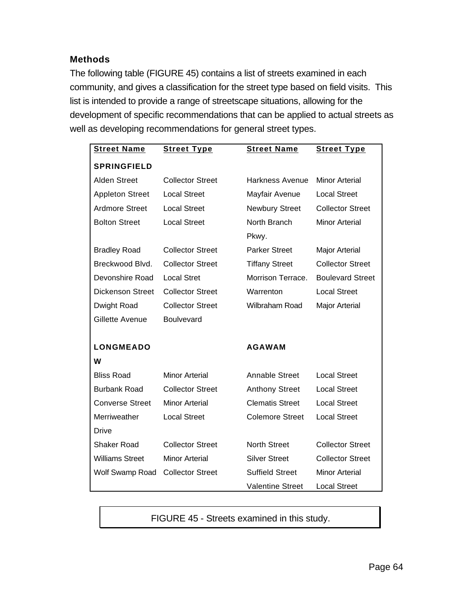# **Methods**

The following table (FIGURE 45) contains a list of streets examined in each community, and gives a classification for the street type based on field visits. This list is intended to provide a range of streetscape situations, allowing for the development of specific recommendations that can be applied to actual streets as well as developing recommendations for general street types.

| <b>Street Name</b>      | <b>Street Type</b>      | <b>Street Name</b>      | <b>Street Type</b>      |
|-------------------------|-------------------------|-------------------------|-------------------------|
| <b>SPRINGFIELD</b>      |                         |                         |                         |
| <b>Alden Street</b>     | <b>Collector Street</b> | <b>Harkness Avenue</b>  | <b>Minor Arterial</b>   |
| <b>Appleton Street</b>  | <b>Local Street</b>     | Mayfair Avenue          | <b>Local Street</b>     |
| <b>Ardmore Street</b>   | <b>Local Street</b>     | <b>Newbury Street</b>   | <b>Collector Street</b> |
| <b>Bolton Street</b>    | <b>Local Street</b>     | North Branch            | <b>Minor Arterial</b>   |
|                         |                         | Pkwy.                   |                         |
| <b>Bradley Road</b>     | <b>Collector Street</b> | <b>Parker Street</b>    | <b>Major Arterial</b>   |
| Breckwood Blvd.         | <b>Collector Street</b> | <b>Tiffany Street</b>   | <b>Collector Street</b> |
| Devonshire Road         | <b>Local Stret</b>      | Morrison Terrace.       | <b>Boulevard Street</b> |
| <b>Dickenson Street</b> | <b>Collector Street</b> | Warrenton               | <b>Local Street</b>     |
| Dwight Road             | <b>Collector Street</b> | Wilbraham Road          | Major Arterial          |
| Gillette Avenue         | Boulvevard              |                         |                         |
|                         |                         |                         |                         |
| <b>LONGMEADO</b>        |                         | <b>AGAWAM</b>           |                         |
| W                       |                         |                         |                         |
| <b>Bliss Road</b>       | Minor Arterial          | Annable Street          | <b>Local Street</b>     |
| <b>Burbank Road</b>     | <b>Collector Street</b> | <b>Anthony Street</b>   | <b>Local Street</b>     |
| <b>Converse Street</b>  | <b>Minor Arterial</b>   | <b>Clematis Street</b>  | <b>Local Street</b>     |
| Merriweather            | <b>Local Street</b>     | <b>Colemore Street</b>  | <b>Local Street</b>     |
| <b>Drive</b>            |                         |                         |                         |
| <b>Shaker Road</b>      | <b>Collector Street</b> | <b>North Street</b>     | <b>Collector Street</b> |
| <b>Williams Street</b>  | Minor Arterial          | <b>Silver Street</b>    | <b>Collector Street</b> |
| Wolf Swamp Road         | <b>Collector Street</b> | <b>Suffield Street</b>  | <b>Minor Arterial</b>   |
|                         |                         | <b>Valentine Street</b> | <b>Local Street</b>     |

FIGURE 45 - Streets examined in this study.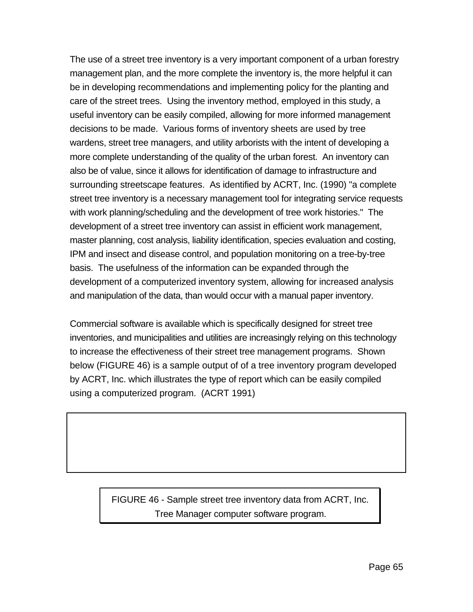The use of a street tree inventory is a very important component of a urban forestry management plan, and the more complete the inventory is, the more helpful it can be in developing recommendations and implementing policy for the planting and care of the street trees. Using the inventory method, employed in this study, a useful inventory can be easily compiled, allowing for more informed management decisions to be made. Various forms of inventory sheets are used by tree wardens, street tree managers, and utility arborists with the intent of developing a more complete understanding of the quality of the urban forest. An inventory can also be of value, since it allows for identification of damage to infrastructure and surrounding streetscape features. As identified by ACRT, Inc. (1990) "a complete street tree inventory is a necessary management tool for integrating service requests with work planning/scheduling and the development of tree work histories." The development of a street tree inventory can assist in efficient work management, master planning, cost analysis, liability identification, species evaluation and costing, IPM and insect and disease control, and population monitoring on a tree-by-tree basis. The usefulness of the information can be expanded through the development of a computerized inventory system, allowing for increased analysis and manipulation of the data, than would occur with a manual paper inventory.

Commercial software is available which is specifically designed for street tree inventories, and municipalities and utilities are increasingly relying on this technology to increase the effectiveness of their street tree management programs. Shown below (FIGURE 46) is a sample output of of a tree inventory program developed by ACRT, Inc. which illustrates the type of report which can be easily compiled using a computerized program. (ACRT 1991)

> FIGURE 46 - Sample street tree inventory data from ACRT, Inc. Tree Manager computer software program.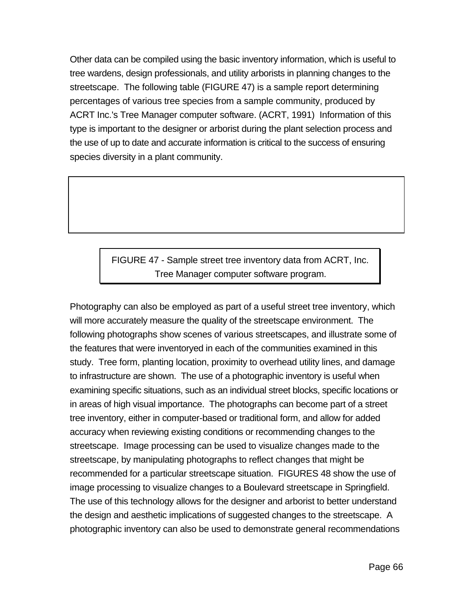Other data can be compiled using the basic inventory information, which is useful to tree wardens, design professionals, and utility arborists in planning changes to the streetscape. The following table (FIGURE 47) is a sample report determining percentages of various tree species from a sample community, produced by ACRT Inc.'s Tree Manager computer software. (ACRT, 1991) Information of this type is important to the designer or arborist during the plant selection process and the use of up to date and accurate information is critical to the success of ensuring species diversity in a plant community.

# FIGURE 47 - Sample street tree inventory data from ACRT, Inc. Tree Manager computer software program.

Photography can also be employed as part of a useful street tree inventory, which will more accurately measure the quality of the streetscape environment. The following photographs show scenes of various streetscapes, and illustrate some of the features that were inventoryed in each of the communities examined in this study. Tree form, planting location, proximity to overhead utility lines, and damage to infrastructure are shown. The use of a photographic inventory is useful when examining specific situations, such as an individual street blocks, specific locations or in areas of high visual importance. The photographs can become part of a street tree inventory, either in computer-based or traditional form, and allow for added accuracy when reviewing existing conditions or recommending changes to the streetscape. Image processing can be used to visualize changes made to the streetscape, by manipulating photographs to reflect changes that might be recommended for a particular streetscape situation. FIGURES 48 show the use of image processing to visualize changes to a Boulevard streetscape in Springfield. The use of this technology allows for the designer and arborist to better understand the design and aesthetic implications of suggested changes to the streetscape. A photographic inventory can also be used to demonstrate general recommendations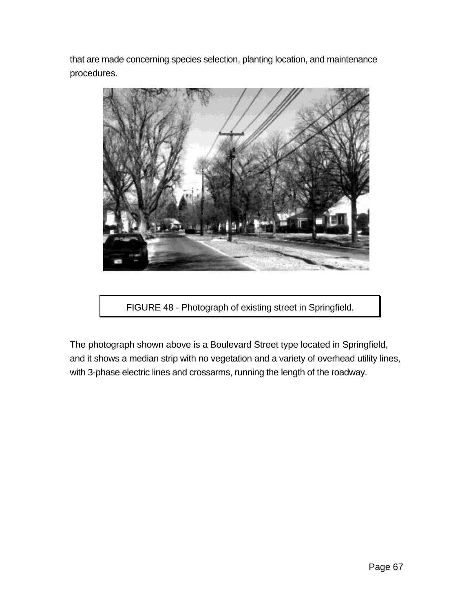that are made concerning species selection, planting location, and maintenance procedures.



FIGURE 48 - Photograph of existing street in Springfield.

The photograph shown above is a Boulevard Street type located in Springfield, and it shows a median strip with no vegetation and a variety of overhead utility lines, with 3-phase electric lines and crossarms, running the length of the roadway.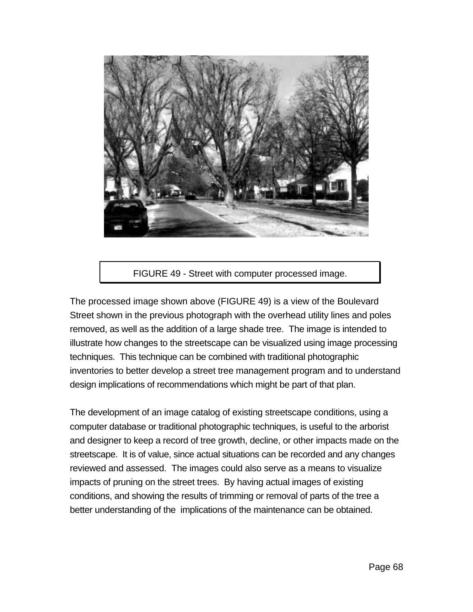

#### FIGURE 49 - Street with computer processed image.

The processed image shown above (FIGURE 49) is a view of the Boulevard Street shown in the previous photograph with the overhead utility lines and poles removed, as well as the addition of a large shade tree. The image is intended to illustrate how changes to the streetscape can be visualized using image processing techniques. This technique can be combined with traditional photographic inventories to better develop a street tree management program and to understand design implications of recommendations which might be part of that plan.

The development of an image catalog of existing streetscape conditions, using a computer database or traditional photographic techniques, is useful to the arborist and designer to keep a record of tree growth, decline, or other impacts made on the streetscape. It is of value, since actual situations can be recorded and any changes reviewed and assessed. The images could also serve as a means to visualize impacts of pruning on the street trees. By having actual images of existing conditions, and showing the results of trimming or removal of parts of the tree a better understanding of the implications of the maintenance can be obtained.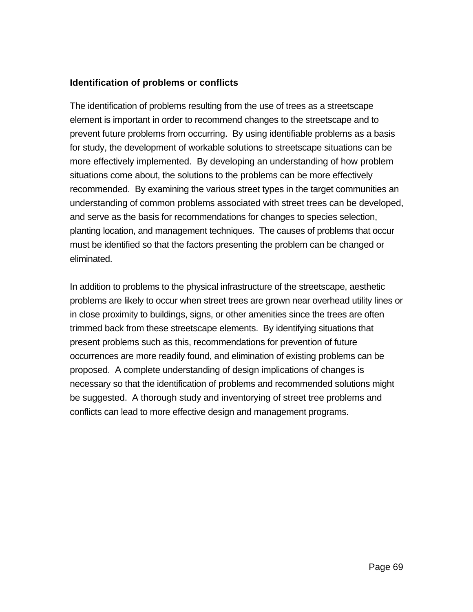#### **Identification of problems or conflicts**

The identification of problems resulting from the use of trees as a streetscape element is important in order to recommend changes to the streetscape and to prevent future problems from occurring. By using identifiable problems as a basis for study, the development of workable solutions to streetscape situations can be more effectively implemented. By developing an understanding of how problem situations come about, the solutions to the problems can be more effectively recommended. By examining the various street types in the target communities an understanding of common problems associated with street trees can be developed, and serve as the basis for recommendations for changes to species selection, planting location, and management techniques. The causes of problems that occur must be identified so that the factors presenting the problem can be changed or eliminated.

In addition to problems to the physical infrastructure of the streetscape, aesthetic problems are likely to occur when street trees are grown near overhead utility lines or in close proximity to buildings, signs, or other amenities since the trees are often trimmed back from these streetscape elements. By identifying situations that present problems such as this, recommendations for prevention of future occurrences are more readily found, and elimination of existing problems can be proposed. A complete understanding of design implications of changes is necessary so that the identification of problems and recommended solutions might be suggested. A thorough study and inventorying of street tree problems and conflicts can lead to more effective design and management programs.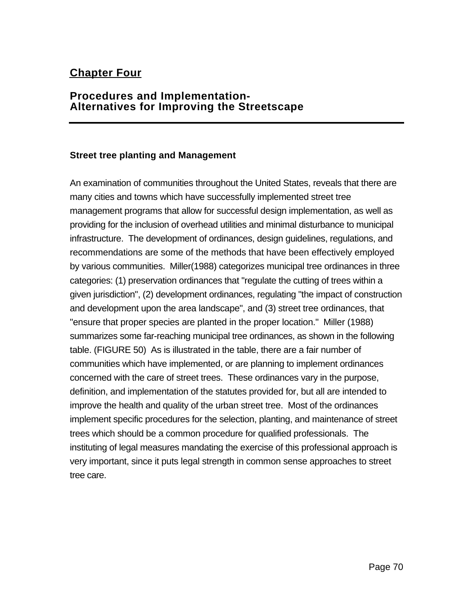# **Chapter Four**

# **Procedures and Implementation-Alternatives for Improving the Streetscape**

#### **Street tree planting and Management**

An examination of communities throughout the United States, reveals that there are many cities and towns which have successfully implemented street tree management programs that allow for successful design implementation, as well as providing for the inclusion of overhead utilities and minimal disturbance to municipal infrastructure. The development of ordinances, design guidelines, regulations, and recommendations are some of the methods that have been effectively employed by various communities. Miller(1988) categorizes municipal tree ordinances in three categories: (1) preservation ordinances that "regulate the cutting of trees within a given jurisdiction", (2) development ordinances, regulating "the impact of construction and development upon the area landscape", and (3) street tree ordinances, that "ensure that proper species are planted in the proper location." Miller (1988) summarizes some far-reaching municipal tree ordinances, as shown in the following table. (FIGURE 50) As is illustrated in the table, there are a fair number of communities which have implemented, or are planning to implement ordinances concerned with the care of street trees. These ordinances vary in the purpose, definition, and implementation of the statutes provided for, but all are intended to improve the health and quality of the urban street tree. Most of the ordinances implement specific procedures for the selection, planting, and maintenance of street trees which should be a common procedure for qualified professionals. The instituting of legal measures mandating the exercise of this professional approach is very important, since it puts legal strength in common sense approaches to street tree care.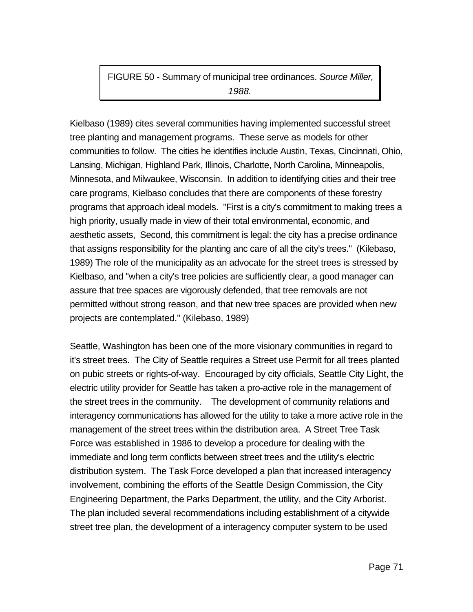FIGURE 50 - Summary of municipal tree ordinances. *Source Miller, 1988.*

Kielbaso (1989) cites several communities having implemented successful street tree planting and management programs. These serve as models for other communities to follow. The cities he identifies include Austin, Texas, Cincinnati, Ohio, Lansing, Michigan, Highland Park, Illinois, Charlotte, North Carolina, Minneapolis, Minnesota, and Milwaukee, Wisconsin. In addition to identifying cities and their tree care programs, Kielbaso concludes that there are components of these forestry programs that approach ideal models. "First is a city's commitment to making trees a high priority, usually made in view of their total environmental, economic, and aesthetic assets, Second, this commitment is legal: the city has a precise ordinance that assigns responsibility for the planting anc care of all the city's trees." (Kilebaso, 1989) The role of the municipality as an advocate for the street trees is stressed by Kielbaso, and "when a city's tree policies are sufficiently clear, a good manager can assure that tree spaces are vigorously defended, that tree removals are not permitted without strong reason, and that new tree spaces are provided when new projects are contemplated." (Kilebaso, 1989)

Seattle, Washington has been one of the more visionary communities in regard to it's street trees. The City of Seattle requires a Street use Permit for all trees planted on pubic streets or rights-of-way. Encouraged by city officials, Seattle City Light, the electric utility provider for Seattle has taken a pro-active role in the management of the street trees in the community. The development of community relations and interagency communications has allowed for the utility to take a more active role in the management of the street trees within the distribution area. A Street Tree Task Force was established in 1986 to develop a procedure for dealing with the immediate and long term conflicts between street trees and the utility's electric distribution system. The Task Force developed a plan that increased interagency involvement, combining the efforts of the Seattle Design Commission, the City Engineering Department, the Parks Department, the utility, and the City Arborist. The plan included several recommendations including establishment of a citywide street tree plan, the development of a interagency computer system to be used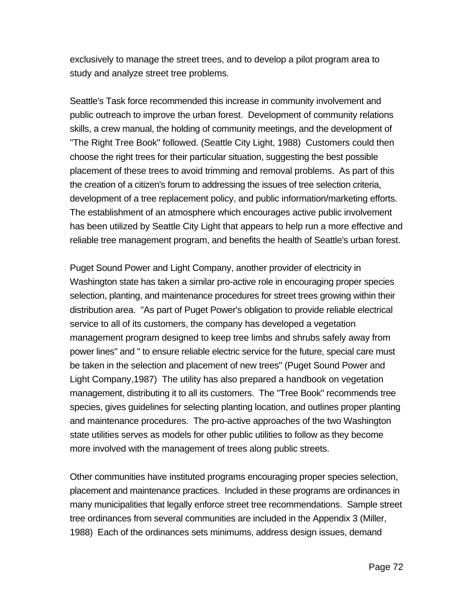exclusively to manage the street trees, and to develop a pilot program area to study and analyze street tree problems.

Seattle's Task force recommended this increase in community involvement and public outreach to improve the urban forest. Development of community relations skills, a crew manual, the holding of community meetings, and the development of "The Right Tree Book" followed. (Seattle City Light, 1988) Customers could then choose the right trees for their particular situation, suggesting the best possible placement of these trees to avoid trimming and removal problems. As part of this the creation of a citizen's forum to addressing the issues of tree selection criteria, development of a tree replacement policy, and public information/marketing efforts. The establishment of an atmosphere which encourages active public involvement has been utilized by Seattle City Light that appears to help run a more effective and reliable tree management program, and benefits the health of Seattle's urban forest.

Puget Sound Power and Light Company, another provider of electricity in Washington state has taken a similar pro-active role in encouraging proper species selection, planting, and maintenance procedures for street trees growing within their distribution area. "As part of Puget Power's obligation to provide reliable electrical service to all of its customers, the company has developed a vegetation management program designed to keep tree limbs and shrubs safely away from power lines" and " to ensure reliable electric service for the future, special care must be taken in the selection and placement of new trees" (Puget Sound Power and Light Company,1987) The utility has also prepared a handbook on vegetation management, distributing it to all its customers. The "Tree Book" recommends tree species, gives guidelines for selecting planting location, and outlines proper planting and maintenance procedures. The pro-active approaches of the two Washington state utilities serves as models for other public utilities to follow as they become more involved with the management of trees along public streets.

Other communities have instituted programs encouraging proper species selection, placement and maintenance practices. Included in these programs are ordinances in many municipalities that legally enforce street tree recommendations. Sample street tree ordinances from several communities are included in the Appendix 3 (Miller, 1988) Each of the ordinances sets minimums, address design issues, demand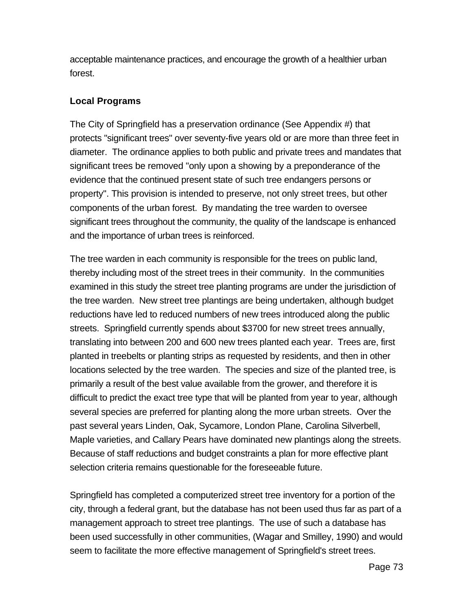acceptable maintenance practices, and encourage the growth of a healthier urban forest.

## **Local Programs**

The City of Springfield has a preservation ordinance (See Appendix #) that protects "significant trees" over seventy-five years old or are more than three feet in diameter. The ordinance applies to both public and private trees and mandates that significant trees be removed "only upon a showing by a preponderance of the evidence that the continued present state of such tree endangers persons or property". This provision is intended to preserve, not only street trees, but other components of the urban forest. By mandating the tree warden to oversee significant trees throughout the community, the quality of the landscape is enhanced and the importance of urban trees is reinforced.

The tree warden in each community is responsible for the trees on public land, thereby including most of the street trees in their community. In the communities examined in this study the street tree planting programs are under the jurisdiction of the tree warden. New street tree plantings are being undertaken, although budget reductions have led to reduced numbers of new trees introduced along the public streets. Springfield currently spends about \$3700 for new street trees annually, translating into between 200 and 600 new trees planted each year. Trees are, first planted in treebelts or planting strips as requested by residents, and then in other locations selected by the tree warden. The species and size of the planted tree, is primarily a result of the best value available from the grower, and therefore it is difficult to predict the exact tree type that will be planted from year to year, although several species are preferred for planting along the more urban streets. Over the past several years Linden, Oak, Sycamore, London Plane, Carolina Silverbell, Maple varieties, and Callary Pears have dominated new plantings along the streets. Because of staff reductions and budget constraints a plan for more effective plant selection criteria remains questionable for the foreseeable future.

Springfield has completed a computerized street tree inventory for a portion of the city, through a federal grant, but the database has not been used thus far as part of a management approach to street tree plantings. The use of such a database has been used successfully in other communities, (Wagar and Smilley, 1990) and would seem to facilitate the more effective management of Springfield's street trees.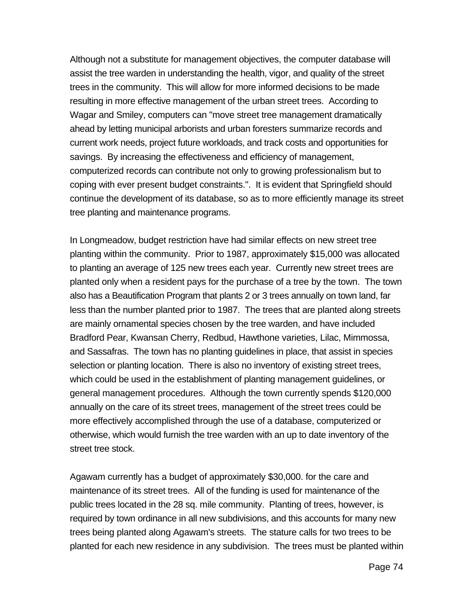Although not a substitute for management objectives, the computer database will assist the tree warden in understanding the health, vigor, and quality of the street trees in the community. This will allow for more informed decisions to be made resulting in more effective management of the urban street trees. According to Wagar and Smiley, computers can "move street tree management dramatically ahead by letting municipal arborists and urban foresters summarize records and current work needs, project future workloads, and track costs and opportunities for savings. By increasing the effectiveness and efficiency of management, computerized records can contribute not only to growing professionalism but to coping with ever present budget constraints.". It is evident that Springfield should continue the development of its database, so as to more efficiently manage its street tree planting and maintenance programs.

In Longmeadow, budget restriction have had similar effects on new street tree planting within the community. Prior to 1987, approximately \$15,000 was allocated to planting an average of 125 new trees each year. Currently new street trees are planted only when a resident pays for the purchase of a tree by the town. The town also has a Beautification Program that plants 2 or 3 trees annually on town land, far less than the number planted prior to 1987. The trees that are planted along streets are mainly ornamental species chosen by the tree warden, and have included Bradford Pear, Kwansan Cherry, Redbud, Hawthone varieties, Lilac, Mimmossa, and Sassafras. The town has no planting guidelines in place, that assist in species selection or planting location. There is also no inventory of existing street trees, which could be used in the establishment of planting management guidelines, or general management procedures. Although the town currently spends \$120,000 annually on the care of its street trees, management of the street trees could be more effectively accomplished through the use of a database, computerized or otherwise, which would furnish the tree warden with an up to date inventory of the street tree stock.

Agawam currently has a budget of approximately \$30,000. for the care and maintenance of its street trees. All of the funding is used for maintenance of the public trees located in the 28 sq. mile community. Planting of trees, however, is required by town ordinance in all new subdivisions, and this accounts for many new trees being planted along Agawam's streets. The stature calls for two trees to be planted for each new residence in any subdivision. The trees must be planted within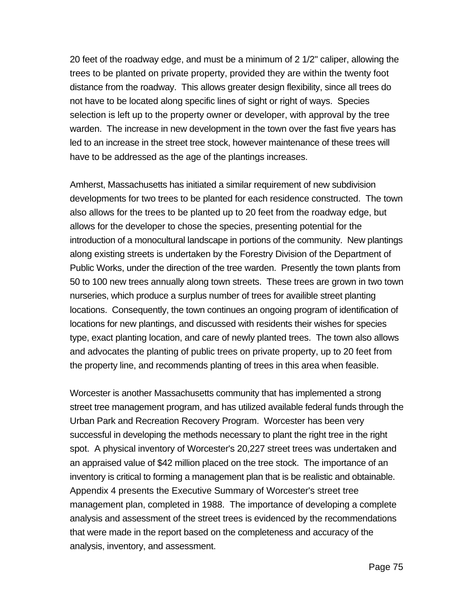20 feet of the roadway edge, and must be a minimum of 2 1/2" caliper, allowing the trees to be planted on private property, provided they are within the twenty foot distance from the roadway. This allows greater design flexibility, since all trees do not have to be located along specific lines of sight or right of ways. Species selection is left up to the property owner or developer, with approval by the tree warden. The increase in new development in the town over the fast five years has led to an increase in the street tree stock, however maintenance of these trees will have to be addressed as the age of the plantings increases.

Amherst, Massachusetts has initiated a similar requirement of new subdivision developments for two trees to be planted for each residence constructed. The town also allows for the trees to be planted up to 20 feet from the roadway edge, but allows for the developer to chose the species, presenting potential for the introduction of a monocultural landscape in portions of the community. New plantings along existing streets is undertaken by the Forestry Division of the Department of Public Works, under the direction of the tree warden. Presently the town plants from 50 to 100 new trees annually along town streets. These trees are grown in two town nurseries, which produce a surplus number of trees for availible street planting locations. Consequently, the town continues an ongoing program of identification of locations for new plantings, and discussed with residents their wishes for species type, exact planting location, and care of newly planted trees. The town also allows and advocates the planting of public trees on private property, up to 20 feet from the property line, and recommends planting of trees in this area when feasible.

Worcester is another Massachusetts community that has implemented a strong street tree management program, and has utilized available federal funds through the Urban Park and Recreation Recovery Program. Worcester has been very successful in developing the methods necessary to plant the right tree in the right spot. A physical inventory of Worcester's 20,227 street trees was undertaken and an appraised value of \$42 million placed on the tree stock. The importance of an inventory is critical to forming a management plan that is be realistic and obtainable. Appendix 4 presents the Executive Summary of Worcester's street tree management plan, completed in 1988. The importance of developing a complete analysis and assessment of the street trees is evidenced by the recommendations that were made in the report based on the completeness and accuracy of the analysis, inventory, and assessment.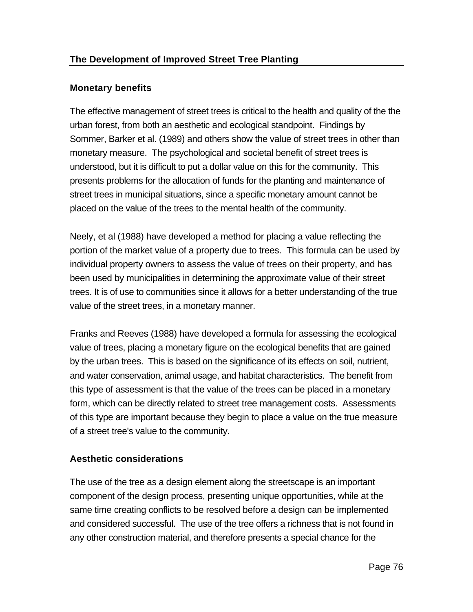## **Monetary benefits**

The effective management of street trees is critical to the health and quality of the the urban forest, from both an aesthetic and ecological standpoint. Findings by Sommer, Barker et al. (1989) and others show the value of street trees in other than monetary measure. The psychological and societal benefit of street trees is understood, but it is difficult to put a dollar value on this for the community. This presents problems for the allocation of funds for the planting and maintenance of street trees in municipal situations, since a specific monetary amount cannot be placed on the value of the trees to the mental health of the community.

Neely, et al (1988) have developed a method for placing a value reflecting the portion of the market value of a property due to trees. This formula can be used by individual property owners to assess the value of trees on their property, and has been used by municipalities in determining the approximate value of their street trees. It is of use to communities since it allows for a better understanding of the true value of the street trees, in a monetary manner.

Franks and Reeves (1988) have developed a formula for assessing the ecological value of trees, placing a monetary figure on the ecological benefits that are gained by the urban trees. This is based on the significance of its effects on soil, nutrient, and water conservation, animal usage, and habitat characteristics. The benefit from this type of assessment is that the value of the trees can be placed in a monetary form, which can be directly related to street tree management costs. Assessments of this type are important because they begin to place a value on the true measure of a street tree's value to the community.

# **Aesthetic considerations**

The use of the tree as a design element along the streetscape is an important component of the design process, presenting unique opportunities, while at the same time creating conflicts to be resolved before a design can be implemented and considered successful. The use of the tree offers a richness that is not found in any other construction material, and therefore presents a special chance for the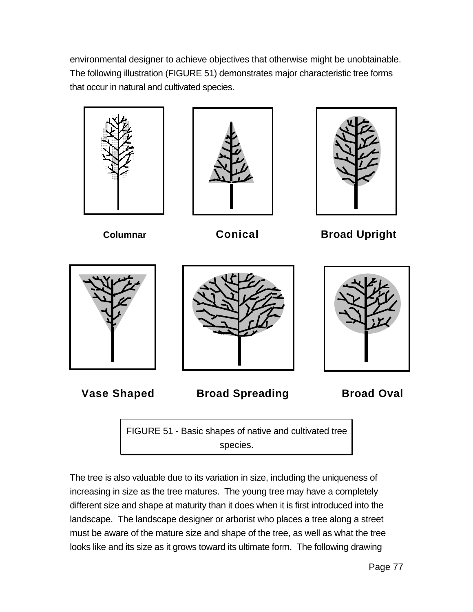environmental designer to achieve objectives that otherwise might be unobtainable. The following illustration (FIGURE 51) demonstrates major characteristic tree forms that occur in natural and cultivated species.







**Columnar Conical Broad Upright**





**Vase Shaped Broad Spreading <b>Broad Oval** 

FIGURE 51 - Basic shapes of native and cultivated tree species.

The tree is also valuable due to its variation in size, including the uniqueness of increasing in size as the tree matures. The young tree may have a completely different size and shape at maturity than it does when it is first introduced into the landscape. The landscape designer or arborist who places a tree along a street must be aware of the mature size and shape of the tree, as well as what the tree looks like and its size as it grows toward its ultimate form. The following drawing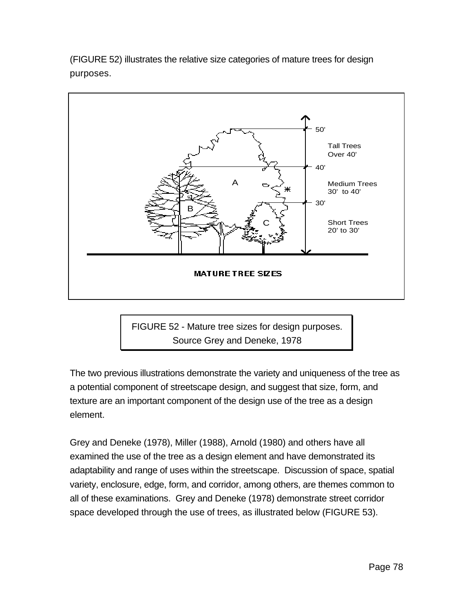(FIGURE 52) illustrates the relative size categories of mature trees for design purposes.



FIGURE 52 - Mature tree sizes for design purposes. Source Grey and Deneke, 1978

The two previous illustrations demonstrate the variety and uniqueness of the tree as a potential component of streetscape design, and suggest that size, form, and texture are an important component of the design use of the tree as a design element.

Grey and Deneke (1978), Miller (1988), Arnold (1980) and others have all examined the use of the tree as a design element and have demonstrated its adaptability and range of uses within the streetscape. Discussion of space, spatial variety, enclosure, edge, form, and corridor, among others, are themes common to all of these examinations. Grey and Deneke (1978) demonstrate street corridor space developed through the use of trees, as illustrated below (FIGURE 53).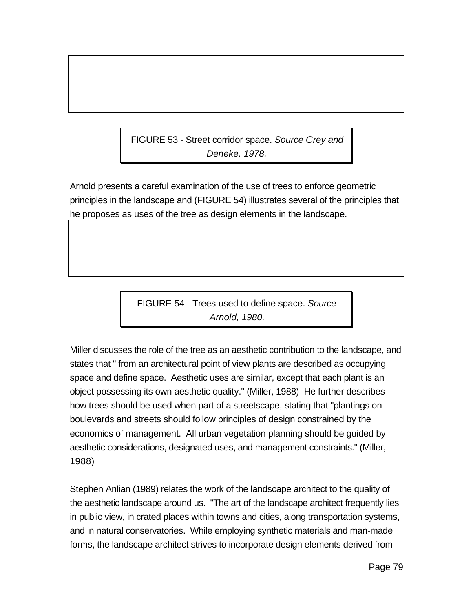FIGURE 53 - Street corridor space. *Source Grey and Deneke, 1978.*

Arnold presents a careful examination of the use of trees to enforce geometric principles in the landscape and (FIGURE 54) illustrates several of the principles that he proposes as uses of the tree as design elements in the landscape.

> FIGURE 54 - Trees used to define space. *Source Arnold, 1980.*

Miller discusses the role of the tree as an aesthetic contribution to the landscape, and states that " from an architectural point of view plants are described as occupying space and define space. Aesthetic uses are similar, except that each plant is an object possessing its own aesthetic quality." (Miller, 1988) He further describes how trees should be used when part of a streetscape, stating that "plantings on boulevards and streets should follow principles of design constrained by the economics of management. All urban vegetation planning should be guided by aesthetic considerations, designated uses, and management constraints." (Miller, 1988)

Stephen Anlian (1989) relates the work of the landscape architect to the quality of the aesthetic landscape around us. "The art of the landscape architect frequently lies in public view, in crated places within towns and cities, along transportation systems, and in natural conservatories. While employing synthetic materials and man-made forms, the landscape architect strives to incorporate design elements derived from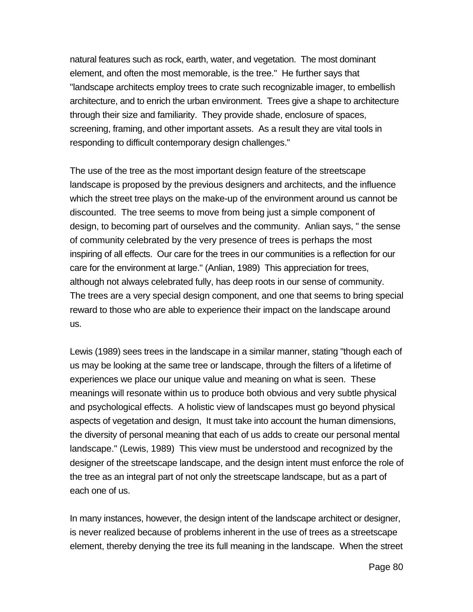natural features such as rock, earth, water, and vegetation. The most dominant element, and often the most memorable, is the tree." He further says that "landscape architects employ trees to crate such recognizable imager, to embellish architecture, and to enrich the urban environment. Trees give a shape to architecture through their size and familiarity. They provide shade, enclosure of spaces, screening, framing, and other important assets. As a result they are vital tools in responding to difficult contemporary design challenges."

The use of the tree as the most important design feature of the streetscape landscape is proposed by the previous designers and architects, and the influence which the street tree plays on the make-up of the environment around us cannot be discounted. The tree seems to move from being just a simple component of design, to becoming part of ourselves and the community. Anlian says, " the sense of community celebrated by the very presence of trees is perhaps the most inspiring of all effects. Our care for the trees in our communities is a reflection for our care for the environment at large." (Anlian, 1989) This appreciation for trees, although not always celebrated fully, has deep roots in our sense of community. The trees are a very special design component, and one that seems to bring special reward to those who are able to experience their impact on the landscape around us.

Lewis (1989) sees trees in the landscape in a similar manner, stating "though each of us may be looking at the same tree or landscape, through the filters of a lifetime of experiences we place our unique value and meaning on what is seen. These meanings will resonate within us to produce both obvious and very subtle physical and psychological effects. A holistic view of landscapes must go beyond physical aspects of vegetation and design, It must take into account the human dimensions, the diversity of personal meaning that each of us adds to create our personal mental landscape." (Lewis, 1989) This view must be understood and recognized by the designer of the streetscape landscape, and the design intent must enforce the role of the tree as an integral part of not only the streetscape landscape, but as a part of each one of us.

In many instances, however, the design intent of the landscape architect or designer, is never realized because of problems inherent in the use of trees as a streetscape element, thereby denying the tree its full meaning in the landscape. When the street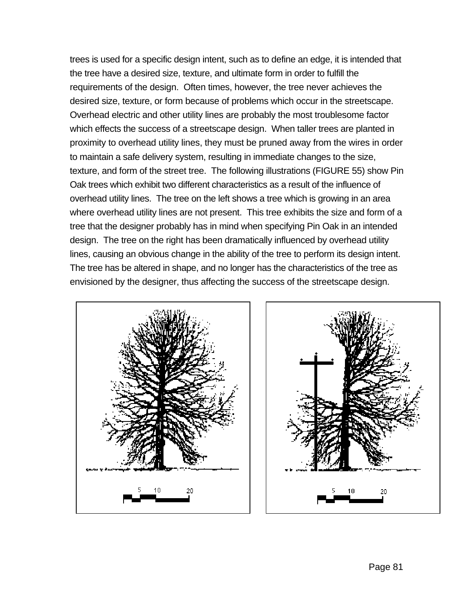trees is used for a specific design intent, such as to define an edge, it is intended that the tree have a desired size, texture, and ultimate form in order to fulfill the requirements of the design. Often times, however, the tree never achieves the desired size, texture, or form because of problems which occur in the streetscape. Overhead electric and other utility lines are probably the most troublesome factor which effects the success of a streetscape design. When taller trees are planted in proximity to overhead utility lines, they must be pruned away from the wires in order to maintain a safe delivery system, resulting in immediate changes to the size, texture, and form of the street tree. The following illustrations (FIGURE 55) show Pin Oak trees which exhibit two different characteristics as a result of the influence of overhead utility lines. The tree on the left shows a tree which is growing in an area where overhead utility lines are not present. This tree exhibits the size and form of a tree that the designer probably has in mind when specifying Pin Oak in an intended design. The tree on the right has been dramatically influenced by overhead utility lines, causing an obvious change in the ability of the tree to perform its design intent. The tree has be altered in shape, and no longer has the characteristics of the tree as envisioned by the designer, thus affecting the success of the streetscape design.



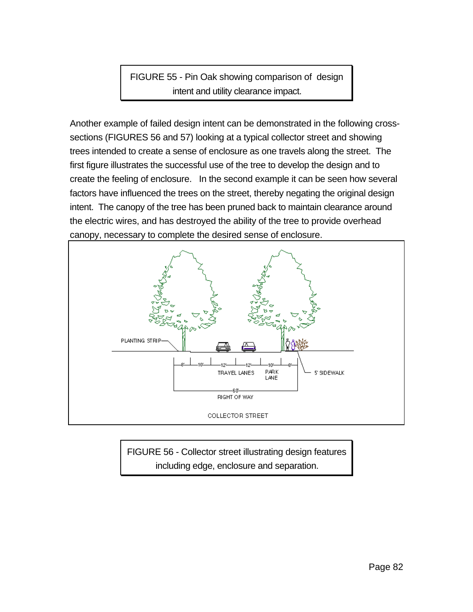FIGURE 55 - Pin Oak showing comparison of design intent and utility clearance impact.

Another example of failed design intent can be demonstrated in the following crosssections (FIGURES 56 and 57) looking at a typical collector street and showing trees intended to create a sense of enclosure as one travels along the street. The first figure illustrates the successful use of the tree to develop the design and to create the feeling of enclosure. In the second example it can be seen how several factors have influenced the trees on the street, thereby negating the original design intent. The canopy of the tree has been pruned back to maintain clearance around the electric wires, and has destroyed the ability of the tree to provide overhead canopy, necessary to complete the desired sense of enclosure.



FIGURE 56 - Collector street illustrating design features including edge, enclosure and separation.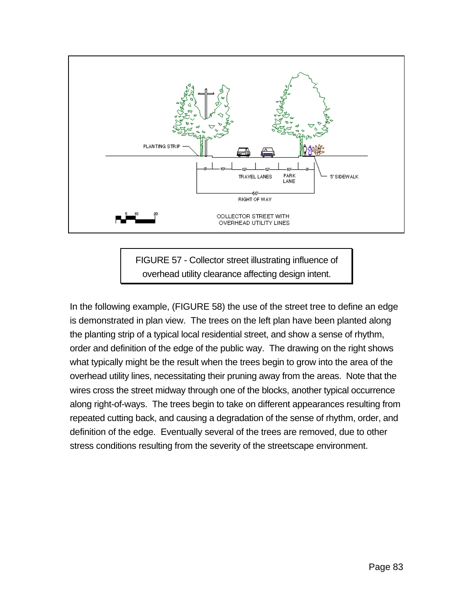

FIGURE 57 - Collector street illustrating influence of overhead utility clearance affecting design intent.

In the following example, (FIGURE 58) the use of the street tree to define an edge is demonstrated in plan view. The trees on the left plan have been planted along the planting strip of a typical local residential street, and show a sense of rhythm, order and definition of the edge of the public way. The drawing on the right shows what typically might be the result when the trees begin to grow into the area of the overhead utility lines, necessitating their pruning away from the areas. Note that the wires cross the street midway through one of the blocks, another typical occurrence along right-of-ways. The trees begin to take on different appearances resulting from repeated cutting back, and causing a degradation of the sense of rhythm, order, and definition of the edge. Eventually several of the trees are removed, due to other stress conditions resulting from the severity of the streetscape environment.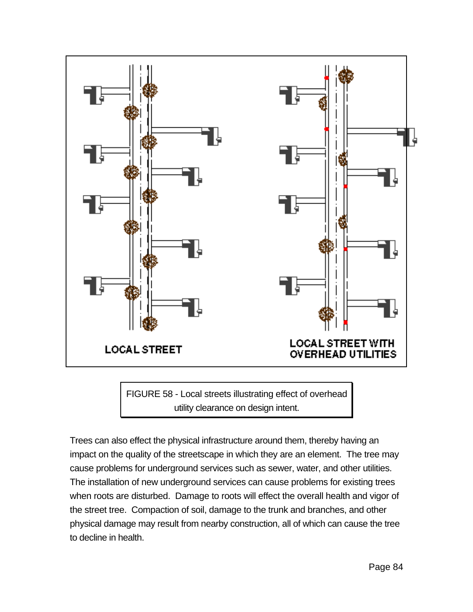

FIGURE 58 - Local streets illustrating effect of overhead utility clearance on design intent.

Trees can also effect the physical infrastructure around them, thereby having an impact on the quality of the streetscape in which they are an element. The tree may cause problems for underground services such as sewer, water, and other utilities. The installation of new underground services can cause problems for existing trees when roots are disturbed. Damage to roots will effect the overall health and vigor of the street tree. Compaction of soil, damage to the trunk and branches, and other physical damage may result from nearby construction, all of which can cause the tree to decline in health.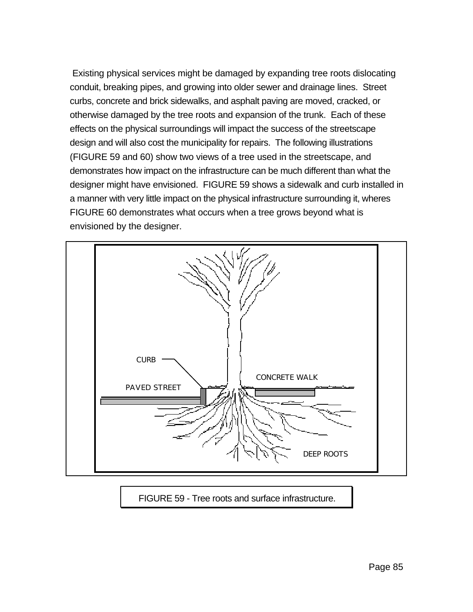Existing physical services might be damaged by expanding tree roots dislocating conduit, breaking pipes, and growing into older sewer and drainage lines. Street curbs, concrete and brick sidewalks, and asphalt paving are moved, cracked, or otherwise damaged by the tree roots and expansion of the trunk. Each of these effects on the physical surroundings will impact the success of the streetscape design and will also cost the municipality for repairs. The following illustrations (FIGURE 59 and 60) show two views of a tree used in the streetscape, and demonstrates how impact on the infrastructure can be much different than what the designer might have envisioned. FIGURE 59 shows a sidewalk and curb installed in a manner with very little impact on the physical infrastructure surrounding it, wheres FIGURE 60 demonstrates what occurs when a tree grows beyond what is envisioned by the designer.



FIGURE 59 - Tree roots and surface infrastructure.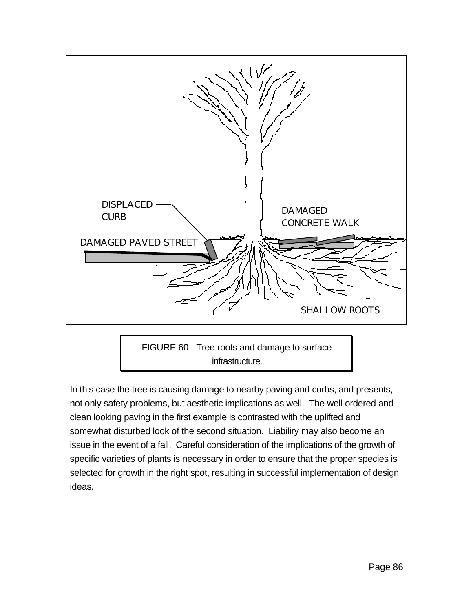

FIGURE 60 - Tree roots and damage to surface infrastructure.

In this case the tree is causing damage to nearby paving and curbs, and presents, not only safety problems, but aesthetic implications as well. The well ordered and clean looking paving in the first example is contrasted with the uplifted and somewhat disturbed look of the second situation. Liabiliry may also become an issue in the event of a fall. Careful consideration of the implications of the growth of specific varieties of plants is necessary in order to ensure that the proper species is selected for growth in the right spot, resulting in successful implementation of design ideas.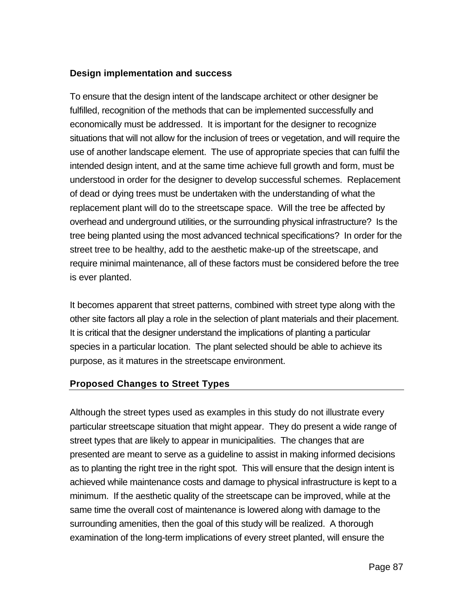## **Design implementation and success**

To ensure that the design intent of the landscape architect or other designer be fulfilled, recognition of the methods that can be implemented successfully and economically must be addressed. It is important for the designer to recognize situations that will not allow for the inclusion of trees or vegetation, and will require the use of another landscape element. The use of appropriate species that can fulfil the intended design intent, and at the same time achieve full growth and form, must be understood in order for the designer to develop successful schemes. Replacement of dead or dying trees must be undertaken with the understanding of what the replacement plant will do to the streetscape space. Will the tree be affected by overhead and underground utilities, or the surrounding physical infrastructure? Is the tree being planted using the most advanced technical specifications? In order for the street tree to be healthy, add to the aesthetic make-up of the streetscape, and require minimal maintenance, all of these factors must be considered before the tree is ever planted.

It becomes apparent that street patterns, combined with street type along with the other site factors all play a role in the selection of plant materials and their placement. It is critical that the designer understand the implications of planting a particular species in a particular location. The plant selected should be able to achieve its purpose, as it matures in the streetscape environment.

### **Proposed Changes to Street Types**

Although the street types used as examples in this study do not illustrate every particular streetscape situation that might appear. They do present a wide range of street types that are likely to appear in municipalities. The changes that are presented are meant to serve as a guideline to assist in making informed decisions as to planting the right tree in the right spot. This will ensure that the design intent is achieved while maintenance costs and damage to physical infrastructure is kept to a minimum. If the aesthetic quality of the streetscape can be improved, while at the same time the overall cost of maintenance is lowered along with damage to the surrounding amenities, then the goal of this study will be realized. A thorough examination of the long-term implications of every street planted, will ensure the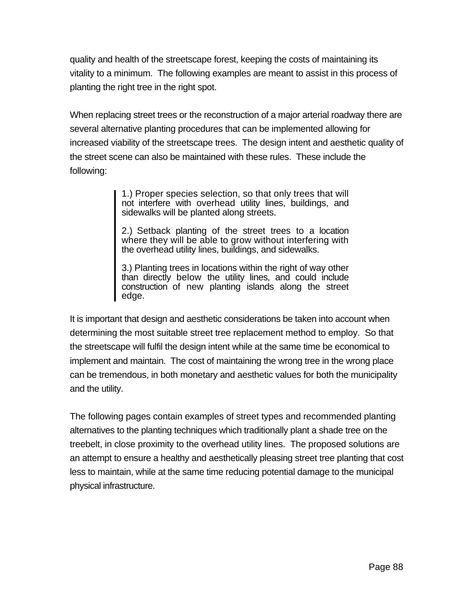quality and health of the streetscape forest, keeping the costs of maintaining its vitality to a minimum. The following examples are meant to assist in this process of planting the right tree in the right spot.

When replacing street trees or the reconstruction of a major arterial roadway there are several alternative planting procedures that can be implemented allowing for increased viability of the streetscape trees. The design intent and aesthetic quality of the street scene can also be maintained with these rules. These include the following:

> 1.) Proper species selection, so that only trees that will not interfere with overhead utility lines, buildings, and sidewalks will be planted along streets.

> 2.) Setback planting of the street trees to a location where they will be able to grow without interfering with the overhead utility lines, buildings, and sidewalks.

> 3.) Planting trees in locations within the right of way other than directly below the utility lines, and could include construction of new planting islands along the street edge.

It is important that design and aesthetic considerations be taken into account when determining the most suitable street tree replacement method to employ. So that the streetscape will fulfil the design intent while at the same time be economical to implement and maintain. The cost of maintaining the wrong tree in the wrong place can be tremendous, in both monetary and aesthetic values for both the municipality and the utility.

The following pages contain examples of street types and recommended planting alternatives to the planting techniques which traditionally plant a shade tree on the treebelt, in close proximity to the overhead utility lines. The proposed solutions are an attempt to ensure a healthy and aesthetically pleasing street tree planting that cost less to maintain, while at the same time reducing potential damage to the municipal physical infrastructure.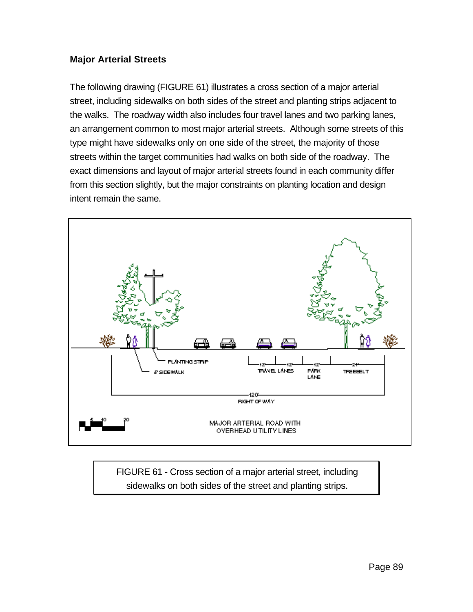### **Major Arterial Streets**

The following drawing (FIGURE 61) illustrates a cross section of a major arterial street, including sidewalks on both sides of the street and planting strips adjacent to the walks. The roadway width also includes four travel lanes and two parking lanes, an arrangement common to most major arterial streets. Although some streets of this type might have sidewalks only on one side of the street, the majority of those streets within the target communities had walks on both side of the roadway. The exact dimensions and layout of major arterial streets found in each community differ from this section slightly, but the major constraints on planting location and design intent remain the same.



FIGURE 61 - Cross section of a major arterial street, including sidewalks on both sides of the street and planting strips.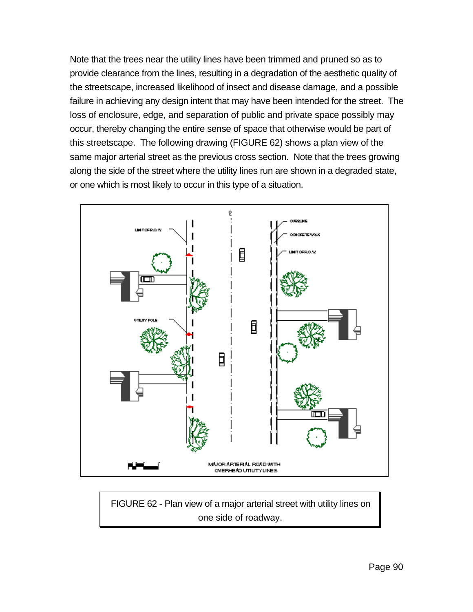Note that the trees near the utility lines have been trimmed and pruned so as to provide clearance from the lines, resulting in a degradation of the aesthetic quality of the streetscape, increased likelihood of insect and disease damage, and a possible failure in achieving any design intent that may have been intended for the street. The loss of enclosure, edge, and separation of public and private space possibly may occur, thereby changing the entire sense of space that otherwise would be part of this streetscape. The following drawing (FIGURE 62) shows a plan view of the same major arterial street as the previous cross section. Note that the trees growing along the side of the street where the utility lines run are shown in a degraded state, or one which is most likely to occur in this type of a situation.



FIGURE 62 - Plan view of a major arterial street with utility lines on one side of roadway.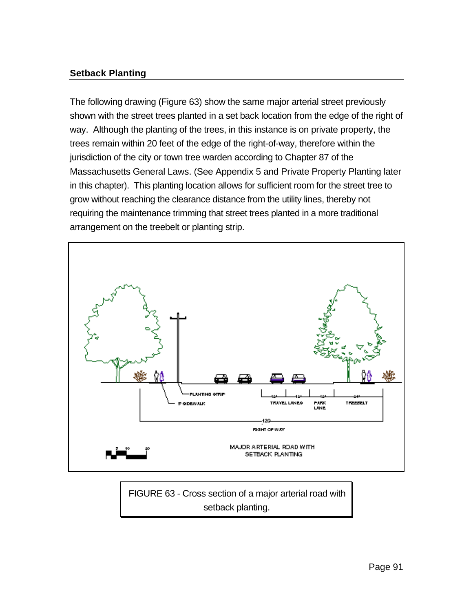## **Setback Planting**

The following drawing (Figure 63) show the same major arterial street previously shown with the street trees planted in a set back location from the edge of the right of way. Although the planting of the trees, in this instance is on private property, the trees remain within 20 feet of the edge of the right-of-way, therefore within the jurisdiction of the city or town tree warden according to Chapter 87 of the Massachusetts General Laws. (See Appendix 5 and Private Property Planting later in this chapter). This planting location allows for sufficient room for the street tree to grow without reaching the clearance distance from the utility lines, thereby not requiring the maintenance trimming that street trees planted in a more traditional arrangement on the treebelt or planting strip.



FIGURE 63 - Cross section of a major arterial road with setback planting.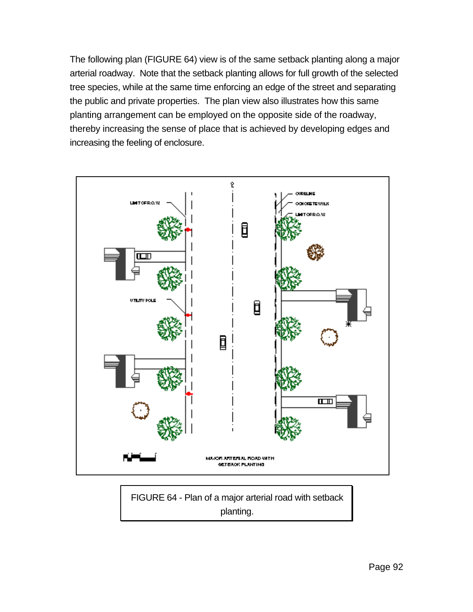The following plan (FIGURE 64) view is of the same setback planting along a major arterial roadway. Note that the setback planting allows for full growth of the selected tree species, while at the same time enforcing an edge of the street and separating the public and private properties. The plan view also illustrates how this same planting arrangement can be employed on the opposite side of the roadway, thereby increasing the sense of place that is achieved by developing edges and increasing the feeling of enclosure.



FIGURE 64 - Plan of a major arterial road with setback planting.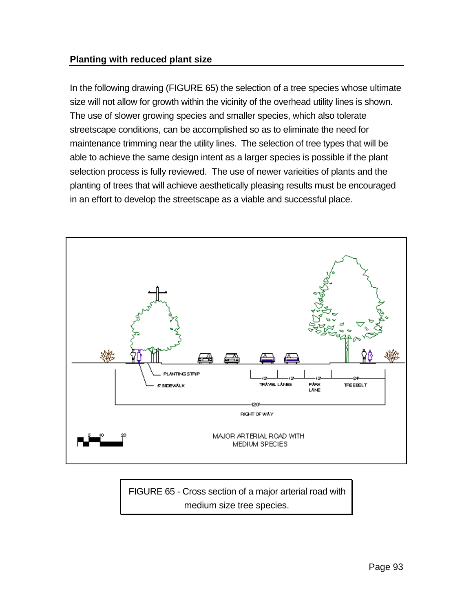### **Planting with reduced plant size**

In the following drawing (FIGURE 65) the selection of a tree species whose ultimate size will not allow for growth within the vicinity of the overhead utility lines is shown. The use of slower growing species and smaller species, which also tolerate streetscape conditions, can be accomplished so as to eliminate the need for maintenance trimming near the utility lines. The selection of tree types that will be able to achieve the same design intent as a larger species is possible if the plant selection process is fully reviewed. The use of newer varieities of plants and the planting of trees that will achieve aesthetically pleasing results must be encouraged in an effort to develop the streetscape as a viable and successful place.



FIGURE 65 - Cross section of a major arterial road with medium size tree species.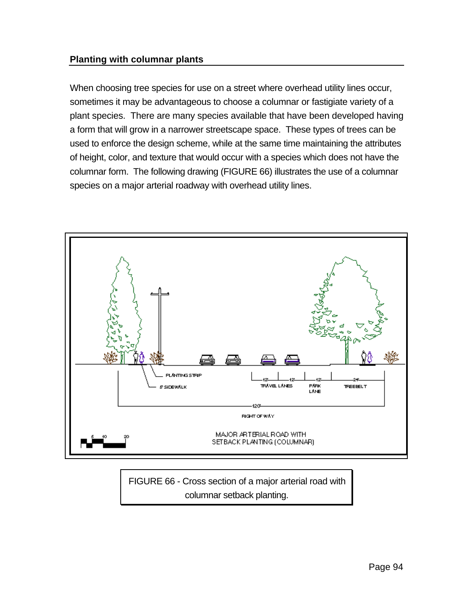#### **Planting with columnar plants**

When choosing tree species for use on a street where overhead utility lines occur, sometimes it may be advantageous to choose a columnar or fastigiate variety of a plant species. There are many species available that have been developed having a form that will grow in a narrower streetscape space. These types of trees can be used to enforce the design scheme, while at the same time maintaining the attributes of height, color, and texture that would occur with a species which does not have the columnar form. The following drawing (FIGURE 66) illustrates the use of a columnar species on a major arterial roadway with overhead utility lines.



FIGURE 66 - Cross section of a major arterial road with columnar setback planting.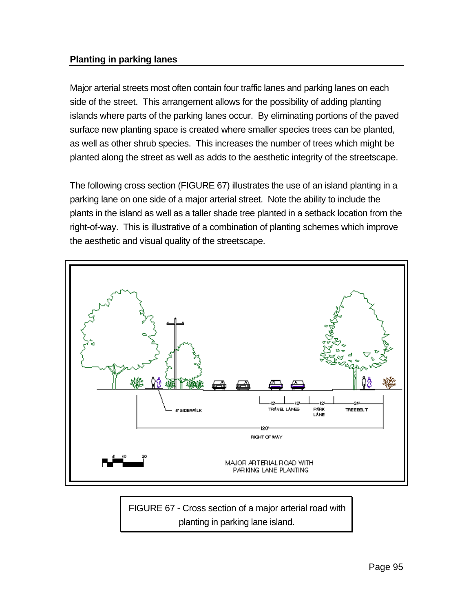## **Planting in parking lanes**

Major arterial streets most often contain four traffic lanes and parking lanes on each side of the street. This arrangement allows for the possibility of adding planting islands where parts of the parking lanes occur. By eliminating portions of the paved surface new planting space is created where smaller species trees can be planted, as well as other shrub species. This increases the number of trees which might be planted along the street as well as adds to the aesthetic integrity of the streetscape.

The following cross section (FIGURE 67) illustrates the use of an island planting in a parking lane on one side of a major arterial street. Note the ability to include the plants in the island as well as a taller shade tree planted in a setback location from the right-of-way. This is illustrative of a combination of planting schemes which improve the aesthetic and visual quality of the streetscape.



FIGURE 67 - Cross section of a major arterial road with planting in parking lane island.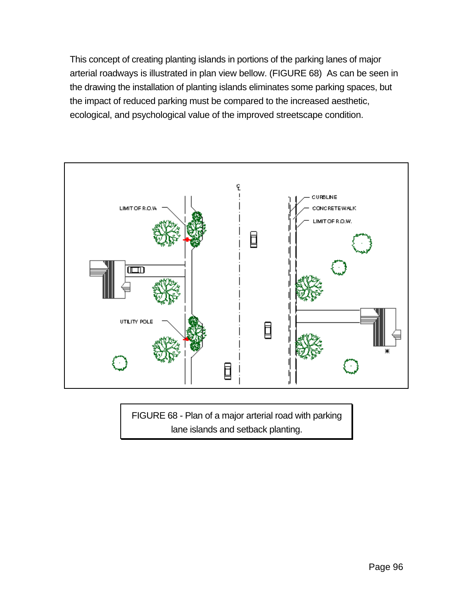This concept of creating planting islands in portions of the parking lanes of major arterial roadways is illustrated in plan view bellow. (FIGURE 68) As can be seen in the drawing the installation of planting islands eliminates some parking spaces, but the impact of reduced parking must be compared to the increased aesthetic, ecological, and psychological value of the improved streetscape condition.



FIGURE 68 - Plan of a major arterial road with parking lane islands and setback planting.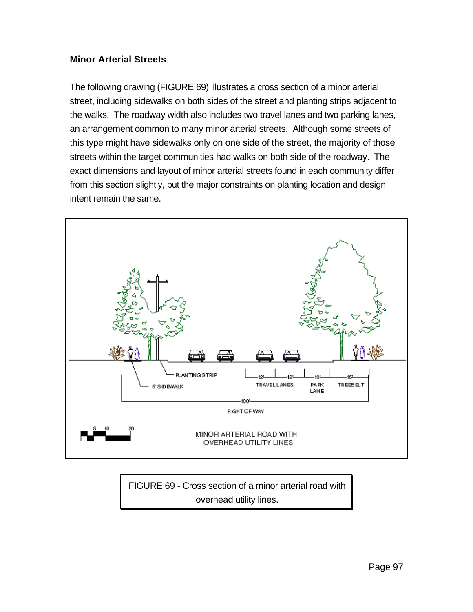### **Minor Arterial Streets**

The following drawing (FIGURE 69) illustrates a cross section of a minor arterial street, including sidewalks on both sides of the street and planting strips adjacent to the walks. The roadway width also includes two travel lanes and two parking lanes, an arrangement common to many minor arterial streets. Although some streets of this type might have sidewalks only on one side of the street, the majority of those streets within the target communities had walks on both side of the roadway. The exact dimensions and layout of minor arterial streets found in each community differ from this section slightly, but the major constraints on planting location and design intent remain the same.



FIGURE 69 - Cross section of a minor arterial road with overhead utility lines.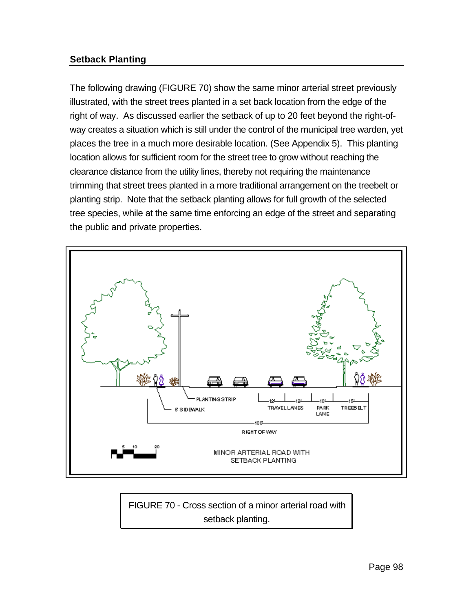## **Setback Planting**

The following drawing (FIGURE 70) show the same minor arterial street previously illustrated, with the street trees planted in a set back location from the edge of the right of way. As discussed earlier the setback of up to 20 feet beyond the right-ofway creates a situation which is still under the control of the municipal tree warden, yet places the tree in a much more desirable location. (See Appendix 5). This planting location allows for sufficient room for the street tree to grow without reaching the clearance distance from the utility lines, thereby not requiring the maintenance trimming that street trees planted in a more traditional arrangement on the treebelt or planting strip. Note that the setback planting allows for full growth of the selected tree species, while at the same time enforcing an edge of the street and separating the public and private properties.



FIGURE 70 - Cross section of a minor arterial road with setback planting.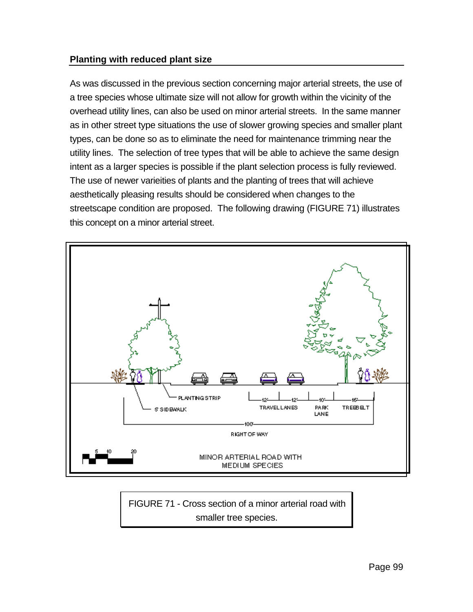### **Planting with reduced plant size**

As was discussed in the previous section concerning major arterial streets, the use of a tree species whose ultimate size will not allow for growth within the vicinity of the overhead utility lines, can also be used on minor arterial streets. In the same manner as in other street type situations the use of slower growing species and smaller plant types, can be done so as to eliminate the need for maintenance trimming near the utility lines. The selection of tree types that will be able to achieve the same design intent as a larger species is possible if the plant selection process is fully reviewed. The use of newer varieities of plants and the planting of trees that will achieve aesthetically pleasing results should be considered when changes to the streetscape condition are proposed. The following drawing (FIGURE 71) illustrates this concept on a minor arterial street.



FIGURE 71 - Cross section of a minor arterial road with smaller tree species.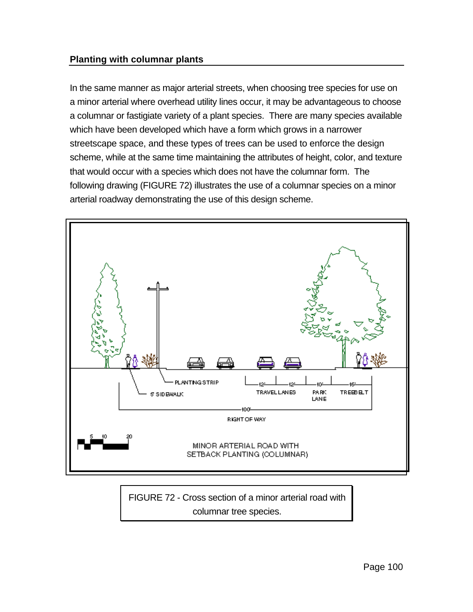#### **Planting with columnar plants**

In the same manner as major arterial streets, when choosing tree species for use on a minor arterial where overhead utility lines occur, it may be advantageous to choose a columnar or fastigiate variety of a plant species. There are many species available which have been developed which have a form which grows in a narrower streetscape space, and these types of trees can be used to enforce the design scheme, while at the same time maintaining the attributes of height, color, and texture that would occur with a species which does not have the columnar form. The following drawing (FIGURE 72) illustrates the use of a columnar species on a minor arterial roadway demonstrating the use of this design scheme.



FIGURE 72 - Cross section of a minor arterial road with columnar tree species.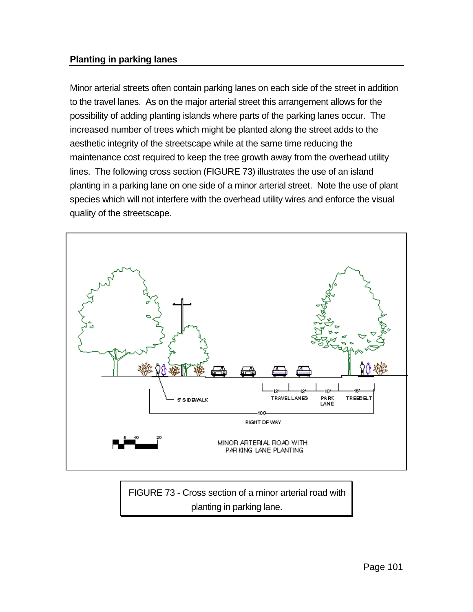## **Planting in parking lanes**

Minor arterial streets often contain parking lanes on each side of the street in addition to the travel lanes. As on the major arterial street this arrangement allows for the possibility of adding planting islands where parts of the parking lanes occur. The increased number of trees which might be planted along the street adds to the aesthetic integrity of the streetscape while at the same time reducing the maintenance cost required to keep the tree growth away from the overhead utility lines. The following cross section (FIGURE 73) illustrates the use of an island planting in a parking lane on one side of a minor arterial street. Note the use of plant species which will not interfere with the overhead utility wires and enforce the visual quality of the streetscape.



FIGURE 73 - Cross section of a minor arterial road with planting in parking lane.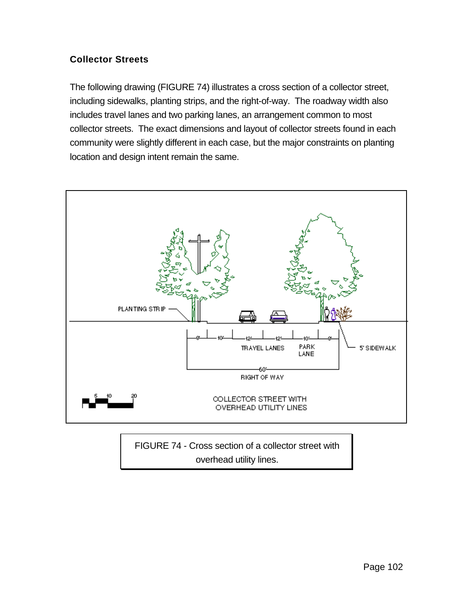# **Collector Streets**

The following drawing (FIGURE 74) illustrates a cross section of a collector street, including sidewalks, planting strips, and the right-of-way. The roadway width also includes travel lanes and two parking lanes, an arrangement common to most collector streets. The exact dimensions and layout of collector streets found in each community were slightly different in each case, but the major constraints on planting location and design intent remain the same.



FIGURE 74 - Cross section of a collector street with overhead utility lines.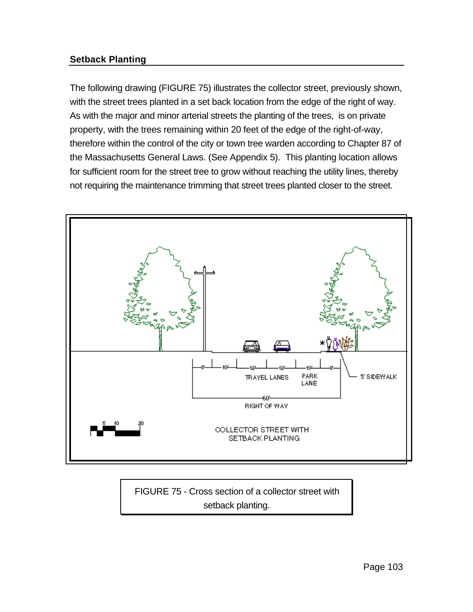## **Setback Planting**

The following drawing (FIGURE 75) illustrates the collector street, previously shown, with the street trees planted in a set back location from the edge of the right of way. As with the major and minor arterial streets the planting of the trees, is on private property, with the trees remaining within 20 feet of the edge of the right-of-way, therefore within the control of the city or town tree warden according to Chapter 87 of the Massachusetts General Laws. (See Appendix 5). This planting location allows for sufficient room for the street tree to grow without reaching the utility lines, thereby not requiring the maintenance trimming that street trees planted closer to the street.



FIGURE 75 - Cross section of a collector street with setback planting.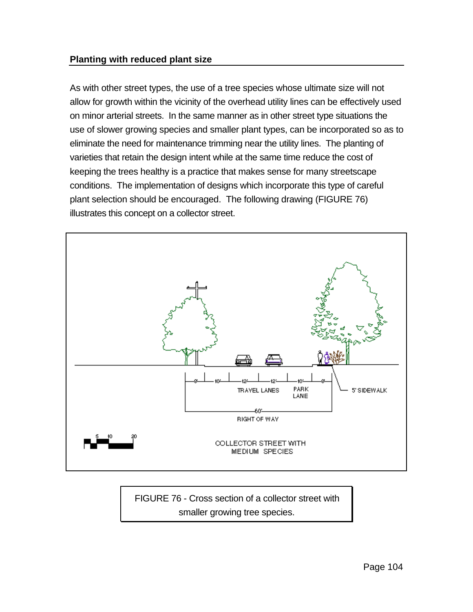#### **Planting with reduced plant size**

As with other street types, the use of a tree species whose ultimate size will not allow for growth within the vicinity of the overhead utility lines can be effectively used on minor arterial streets. In the same manner as in other street type situations the use of slower growing species and smaller plant types, can be incorporated so as to eliminate the need for maintenance trimming near the utility lines. The planting of varieties that retain the design intent while at the same time reduce the cost of keeping the trees healthy is a practice that makes sense for many streetscape conditions. The implementation of designs which incorporate this type of careful plant selection should be encouraged. The following drawing (FIGURE 76) illustrates this concept on a collector street.



FIGURE 76 - Cross section of a collector street with smaller growing tree species.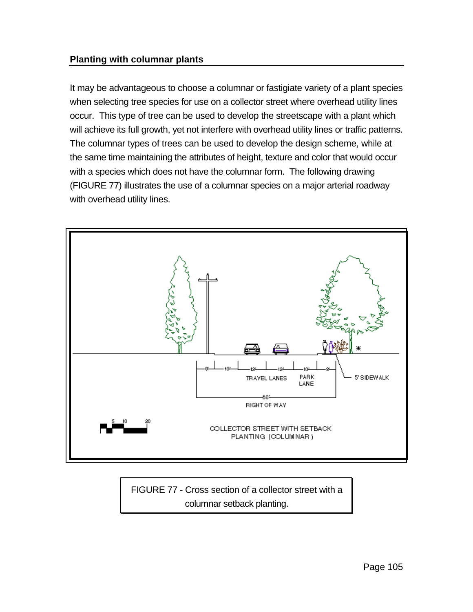## **Planting with columnar plants**

It may be advantageous to choose a columnar or fastigiate variety of a plant species when selecting tree species for use on a collector street where overhead utility lines occur. This type of tree can be used to develop the streetscape with a plant which will achieve its full growth, yet not interfere with overhead utility lines or traffic patterns. The columnar types of trees can be used to develop the design scheme, while at the same time maintaining the attributes of height, texture and color that would occur with a species which does not have the columnar form. The following drawing (FIGURE 77) illustrates the use of a columnar species on a major arterial roadway with overhead utility lines.



FIGURE 77 - Cross section of a collector street with a columnar setback planting.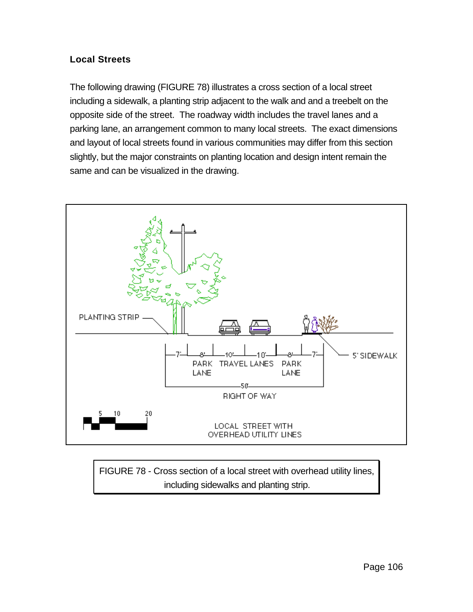# **Local Streets**

The following drawing (FIGURE 78) illustrates a cross section of a local street including a sidewalk, a planting strip adjacent to the walk and and a treebelt on the opposite side of the street. The roadway width includes the travel lanes and a parking lane, an arrangement common to many local streets. The exact dimensions and layout of local streets found in various communities may differ from this section slightly, but the major constraints on planting location and design intent remain the same and can be visualized in the drawing.



FIGURE 78 - Cross section of a local street with overhead utility lines, including sidewalks and planting strip.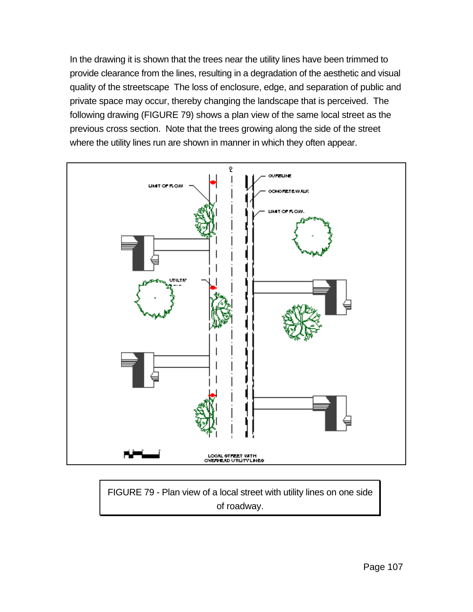In the drawing it is shown that the trees near the utility lines have been trimmed to provide clearance from the lines, resulting in a degradation of the aesthetic and visual quality of the streetscape The loss of enclosure, edge, and separation of public and private space may occur, thereby changing the landscape that is perceived. The following drawing (FIGURE 79) shows a plan view of the same local street as the previous cross section. Note that the trees growing along the side of the street where the utility lines run are shown in manner in which they often appear.



FIGURE 79 - Plan view of a local street with utility lines on one side of roadway.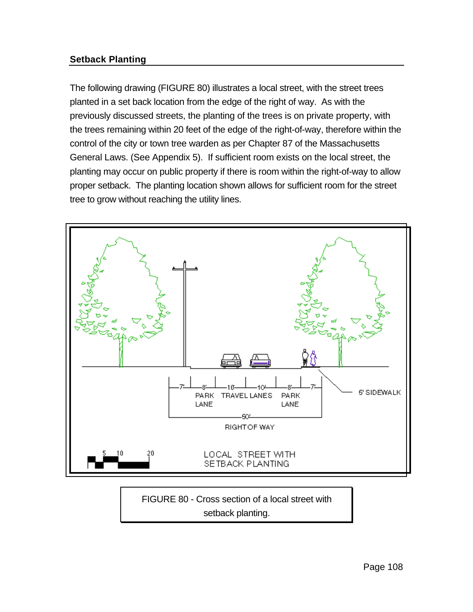# **Setback Planting**

The following drawing (FIGURE 80) illustrates a local street, with the street trees planted in a set back location from the edge of the right of way. As with the previously discussed streets, the planting of the trees is on private property, with the trees remaining within 20 feet of the edge of the right-of-way, therefore within the control of the city or town tree warden as per Chapter 87 of the Massachusetts General Laws. (See Appendix 5). If sufficient room exists on the local street, the planting may occur on public property if there is room within the right-of-way to allow proper setback. The planting location shown allows for sufficient room for the street tree to grow without reaching the utility lines.



setback planting.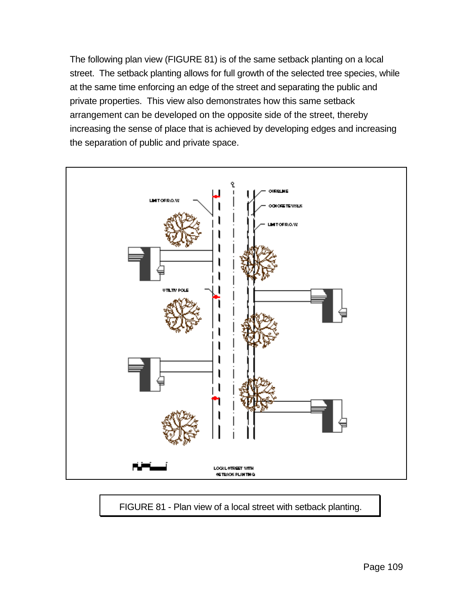The following plan view (FIGURE 81) is of the same setback planting on a local street. The setback planting allows for full growth of the selected tree species, while at the same time enforcing an edge of the street and separating the public and private properties. This view also demonstrates how this same setback arrangement can be developed on the opposite side of the street, thereby increasing the sense of place that is achieved by developing edges and increasing the separation of public and private space.



FIGURE 81 - Plan view of a local street with setback planting.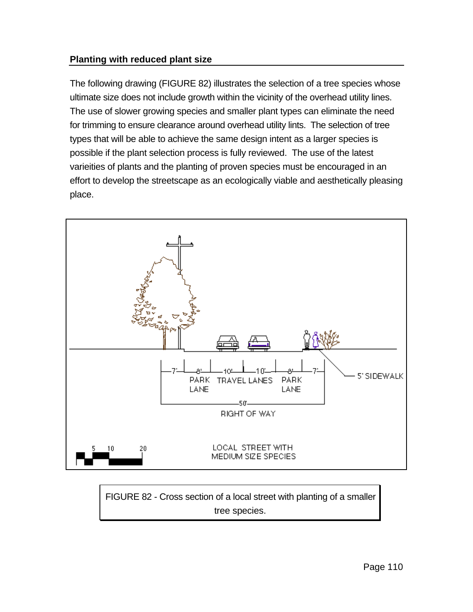# **Planting with reduced plant size**

The following drawing (FIGURE 82) illustrates the selection of a tree species whose ultimate size does not include growth within the vicinity of the overhead utility lines. The use of slower growing species and smaller plant types can eliminate the need for trimming to ensure clearance around overhead utility lints. The selection of tree types that will be able to achieve the same design intent as a larger species is possible if the plant selection process is fully reviewed. The use of the latest varieities of plants and the planting of proven species must be encouraged in an effort to develop the streetscape as an ecologically viable and aesthetically pleasing place.



FIGURE 82 - Cross section of a local street with planting of a smaller tree species.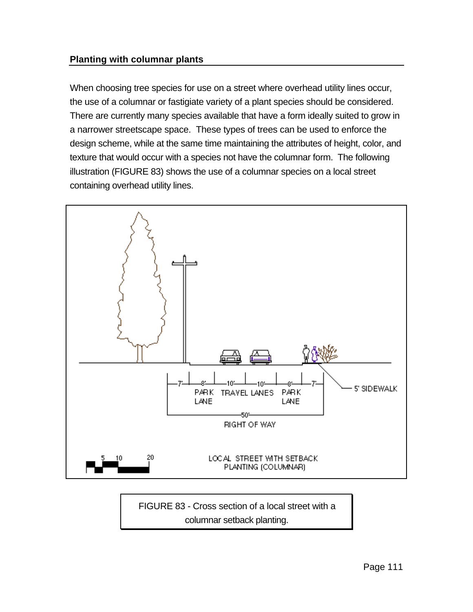#### **Planting with columnar plants**

When choosing tree species for use on a street where overhead utility lines occur, the use of a columnar or fastigiate variety of a plant species should be considered. There are currently many species available that have a form ideally suited to grow in a narrower streetscape space. These types of trees can be used to enforce the design scheme, while at the same time maintaining the attributes of height, color, and texture that would occur with a species not have the columnar form. The following illustration (FIGURE 83) shows the use of a columnar species on a local street containing overhead utility lines.



FIGURE 83 - Cross section of a local street with a columnar setback planting.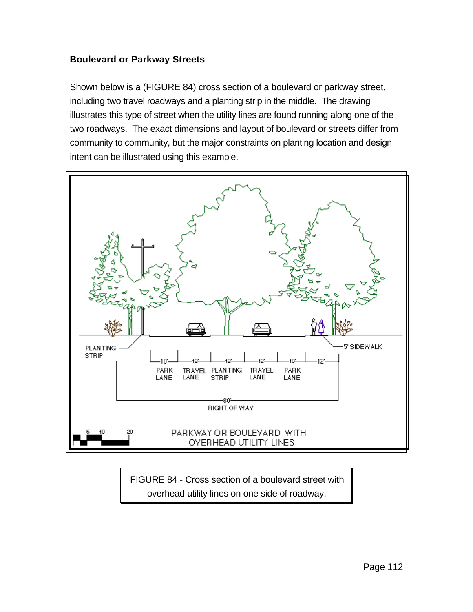## **Boulevard or Parkway Streets**

Shown below is a (FIGURE 84) cross section of a boulevard or parkway street, including two travel roadways and a planting strip in the middle. The drawing illustrates this type of street when the utility lines are found running along one of the two roadways. The exact dimensions and layout of boulevard or streets differ from community to community, but the major constraints on planting location and design intent can be illustrated using this example.



FIGURE 84 - Cross section of a boulevard street with overhead utility lines on one side of roadway.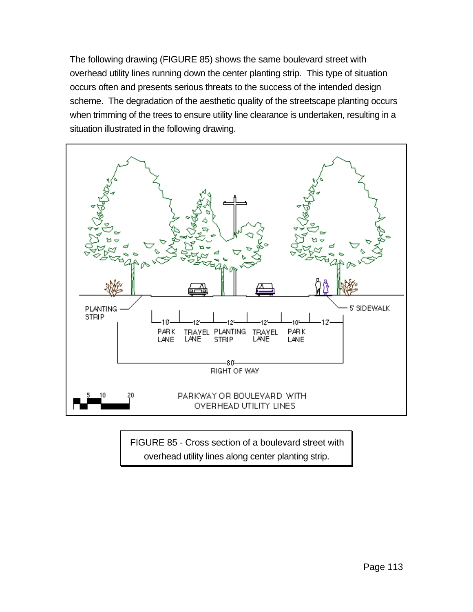The following drawing (FIGURE 85) shows the same boulevard street with overhead utility lines running down the center planting strip. This type of situation occurs often and presents serious threats to the success of the intended design scheme. The degradation of the aesthetic quality of the streetscape planting occurs when trimming of the trees to ensure utility line clearance is undertaken, resulting in a situation illustrated in the following drawing.



FIGURE 85 - Cross section of a boulevard street with overhead utility lines along center planting strip.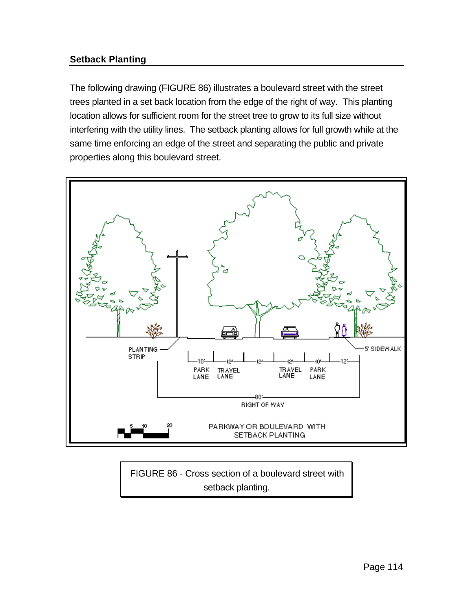# **Setback Planting**

The following drawing (FIGURE 86) illustrates a boulevard street with the street trees planted in a set back location from the edge of the right of way. This planting location allows for sufficient room for the street tree to grow to its full size without interfering with the utility lines. The setback planting allows for full growth while at the same time enforcing an edge of the street and separating the public and private properties along this boulevard street.



FIGURE 86 - Cross section of a boulevard street with setback planting.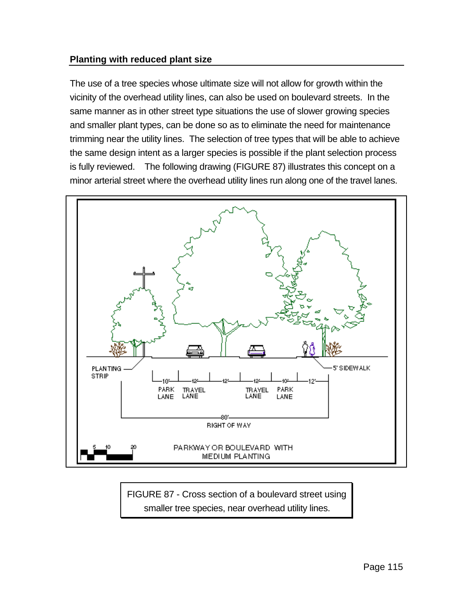## **Planting with reduced plant size**

The use of a tree species whose ultimate size will not allow for growth within the vicinity of the overhead utility lines, can also be used on boulevard streets. In the same manner as in other street type situations the use of slower growing species and smaller plant types, can be done so as to eliminate the need for maintenance trimming near the utility lines. The selection of tree types that will be able to achieve the same design intent as a larger species is possible if the plant selection process is fully reviewed. The following drawing (FIGURE 87) illustrates this concept on a minor arterial street where the overhead utility lines run along one of the travel lanes.



FIGURE 87 - Cross section of a boulevard street using smaller tree species, near overhead utility lines.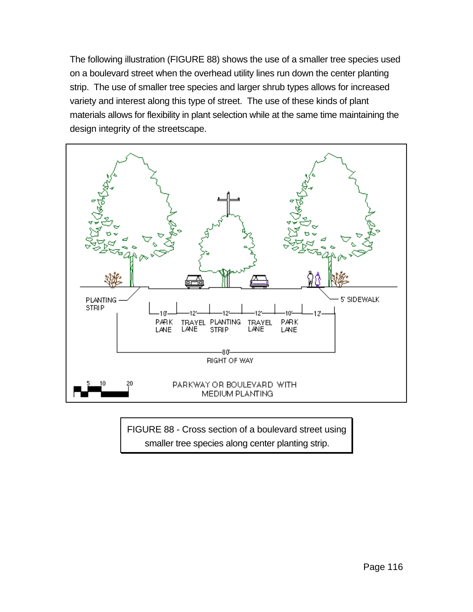The following illustration (FIGURE 88) shows the use of a smaller tree species used on a boulevard street when the overhead utility lines run down the center planting strip. The use of smaller tree species and larger shrub types allows for increased variety and interest along this type of street. The use of these kinds of plant materials allows for flexibility in plant selection while at the same time maintaining the design integrity of the streetscape.



FIGURE 88 - Cross section of a boulevard street using smaller tree species along center planting strip.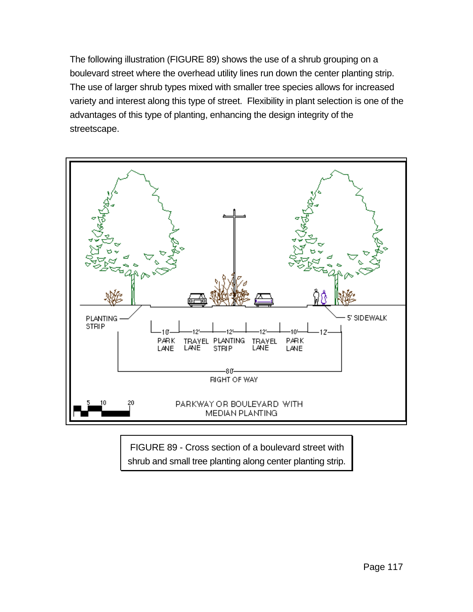The following illustration (FIGURE 89) shows the use of a shrub grouping on a boulevard street where the overhead utility lines run down the center planting strip. The use of larger shrub types mixed with smaller tree species allows for increased variety and interest along this type of street. Flexibility in plant selection is one of the advantages of this type of planting, enhancing the design integrity of the streetscape.



FIGURE 89 - Cross section of a boulevard street with shrub and small tree planting along center planting strip.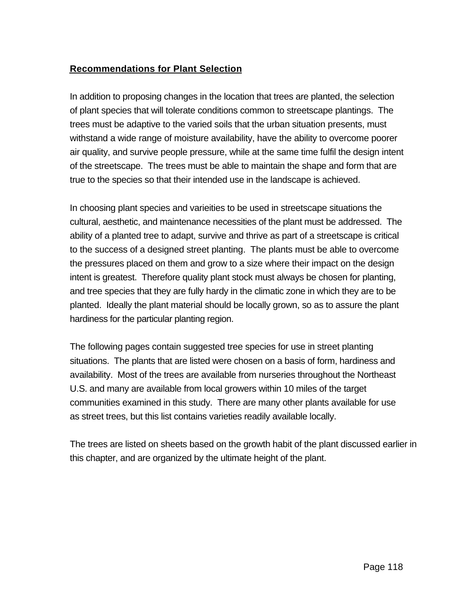## **Recommendations for Plant Selection**

In addition to proposing changes in the location that trees are planted, the selection of plant species that will tolerate conditions common to streetscape plantings. The trees must be adaptive to the varied soils that the urban situation presents, must withstand a wide range of moisture availability, have the ability to overcome poorer air quality, and survive people pressure, while at the same time fulfil the design intent of the streetscape. The trees must be able to maintain the shape and form that are true to the species so that their intended use in the landscape is achieved.

In choosing plant species and varieities to be used in streetscape situations the cultural, aesthetic, and maintenance necessities of the plant must be addressed. The ability of a planted tree to adapt, survive and thrive as part of a streetscape is critical to the success of a designed street planting. The plants must be able to overcome the pressures placed on them and grow to a size where their impact on the design intent is greatest. Therefore quality plant stock must always be chosen for planting, and tree species that they are fully hardy in the climatic zone in which they are to be planted. Ideally the plant material should be locally grown, so as to assure the plant hardiness for the particular planting region.

The following pages contain suggested tree species for use in street planting situations. The plants that are listed were chosen on a basis of form, hardiness and availability. Most of the trees are available from nurseries throughout the Northeast U.S. and many are available from local growers within 10 miles of the target communities examined in this study. There are many other plants available for use as street trees, but this list contains varieties readily available locally.

The trees are listed on sheets based on the growth habit of the plant discussed earlier in this chapter, and are organized by the ultimate height of the plant.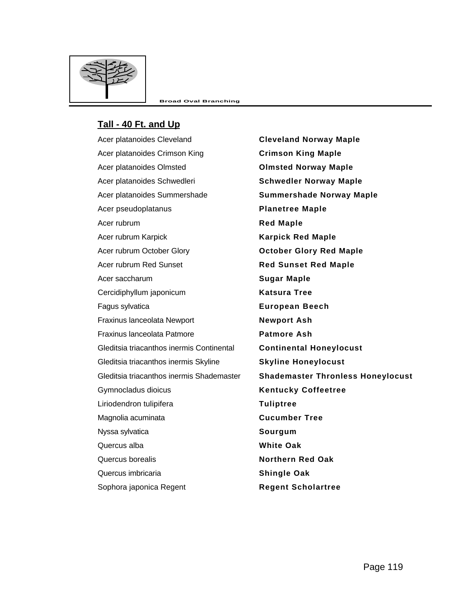

#### **Tall - 40 Ft. and Up**

Acer platanoides Cleveland **Cleveland Norway Maple** Acer platanoides Crimson King **Crimson King Maple** Acer platanoides Olmsted **Olmsted Norway Maple** Acer platanoides Schwedleri **Schwedler Norway Maple** Acer platanoides Summershade **Summershade Norway Maple** Acer pseudoplatanus **Planetree Maple** Acer rubrum **Red Maple** Acer rubrum Karpick **Karpick Red Maple** Acer rubrum October Glory **October Glory Red Maple** Acer rubrum Red Sunset **Red Sunset Red Maple** Acer saccharum **Sugar Maple** Cercidiphyllum japonicum **Katsura Tree** Fagus sylvatica **European Beech** Fraxinus lanceolata Newport **Newport Ash** Fraxinus lanceolata Patmore **Patmore Ash** Gleditsia triacanthos inermis Continental **Continental Honeylocust** Gleditsia triacanthos inermis Skyline **Skyline Honeylocust** Gymnocladus dioicus **Kentucky Coffeetree** Liriodendron tulipifera **Tuliptree** Magnolia acuminata **Cucumber Tree** Nyssa sylvatica **Sourgum** Quercus alba **White Oak** Quercus borealis **Northern Red Oak** Quercus imbricaria **Shingle Oak**

Gleditsia triacanthos inermis Shademaster **Shademaster Thronless Honeylocust** Sophora japonica Regent **Regent Scholartree**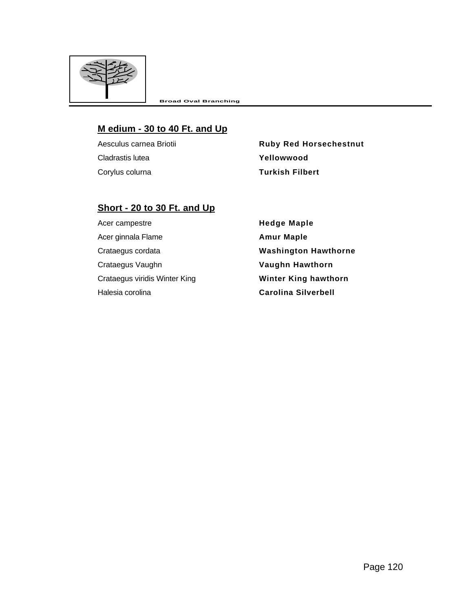

#### **M edium - 30 to 40 Ft. and Up**

Cladrastis lutea **Yellowwood** Corylus colurna **Turkish Filbert**

Aesculus carnea Briotii **Ruby Red Horsechestnut** 

## **Short - 20 to 30 Ft. and Up**

Acer campestre **Acer campestre Hedge Maple** Acer ginnala Flame **Amur Maple** Crataegus cordata **Washington Hawthorne** Crataegus Vaughn **Vaughn Hawthorn** Crataegus viridis Winter King **Winter King hawthorn** Halesia corolina **Carolina Silverbell**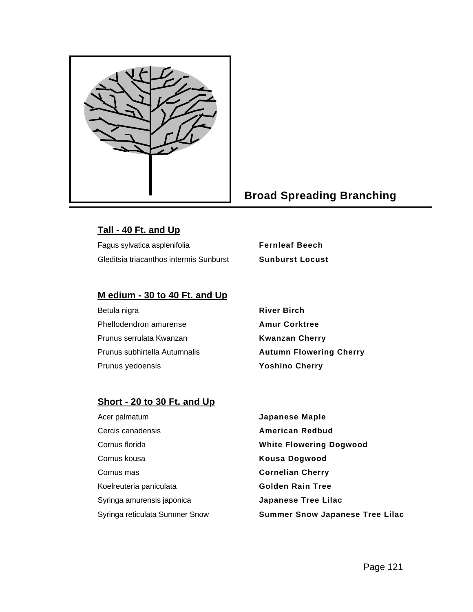

# **Broad Spreading Branching**

#### **Tall - 40 Ft. and Up**

Fagus sylvatica asplenifolia **Fernleaf Beech** Gleditsia triacanthos intermis Sunburst **Sunburst Locust**

#### **M edium - 30 to 40 Ft. and Up**

| Betula nigra                  | <b>River Birch</b>             |
|-------------------------------|--------------------------------|
| Phellodendron amurense        | <b>Amur Corktree</b>           |
| Prunus serrulata Kwanzan      | <b>Kwanzan Cherry</b>          |
| Prunus subhirtella Autumnalis | <b>Autumn Flowering Cherry</b> |
| Prunus yedoensis              | <b>Yoshino Cherry</b>          |

#### **Short - 20 to 30 Ft. and Up**

Acer palmatum **Japanese Maple** Cercis canadensis **American Redbud** Cornus florida **White Flowering Dogwood** Cornus kousa **Kousa Dogwood** Cornus mas **Cornelian Cherry** Koelreuteria paniculata **Golden Rain Tree** Syringa amurensis japonica **Japanese Tree Lilac**

Syringa reticulata Summer Snow **Summer Snow Japanese Tree Lilac**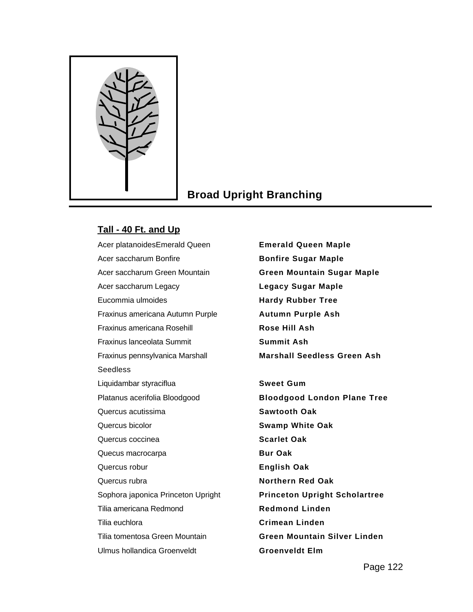

# **Broad Upright Branching**

## **Tall - 40 Ft. and Up**

Acer platanoidesEmerald Queen **Emerald Queen Maple** Acer saccharum Bonfire **Bonfire Sugar Maple** Acer saccharum Green Mountain **Green Mountain Sugar Maple** Acer saccharum Legacy **Legacy Sugar Maple** Eucommia ulmoides **Hardy Rubber Tree** Fraxinus americana Autumn Purple **Autumn Purple Ash** Fraxinus americana Rosehill **Rose Hill Ash** Fraxinus lanceolata Summit **Summit Ash** Fraxinus pennsylvanica Marshall Seedless Liquidambar styraciflua **Sweet Gum** Quercus acutissima **Sawtooth Oak** Quercus bicolor **Swamp White Oak** Quercus coccinea **Scarlet Oak** Quecus macrocarpa **Bur Oak** Quercus robur **English Oak** Quercus rubra **Northern Red Oak** Sophora japonica Princeton Upright **Princeton Upright Scholartree** Tilia americana Redmond **Redmond Linden** Tilia euchlora **Crimean Linden** Tilia tomentosa Green Mountain **Green Mountain Silver Linden** Ulmus hollandica Groenveldt **Groenveldt Elm**

**Marshall Seedless Green Ash** Platanus acerifolia Bloodgood **Bloodgood London Plane Tree**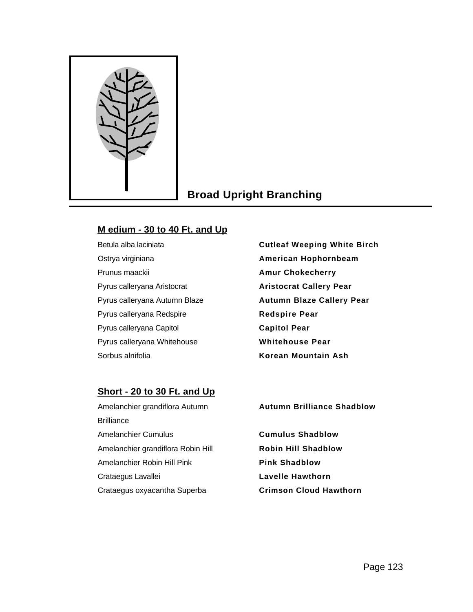

# **Broad Upright Branching**

# **M edium - 30 to 40 Ft. and Up**

Ostrya virginiana **American Hophornbeam** Prunus maackii **Amur Chokecherry** Pyrus calleryana Aristocrat **Aristocrat Callery Pear** Pyrus calleryana Redspire **Redspire Pear** Pyrus calleryana Capitol **Capitol Pear** Pyrus calleryana Whitehouse **Whitehouse Pear** Sorbus alnifolia **Korean Mountain Ash**

Betula alba laciniata **Cutleaf Weeping White Birch** Pyrus calleryana Autumn Blaze **Autumn Blaze Callery Pear**

# **Short - 20 to 30 Ft. and Up**

Amelanchier grandiflora Autumn **Brilliance** Amelanchier Cumulus **Cumulus Shadblow** Amelanchier grandiflora Robin Hill **Robin Hill Shadblow** Amelanchier Robin Hill Pink **Pink Shadblow** Crataegus Lavallei **Lavelle Hawthorn** Crataegus oxyacantha Superba **Crimson Cloud Hawthorn**

**Autumn Brilliance Shadblow**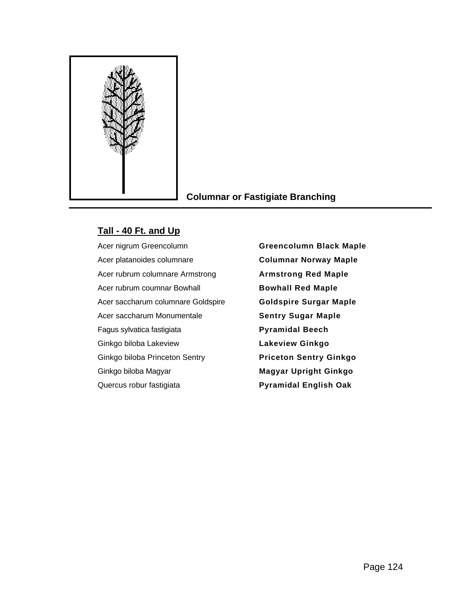

## **Columnar or Fastigiate Branching**

#### **Tall - 40 Ft. and Up**

Acer platanoides columnare **Columnar Norway Maple** Acer rubrum columnare Armstrong **Armstrong Red Maple** Acer rubrum coumnar Bowhall **Bowhall Red Maple** Acer saccharum columnare Goldspire **Goldspire Surgar Maple** Acer saccharum Monumentale **Sentry Sugar Maple** Fagus sylvatica fastigiata **Pyramidal Beech** Ginkgo biloba Lakeview **Lakeview Ginkgo** Ginkgo biloba Princeton Sentry **Priceton Sentry Ginkgo** Ginkgo biloba Magyar **Magyar Upright Ginkgo** Quercus robur fastigiata **Pyramidal English Oak**

Acer nigrum Greencolumn **Greencolumn Black Maple**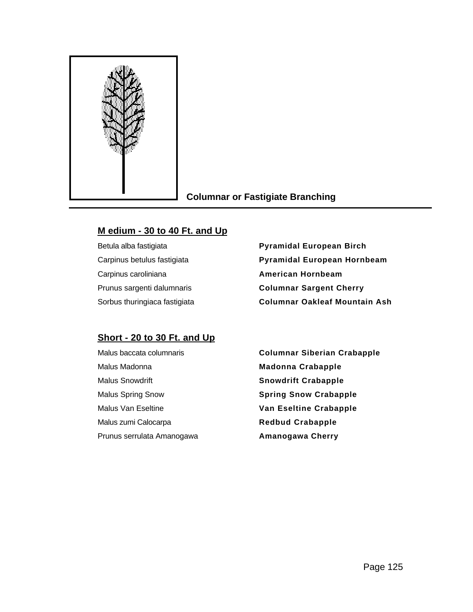

#### **Columnar or Fastigiate Branching**

#### **M edium - 30 to 40 Ft. and Up**

Carpinus caroliniana **American Hornbeam**

Betula alba fastigiata **Pyramidal European Birch** Carpinus betulus fastigiata **Pyramidal European Hornbeam** Prunus sargenti dalumnaris **Columnar Sargent Cherry** Sorbus thuringiaca fastigiata **Columnar Oakleaf Mountain Ash**

## **Short - 20 to 30 Ft. and Up**

| Malus baccata columnaris   |
|----------------------------|
| Malus Madonna              |
| <b>Malus Snowdrift</b>     |
| <b>Malus Spring Snow</b>   |
| Malus Van Eseltine         |
| Malus zumi Calocarpa       |
| Prunus serrulata Amanogawa |

**Columnar Siberian Crabapple Madonna Crabapple Snowdrift Crabapple Spring Snow Crabapple Van Eseltine Crabapple Redbud Crabapple Amanogawa Cherry**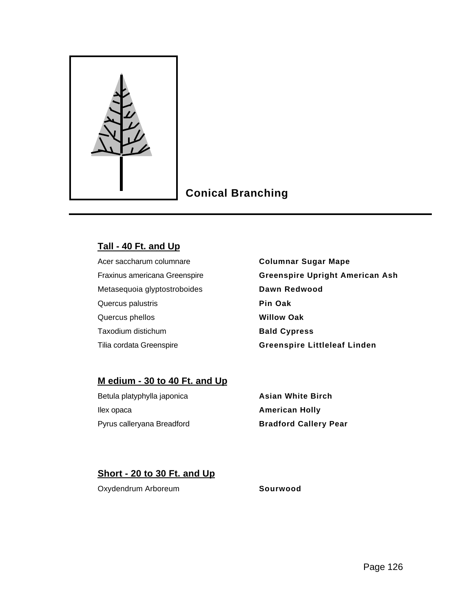

# **Conical Branching**

#### **Tall - 40 Ft. and Up**

Metasequoia glyptostroboides **Dawn Redwood** Quercus palustris **Pin Oak** Quercus phellos **Willow Oak** Taxodium distichum **Bald Cypress** 

Acer saccharum columnare **Columnar Sugar Mape** Fraxinus americana Greenspire **Greenspire Upright American Ash** Tilia cordata Greenspire **Greenspire Littleleaf Linden**

#### **M edium - 30 to 40 Ft. and Up**

Betula platyphylla japonica **Asian White Birch** Ilex opaca **American Holly** Pyrus calleryana Breadford **Bradford Callery Pear**

## **Short - 20 to 30 Ft. and Up**

Oxydendrum Arboreum **Sourwood**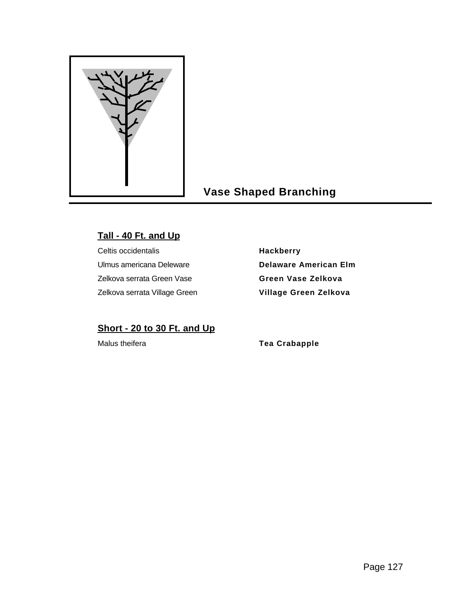

# **Vase Shaped Branching**

# **Tall - 40 Ft. and Up**

Celtis occidentalis **Hackberry** Ulmus americana Deleware **Delaware American Elm** Zelkova serrata Green Vase **Green Vase Zelkova** Zelkova serrata Village Green **Village Green Zelkova**

# **Short - 20 to 30 Ft. and Up**

Malus theifera **Tea Crabapple**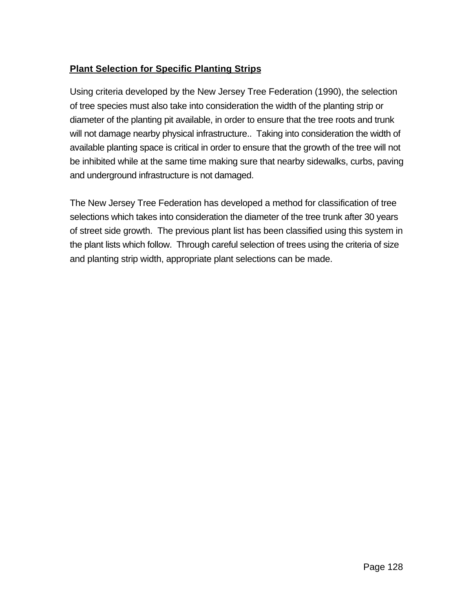# **Plant Selection for Specific Planting Strips**

Using criteria developed by the New Jersey Tree Federation (1990), the selection of tree species must also take into consideration the width of the planting strip or diameter of the planting pit available, in order to ensure that the tree roots and trunk will not damage nearby physical infrastructure.. Taking into consideration the width of available planting space is critical in order to ensure that the growth of the tree will not be inhibited while at the same time making sure that nearby sidewalks, curbs, paving and underground infrastructure is not damaged.

The New Jersey Tree Federation has developed a method for classification of tree selections which takes into consideration the diameter of the tree trunk after 30 years of street side growth. The previous plant list has been classified using this system in the plant lists which follow. Through careful selection of trees using the criteria of size and planting strip width, appropriate plant selections can be made.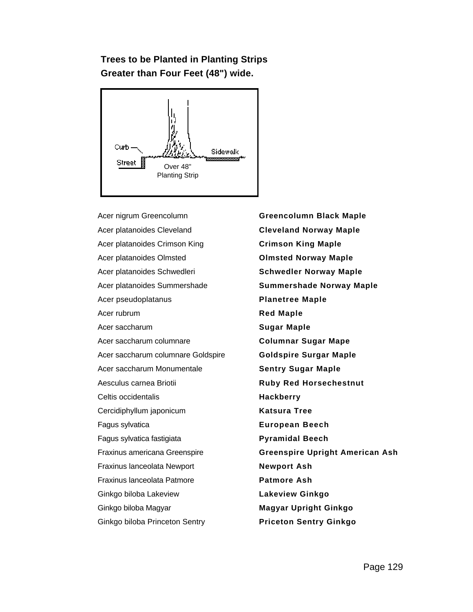# **Trees to be Planted in Planting Strips Greater than Four Feet (48") wide.**



Acer nigrum Greencolumn **Greencolumn Black Maple** Acer platanoides Cleveland **Cleveland Norway Maple** Acer platanoides Crimson King **Crimson King Maple** Acer platanoides Olmsted **Olmsted Norway Maple** Acer platanoides Schwedleri **Schwedler Norway Maple** Acer platanoides Summershade **Summershade Norway Maple** Acer pseudoplatanus **Planetree Maple** Acer rubrum **Red Maple** Acer saccharum **Sugar Maple** Acer saccharum columnare **Columnar Sugar Mape** Acer saccharum columnare Goldspire **Goldspire Surgar Maple** Acer saccharum Monumentale **Sentry Sugar Maple** Aesculus carnea Briotii **Ruby Red Horsechestnut** Celtis occidentalis **Hackberry** Cercidiphyllum japonicum **Katsura Tree** Fagus sylvatica **European Beech** Fagus sylvatica fastigiata **Pyramidal Beech** Fraxinus lanceolata Newport **Newport Ash** Fraxinus lanceolata Patmore **Patmore Ash** Ginkgo biloba Lakeview **Lakeview Ginkgo** Ginkgo biloba Magyar **Magyar Upright Ginkgo** Ginkgo biloba Princeton Sentry **Priceton Sentry Ginkgo**

Fraxinus americana Greenspire **Greenspire Upright American Ash**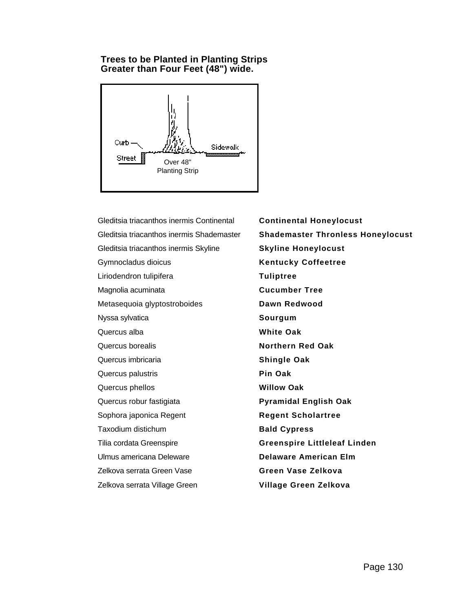#### **Trees to be Planted in Planting Strips Greater than Four Feet (48") wide.**



Gleditsia triacanthos inermis Continental **Continental Honeylocust** Gleditsia triacanthos inermis Shademaster **Shademaster Thronless Honeylocust** Gleditsia triacanthos inermis Skyline **Skyline Honeylocust** Gymnocladus dioicus **Kentucky Coffeetree** Liriodendron tulipifera **Tuliptree** Magnolia acuminata **Cucumber Tree** Metasequoia glyptostroboides **Dawn Redwood** Nyssa sylvatica **Sourgum** Quercus alba **White Oak** Quercus borealis **Northern Red Oak** Quercus imbricaria **Shingle Oak** Quercus palustris **Pin Oak** Quercus phellos **Willow Oak** Quercus robur fastigiata **Pyramidal English Oak** Sophora japonica Regent **Regent Scholartree** Taxodium distichum **Bald Cypress** Tilia cordata Greenspire **Greenspire Littleleaf Linden** Ulmus americana Deleware **Delaware American Elm** Zelkova serrata Green Vase **Green Vase Zelkova** Zelkova serrata Village Green **Village Green Zelkova**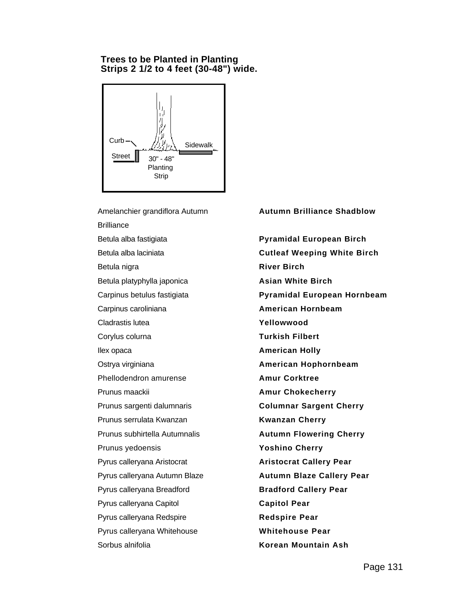#### **Trees to be Planted in Planting Strips 2 1/2 to 4 feet (30-48") wide.**



Amelanchier grandiflora Autumn **Brilliance** Betula alba fastigiata **Pyramidal European Birch** Betula alba laciniata **Cutleaf Weeping White Birch** Betula nigra **River Birch River Birch** Betula platyphylla japonica **Asian White Birch** Carpinus caroliniana **American Hornbeam** Cladrastis lutea **Yellowwood** Corylus colurna **Turkish Filbert Ilex opaca American Holly** Ostrya virginiana **American Hophornbeam** Phellodendron amurense **Amur Corktree** Prunus maackii **Amur Chokecherry** Prunus sargenti dalumnaris **Columnar Sargent Cherry** Prunus serrulata Kwanzan **Kwanzan Cherry** Prunus subhirtella Autumnalis **Autumn Flowering Cherry** Prunus yedoensis **Yoshino Cherry** Pyrus calleryana Aristocrat **Aristocrat Callery Pear** Pyrus calleryana Autumn Blaze **Autumn Blaze Callery Pear** Pyrus calleryana Breadford **Bradford Callery Pear** Pyrus calleryana Capitol **Capitol Pear** Pyrus calleryana Redspire **Redspire Pear** Pyrus calleryana Whitehouse **Whitehouse Pear** Sorbus alnifolia **Korean Mountain Ash**

#### **Autumn Brilliance Shadblow**

Carpinus betulus fastigiata **Pyramidal European Hornbeam**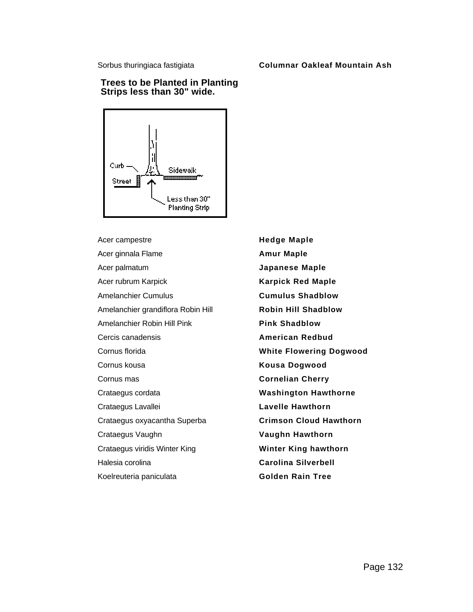#### Sorbus thuringiaca fastigiata **Columnar Oakleaf Mountain Ash**

#### **Trees to be Planted in Planting Strips less than 30" wide.**



Acer campestre **Hedge Maple** Acer ginnala Flame **Amur Maple** Acer palmatum **Japanese Maple** Acer rubrum Karpick **Karpick Red Maple** Amelanchier Cumulus **Cumulus Shadblow** Amelanchier grandiflora Robin Hill **Robin Hill Shadblow** Amelanchier Robin Hill Pink **Pink Shadblow** Cercis canadensis **American Redbud** Cornus florida **White Flowering Dogwood** Cornus kousa **Kousa Dogwood** Cornus mas **Cornelian Cherry** Crataegus cordata **Washington Hawthorne** Crataegus Lavallei **Lavelle Hawthorn** Crataegus oxyacantha Superba **Crimson Cloud Hawthorn** Crataegus Vaughn **Vaughn Hawthorn** Crataegus viridis Winter King **Winter King hawthorn** Halesia corolina **Carolina Silverbell** Koelreuteria paniculata **Golden Rain Tree**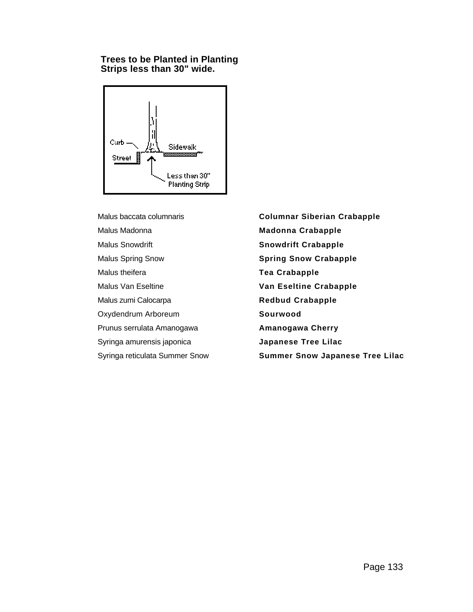#### **Trees to be Planted in Planting Strips less than 30" wide.**



Malus Madonna **Madonna Crabapple** Malus Snowdrift **Snowdrift Crabapple** Malus Spring Snow **Spring Snow Crabapple** Malus theifera **Tea Crabapple** Malus Van Eseltine **Van Eseltine Crabapple** Malus zumi Calocarpa **Redbud Crabapple** Oxydendrum Arboreum **Sourwood** Prunus serrulata Amanogawa **Amanogawa Cherry** Syringa amurensis japonica **Japanese Tree Lilac**

Malus baccata columnaris **Columnar Siberian Crabapple** Syringa reticulata Summer Snow **Summer Snow Japanese Tree Lilac**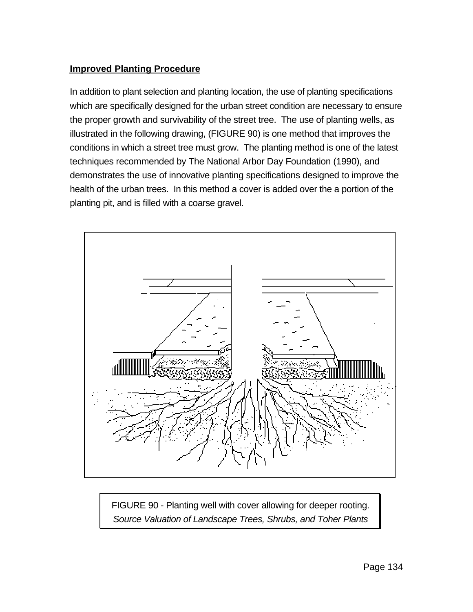## **Improved Planting Procedure**

In addition to plant selection and planting location, the use of planting specifications which are specifically designed for the urban street condition are necessary to ensure the proper growth and survivability of the street tree. The use of planting wells, as illustrated in the following drawing, (FIGURE 90) is one method that improves the conditions in which a street tree must grow. The planting method is one of the latest techniques recommended by The National Arbor Day Foundation (1990), and demonstrates the use of innovative planting specifications designed to improve the health of the urban trees. In this method a cover is added over the a portion of the planting pit, and is filled with a coarse gravel.



FIGURE 90 - Planting well with cover allowing for deeper rooting. *Source Valuation of Landscape Trees, Shrubs, and Toher Plants*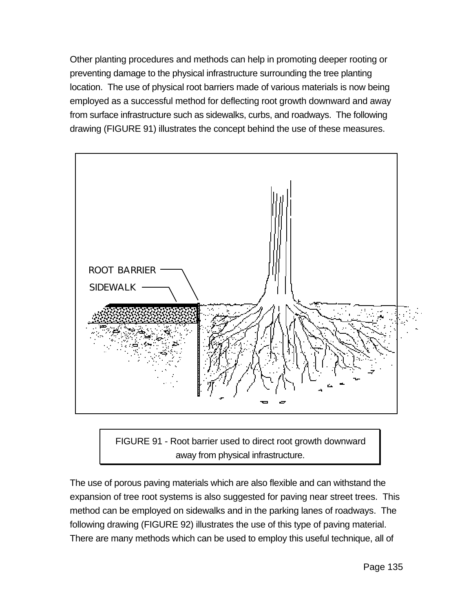Other planting procedures and methods can help in promoting deeper rooting or preventing damage to the physical infrastructure surrounding the tree planting location. The use of physical root barriers made of various materials is now being employed as a successful method for deflecting root growth downward and away from surface infrastructure such as sidewalks, curbs, and roadways. The following drawing (FIGURE 91) illustrates the concept behind the use of these measures.



FIGURE 91 - Root barrier used to direct root growth downward away from physical infrastructure.

The use of porous paving materials which are also flexible and can withstand the expansion of tree root systems is also suggested for paving near street trees. This method can be employed on sidewalks and in the parking lanes of roadways. The following drawing (FIGURE 92) illustrates the use of this type of paving material. There are many methods which can be used to employ this useful technique, all of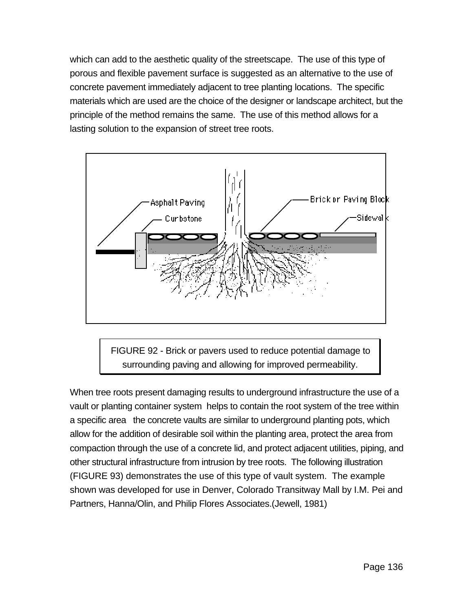which can add to the aesthetic quality of the streetscape. The use of this type of porous and flexible pavement surface is suggested as an alternative to the use of concrete pavement immediately adjacent to tree planting locations. The specific materials which are used are the choice of the designer or landscape architect, but the principle of the method remains the same. The use of this method allows for a lasting solution to the expansion of street tree roots.



FIGURE 92 - Brick or pavers used to reduce potential damage to surrounding paving and allowing for improved permeability.

When tree roots present damaging results to underground infrastructure the use of a vault or planting container system helps to contain the root system of the tree within a specific area the concrete vaults are similar to underground planting pots, which allow for the addition of desirable soil within the planting area, protect the area from compaction through the use of a concrete lid, and protect adjacent utilities, piping, and other structural infrastructure from intrusion by tree roots. The following illustration (FIGURE 93) demonstrates the use of this type of vault system. The example shown was developed for use in Denver, Colorado Transitway Mall by I.M. Pei and Partners, Hanna/Olin, and Philip Flores Associates.(Jewell, 1981)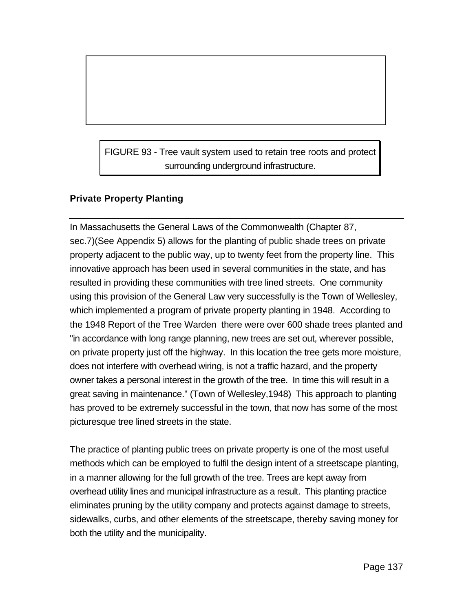FIGURE 93 - Tree vault system used to retain tree roots and protect surrounding underground infrastructure.

# **Private Property Planting**

In Massachusetts the General Laws of the Commonwealth (Chapter 87, sec.7)(See Appendix 5) allows for the planting of public shade trees on private property adjacent to the public way, up to twenty feet from the property line. This innovative approach has been used in several communities in the state, and has resulted in providing these communities with tree lined streets. One community using this provision of the General Law very successfully is the Town of Wellesley, which implemented a program of private property planting in 1948. According to the 1948 Report of the Tree Warden there were over 600 shade trees planted and "in accordance with long range planning, new trees are set out, wherever possible, on private property just off the highway. In this location the tree gets more moisture, does not interfere with overhead wiring, is not a traffic hazard, and the property owner takes a personal interest in the growth of the tree. In time this will result in a great saving in maintenance." (Town of Wellesley,1948) This approach to planting has proved to be extremely successful in the town, that now has some of the most picturesque tree lined streets in the state.

The practice of planting public trees on private property is one of the most useful methods which can be employed to fulfil the design intent of a streetscape planting, in a manner allowing for the full growth of the tree. Trees are kept away from overhead utility lines and municipal infrastructure as a result. This planting practice eliminates pruning by the utility company and protects against damage to streets, sidewalks, curbs, and other elements of the streetscape, thereby saving money for both the utility and the municipality.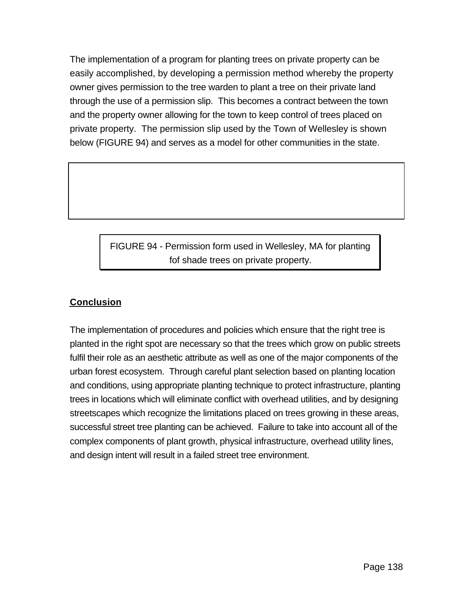The implementation of a program for planting trees on private property can be easily accomplished, by developing a permission method whereby the property owner gives permission to the tree warden to plant a tree on their private land through the use of a permission slip. This becomes a contract between the town and the property owner allowing for the town to keep control of trees placed on private property. The permission slip used by the Town of Wellesley is shown below (FIGURE 94) and serves as a model for other communities in the state.

> FIGURE 94 - Permission form used in Wellesley, MA for planting fof shade trees on private property.

# **Conclusion**

The implementation of procedures and policies which ensure that the right tree is planted in the right spot are necessary so that the trees which grow on public streets fulfil their role as an aesthetic attribute as well as one of the major components of the urban forest ecosystem. Through careful plant selection based on planting location and conditions, using appropriate planting technique to protect infrastructure, planting trees in locations which will eliminate conflict with overhead utilities, and by designing streetscapes which recognize the limitations placed on trees growing in these areas, successful street tree planting can be achieved. Failure to take into account all of the complex components of plant growth, physical infrastructure, overhead utility lines, and design intent will result in a failed street tree environment.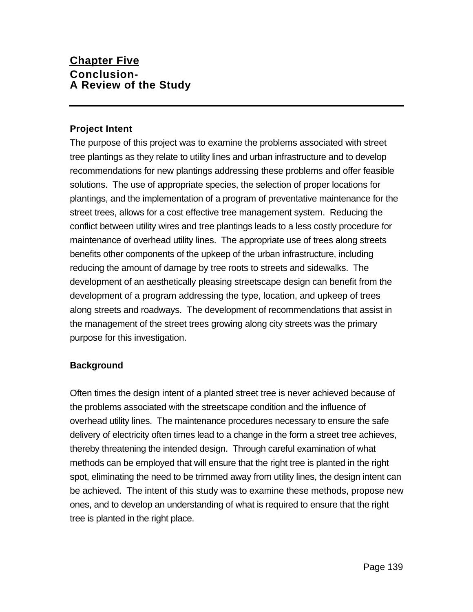# **Chapter Five Conclusion-A Review of the Study**

## **Project Intent**

The purpose of this project was to examine the problems associated with street tree plantings as they relate to utility lines and urban infrastructure and to develop recommendations for new plantings addressing these problems and offer feasible solutions. The use of appropriate species, the selection of proper locations for plantings, and the implementation of a program of preventative maintenance for the street trees, allows for a cost effective tree management system. Reducing the conflict between utility wires and tree plantings leads to a less costly procedure for maintenance of overhead utility lines. The appropriate use of trees along streets benefits other components of the upkeep of the urban infrastructure, including reducing the amount of damage by tree roots to streets and sidewalks. The development of an aesthetically pleasing streetscape design can benefit from the development of a program addressing the type, location, and upkeep of trees along streets and roadways. The development of recommendations that assist in the management of the street trees growing along city streets was the primary purpose for this investigation.

## **Background**

Often times the design intent of a planted street tree is never achieved because of the problems associated with the streetscape condition and the influence of overhead utility lines. The maintenance procedures necessary to ensure the safe delivery of electricity often times lead to a change in the form a street tree achieves, thereby threatening the intended design. Through careful examination of what methods can be employed that will ensure that the right tree is planted in the right spot, eliminating the need to be trimmed away from utility lines, the design intent can be achieved. The intent of this study was to examine these methods, propose new ones, and to develop an understanding of what is required to ensure that the right tree is planted in the right place.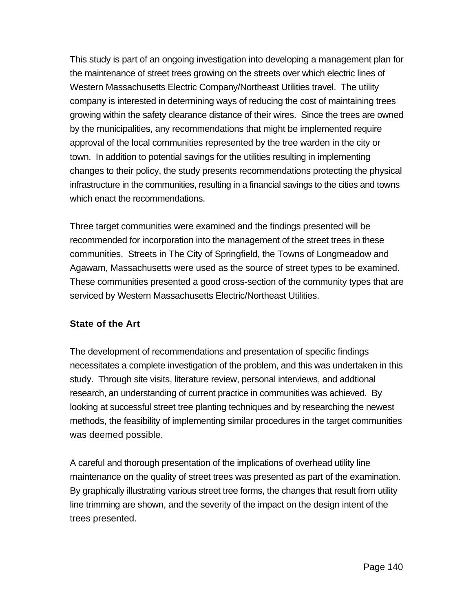This study is part of an ongoing investigation into developing a management plan for the maintenance of street trees growing on the streets over which electric lines of Western Massachusetts Electric Company/Northeast Utilities travel. The utility company is interested in determining ways of reducing the cost of maintaining trees growing within the safety clearance distance of their wires. Since the trees are owned by the municipalities, any recommendations that might be implemented require approval of the local communities represented by the tree warden in the city or town. In addition to potential savings for the utilities resulting in implementing changes to their policy, the study presents recommendations protecting the physical infrastructure in the communities, resulting in a financial savings to the cities and towns which enact the recommendations.

Three target communities were examined and the findings presented will be recommended for incorporation into the management of the street trees in these communities. Streets in The City of Springfield, the Towns of Longmeadow and Agawam, Massachusetts were used as the source of street types to be examined. These communities presented a good cross-section of the community types that are serviced by Western Massachusetts Electric/Northeast Utilities.

### **State of the Art**

The development of recommendations and presentation of specific findings necessitates a complete investigation of the problem, and this was undertaken in this study. Through site visits, literature review, personal interviews, and addtional research, an understanding of current practice in communities was achieved. By looking at successful street tree planting techniques and by researching the newest methods, the feasibility of implementing similar procedures in the target communities was deemed possible.

A careful and thorough presentation of the implications of overhead utility line maintenance on the quality of street trees was presented as part of the examination. By graphically illustrating various street tree forms, the changes that result from utility line trimming are shown, and the severity of the impact on the design intent of the trees presented.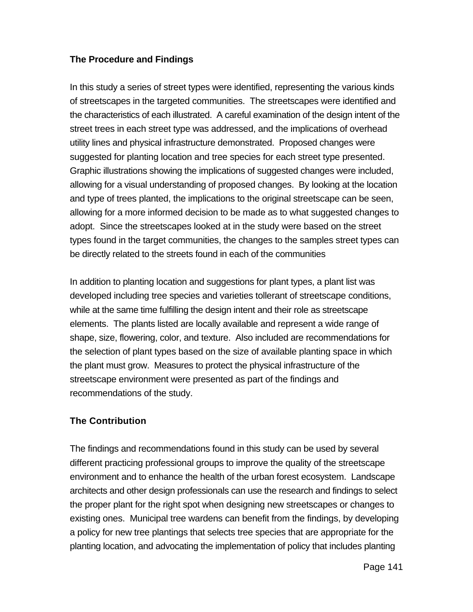## **The Procedure and Findings**

In this study a series of street types were identified, representing the various kinds of streetscapes in the targeted communities. The streetscapes were identified and the characteristics of each illustrated. A careful examination of the design intent of the street trees in each street type was addressed, and the implications of overhead utility lines and physical infrastructure demonstrated. Proposed changes were suggested for planting location and tree species for each street type presented. Graphic illustrations showing the implications of suggested changes were included, allowing for a visual understanding of proposed changes. By looking at the location and type of trees planted, the implications to the original streetscape can be seen, allowing for a more informed decision to be made as to what suggested changes to adopt. Since the streetscapes looked at in the study were based on the street types found in the target communities, the changes to the samples street types can be directly related to the streets found in each of the communities

In addition to planting location and suggestions for plant types, a plant list was developed including tree species and varieties tollerant of streetscape conditions, while at the same time fulfilling the design intent and their role as streetscape elements. The plants listed are locally available and represent a wide range of shape, size, flowering, color, and texture. Also included are recommendations for the selection of plant types based on the size of available planting space in which the plant must grow. Measures to protect the physical infrastructure of the streetscape environment were presented as part of the findings and recommendations of the study.

### **The Contribution**

The findings and recommendations found in this study can be used by several different practicing professional groups to improve the quality of the streetscape environment and to enhance the health of the urban forest ecosystem. Landscape architects and other design professionals can use the research and findings to select the proper plant for the right spot when designing new streetscapes or changes to existing ones. Municipal tree wardens can benefit from the findings, by developing a policy for new tree plantings that selects tree species that are appropriate for the planting location, and advocating the implementation of policy that includes planting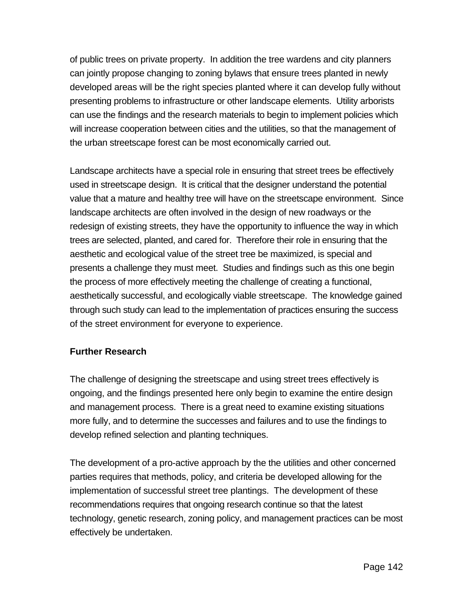of public trees on private property. In addition the tree wardens and city planners can jointly propose changing to zoning bylaws that ensure trees planted in newly developed areas will be the right species planted where it can develop fully without presenting problems to infrastructure or other landscape elements. Utility arborists can use the findings and the research materials to begin to implement policies which will increase cooperation between cities and the utilities, so that the management of the urban streetscape forest can be most economically carried out.

Landscape architects have a special role in ensuring that street trees be effectively used in streetscape design. It is critical that the designer understand the potential value that a mature and healthy tree will have on the streetscape environment. Since landscape architects are often involved in the design of new roadways or the redesign of existing streets, they have the opportunity to influence the way in which trees are selected, planted, and cared for. Therefore their role in ensuring that the aesthetic and ecological value of the street tree be maximized, is special and presents a challenge they must meet. Studies and findings such as this one begin the process of more effectively meeting the challenge of creating a functional, aesthetically successful, and ecologically viable streetscape. The knowledge gained through such study can lead to the implementation of practices ensuring the success of the street environment for everyone to experience.

### **Further Research**

The challenge of designing the streetscape and using street trees effectively is ongoing, and the findings presented here only begin to examine the entire design and management process. There is a great need to examine existing situations more fully, and to determine the successes and failures and to use the findings to develop refined selection and planting techniques.

The development of a pro-active approach by the the utilities and other concerned parties requires that methods, policy, and criteria be developed allowing for the implementation of successful street tree plantings. The development of these recommendations requires that ongoing research continue so that the latest technology, genetic research, zoning policy, and management practices can be most effectively be undertaken.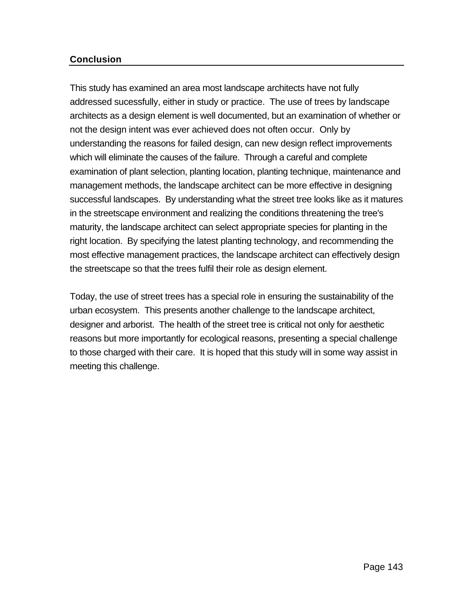### **Conclusion**

This study has examined an area most landscape architects have not fully addressed sucessfully, either in study or practice. The use of trees by landscape architects as a design element is well documented, but an examination of whether or not the design intent was ever achieved does not often occur. Only by understanding the reasons for failed design, can new design reflect improvements which will eliminate the causes of the failure. Through a careful and complete examination of plant selection, planting location, planting technique, maintenance and management methods, the landscape architect can be more effective in designing successful landscapes. By understanding what the street tree looks like as it matures in the streetscape environment and realizing the conditions threatening the tree's maturity, the landscape architect can select appropriate species for planting in the right location. By specifying the latest planting technology, and recommending the most effective management practices, the landscape architect can effectively design the streetscape so that the trees fulfil their role as design element.

Today, the use of street trees has a special role in ensuring the sustainability of the urban ecosystem. This presents another challenge to the landscape architect, designer and arborist. The health of the street tree is critical not only for aesthetic reasons but more importantly for ecological reasons, presenting a special challenge to those charged with their care. It is hoped that this study will in some way assist in meeting this challenge.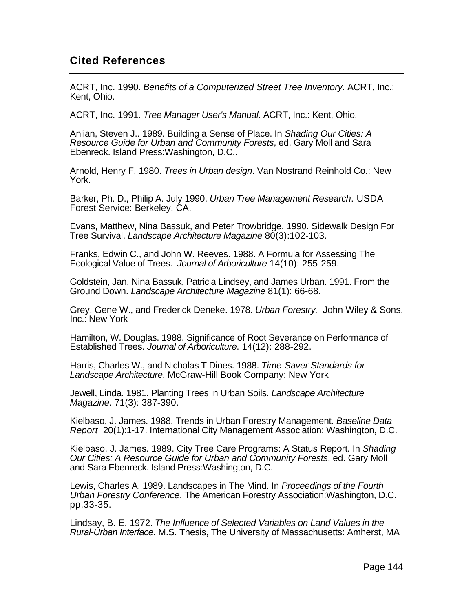# **Cited References**

ACRT, Inc. 1990. *Benefits of a Computerized Street Tree Inventory*. ACRT, Inc.: Kent, Ohio.

ACRT, Inc. 1991. *Tree Manager User's Manual*. ACRT, Inc.: Kent, Ohio.

Anlian, Steven J.. 1989. Building a Sense of Place. In *Shading Our Cities: A Resource Guide for Urban and Community Forests*, ed. Gary Moll and Sara Ebenreck. Island Press:Washington, D.C..

Arnold, Henry F. 1980. *Trees in Urban design*. Van Nostrand Reinhold Co.: New York.

Barker, Ph. D., Philip A. July 1990. *Urban Tree Management Research*. USDA Forest Service: Berkeley, CA.

Evans, Matthew, Nina Bassuk, and Peter Trowbridge. 1990. Sidewalk Design For Tree Survival. *Landscape Architecture Magazine* 80(3):102-103.

Franks, Edwin C., and John W. Reeves. 1988. A Formula for Assessing The Ecological Value of Trees. *Journal of Arboriculture* 14(10): 255-259.

Goldstein, Jan, Nina Bassuk, Patricia Lindsey, and James Urban. 1991. From the Ground Down. *Landscape Architecture Magazine* 81(1): 66-68.

Grey, Gene W., and Frederick Deneke. 1978. *Urban Forestry.* John Wiley & Sons, Inc.: New York

Hamilton, W. Douglas. 1988. Significance of Root Severance on Performance of Established Trees. *Journal of Arboriculture*. 14(12): 288-292.

Harris, Charles W., and Nicholas T Dines. 1988. *Time-Saver Standards for Landscape Architecture*. McGraw-Hill Book Company: New York

Jewell, Linda. 1981. Planting Trees in Urban Soils. *Landscape Architecture Magazine*. 71(3): 387-390.

Kielbaso, J. James. 1988. Trends in Urban Forestry Management. *Baseline Data Report* 20(1):1-17. International City Management Association: Washington, D.C.

Kielbaso, J. James. 1989. City Tree Care Programs: A Status Report. In *Shading Our Cities: A Resource Guide for Urban and Community Forests*, ed. Gary Moll and Sara Ebenreck. Island Press:Washington, D.C.

Lewis, Charles A. 1989. Landscapes in The Mind. In *Proceedings of the Fourth Urban Forestry Conference*. The American Forestry Association:Washington, D.C. pp.33-35.

Lindsay, B. E. 1972. *The Influence of Selected Variables on Land Values in the Rural-Urban Interface*. M.S. Thesis, The University of Massachusetts: Amherst, MA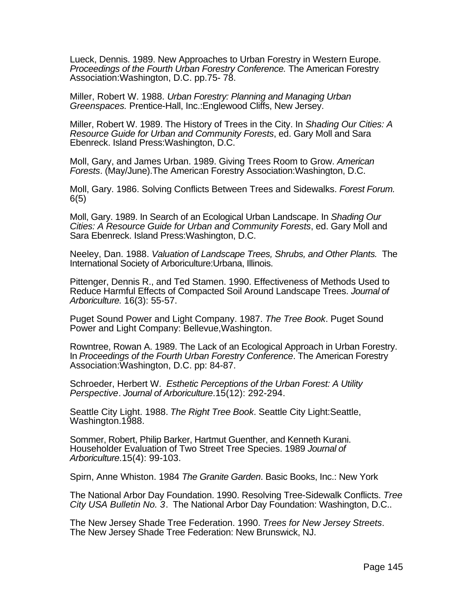Lueck, Dennis. 1989. New Approaches to Urban Forestry in Western Europe. *Proceedings of the Fourth Urban Forestry Conference.* The American Forestry Association:Washington, D.C. pp.75- 78.

Miller, Robert W. 1988. *Urban Forestry: Planning and Managing Urban Greenspaces.* Prentice-Hall, Inc.:Englewood Cliffs, New Jersey.

Miller, Robert W. 1989. The History of Trees in the City. In *Shading Our Cities: A Resource Guide for Urban and Community Forests*, ed. Gary Moll and Sara Ebenreck. Island Press:Washington, D.C.

Moll, Gary, and James Urban. 1989. Giving Trees Room to Grow. *American Forests*. (May/June).The American Forestry Association:Washington, D.C.

Moll, Gary. 1986. Solving Conflicts Between Trees and Sidewalks. *Forest Forum.* 6(5)

Moll, Gary. 1989. In Search of an Ecological Urban Landscape. In *Shading Our Cities: A Resource Guide for Urban and Community Forests*, ed. Gary Moll and Sara Ebenreck. Island Press:Washington, D.C.

Neeley, Dan. 1988. *Valuation of Landscape Trees, Shrubs, and Other Plants.* The International Society of Arboriculture:Urbana, Illinois.

Pittenger, Dennis R., and Ted Stamen. 1990. Effectiveness of Methods Used to Reduce Harmful Effects of Compacted Soil Around Landscape Trees. *Journal of Arboriculture.* 16(3): 55-57.

Puget Sound Power and Light Company. 1987. *The Tree Book*. Puget Sound Power and Light Company: Bellevue,Washington.

Rowntree, Rowan A. 1989. The Lack of an Ecological Approach in Urban Forestry. In *Proceedings of the Fourth Urban Forestry Conference*. The American Forestry Association:Washington, D.C. pp: 84-87.

Schroeder, Herbert W. *Esthetic Perceptions of the Urban Forest: A Utility Perspective*. *Journal of Arboriculture*.15(12): 292-294.

Seattle City Light. 1988. *The Right Tree Book*. Seattle City Light:Seattle, Washington.1988.

Sommer, Robert, Philip Barker, Hartmut Guenther, and Kenneth Kurani. Householder Evaluation of Two Street Tree Species. 1989 *Journal of Arboriculture*.15(4): 99-103.

Spirn, Anne Whiston. 1984 *The Granite Garden*. Basic Books, Inc.: New York

The National Arbor Day Foundation. 1990. Resolving Tree-Sidewalk Conflicts. *Tree City USA Bulletin No. 3*. The National Arbor Day Foundation: Washington, D.C..

The New Jersey Shade Tree Federation. 1990. *Trees for New Jersey Streets*. The New Jersey Shade Tree Federation: New Brunswick, NJ.